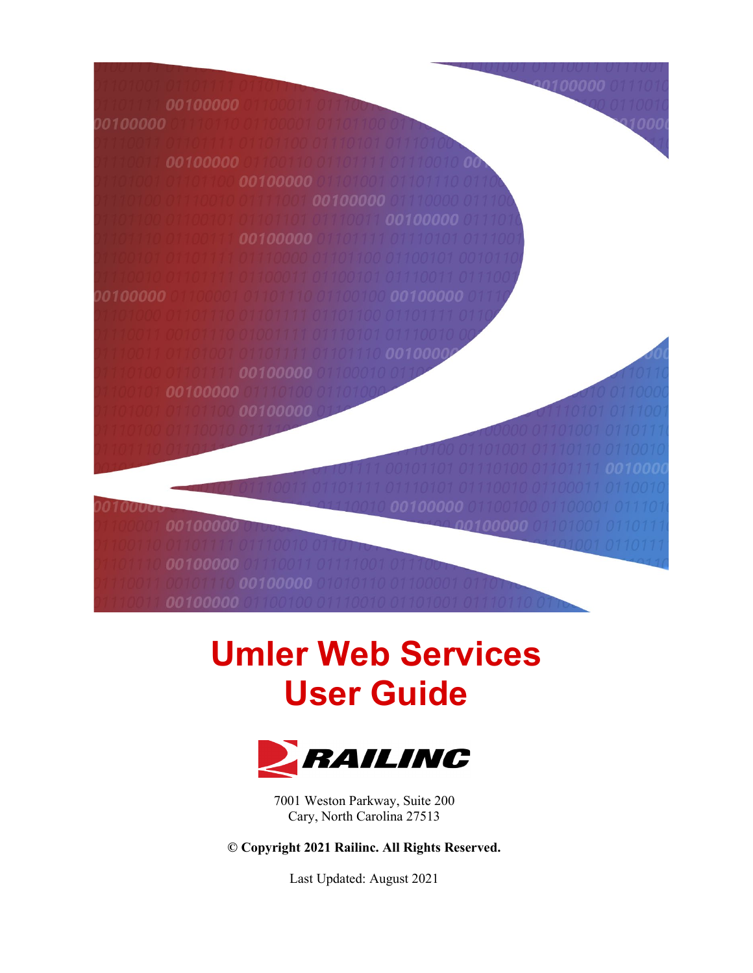

# **Umler Web Services User Guide**



7001 Weston Parkway, Suite 200 Cary, North Carolina 27513

**© Copyright 2021 Railinc. All Rights Reserved.**

Last Updated: August 2021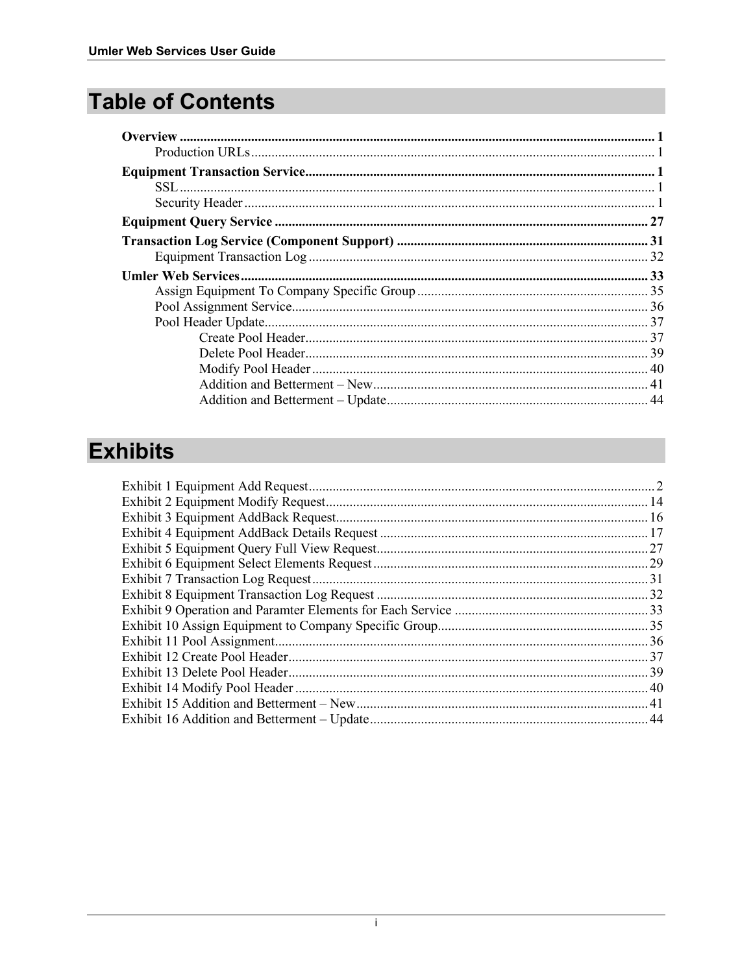# **Table of Contents**

## **Exhibits**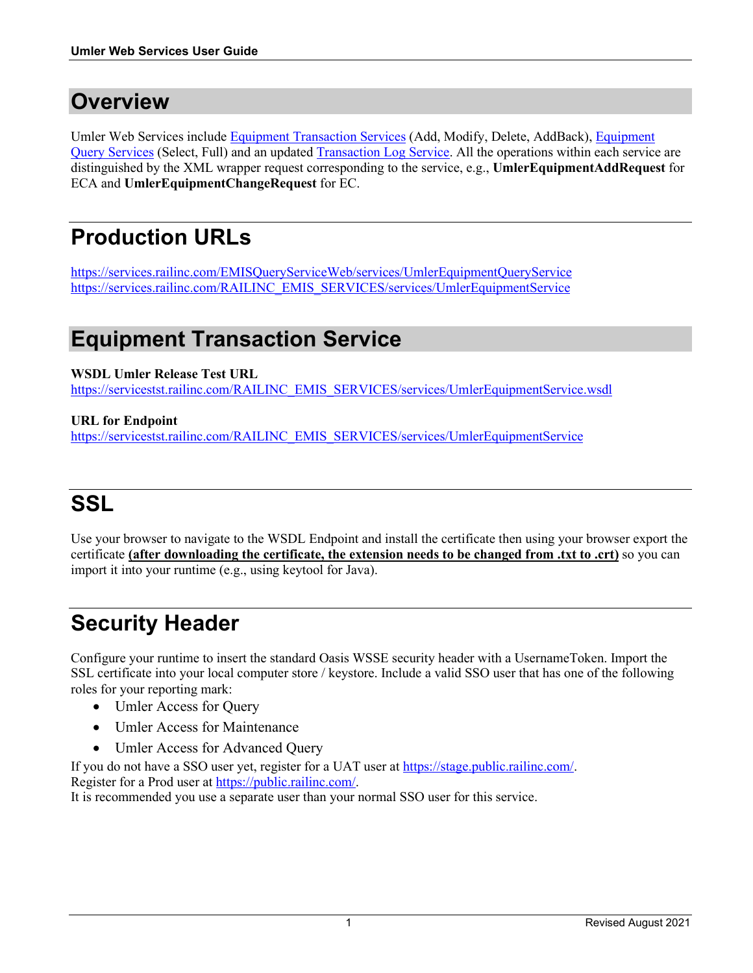### <span id="page-2-0"></span>**Overview**

Umler Web Services include [Equipment Transaction](#page-2-2) Services (Add, Modify, Delete, AddBack), [Equipment](#page-28-0)  [Query Services](#page-28-0) (Select, Full) and an updated [Transaction Log Service.](#page-32-0) All the operations within each service are distinguished by the XML wrapper request corresponding to the service, e.g., **UmlerEquipmentAddRequest** for ECA and **UmlerEquipmentChangeRequest** for EC.

# <span id="page-2-1"></span>**Production URLs**

<https://services.railinc.com/EMISQueryServiceWeb/services/UmlerEquipmentQueryService> [https://services.railinc.com/RAILINC\\_EMIS\\_SERVICES/services/UmlerEquipmentService](https://services.railinc.com/RAILINC_EMIS_SERVICES/services/UmlerEquipmentService)

### <span id="page-2-2"></span>**Equipment Transaction Service**

**WSDL Umler Release Test URL**

[https://servicestst.railinc.com/RAILINC\\_EMIS\\_SERVICES/services/UmlerEquipmentService.wsdl](https://servicestst.railinc.com/RAILINC_EMIS_SERVICES/services/UmlerEquipmentService.wsdl)

#### **URL for Endpoint**

[https://servicestst.railinc.com/RAILINC\\_EMIS\\_SERVICES/services/UmlerEquipmentService](https://servicestst.railinc.com/RAILINC_EMIS_SERVICES/services/UmlerEquipmentService)

# <span id="page-2-3"></span>**SSL**

Use your browser to navigate to the WSDL Endpoint and install the certificate then using your browser export the certificate **(after downloading the certificate, the extension needs to be changed from .txt to .crt)** so you can import it into your runtime (e.g., using keytool for Java).

# <span id="page-2-4"></span>**Security Header**

Configure your runtime to insert the standard Oasis WSSE security header with a UsernameToken. Import the SSL certificate into your local computer store / keystore. Include a valid SSO user that has one of the following roles for your reporting mark:

- Umler Access for Query
- Umler Access for Maintenance
- Umler Access for Advanced Query

If you do not have a SSO user yet, register for a UAT user a[t https://stage.public.railinc.com/.](https://stage.public.railinc.com/) Register for a Prod user at [https://public.railinc.com/.](https://public.railinc.com/)

It is recommended you use a separate user than your normal SSO user for this service.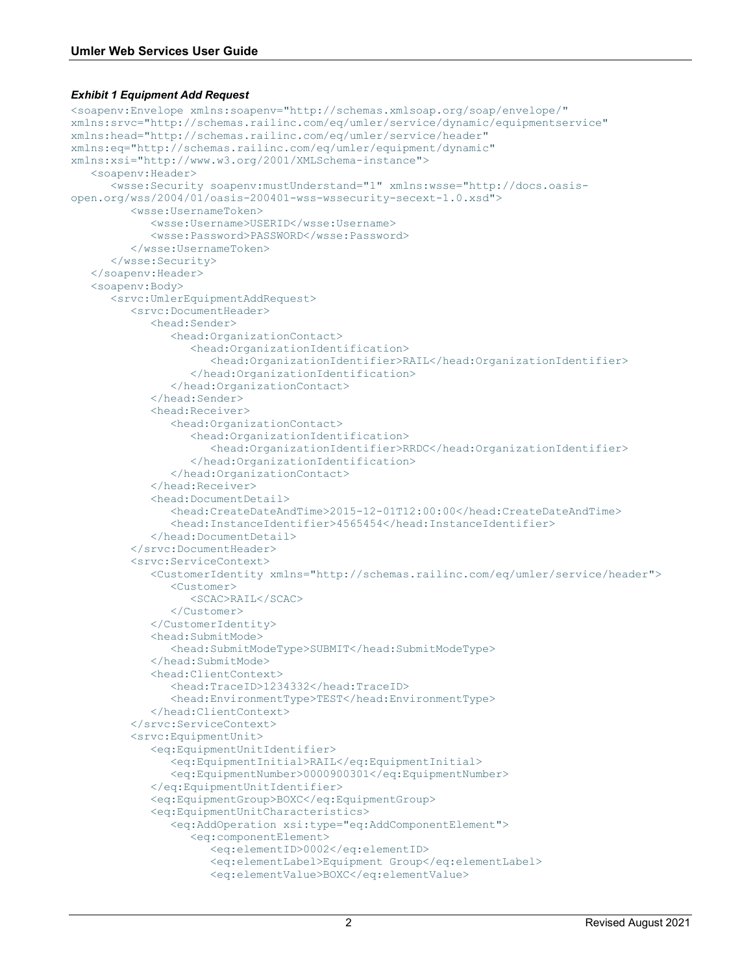#### <span id="page-3-0"></span>*Exhibit 1 Equipment Add Request*

```
<soapenv:Envelope xmlns:soapenv="http://schemas.xmlsoap.org/soap/envelope/" 
xmlns:srvc="http://schemas.railinc.com/eq/umler/service/dynamic/equipmentservice" 
xmlns:head="http://schemas.railinc.com/eq/umler/service/header" 
xmlns:eq="http://schemas.railinc.com/eq/umler/equipment/dynamic" 
xmlns:xsi="http://www.w3.org/2001/XMLSchema-instance">
    <soapenv:Header>
       <wsse:Security soapenv:mustUnderstand="1" xmlns:wsse="http://docs.oasis-
open.org/wss/2004/01/oasis-200401-wss-wssecurity-secext-1.0.xsd">
          <wsse:UsernameToken>
             <wsse:Username>USERID</wsse:Username>
             <wsse:Password>PASSWORD</wsse:Password>
          </wsse:UsernameToken>
       </wsse:Security>
    </soapenv:Header>
    <soapenv:Body>
       <srvc:UmlerEquipmentAddRequest>
          <srvc:DocumentHeader>
             <head:Sender>
                <head:OrganizationContact>
                    <head:OrganizationIdentification>
                       <head:OrganizationIdentifier>RAIL</head:OrganizationIdentifier>
                    </head:OrganizationIdentification>
                </head:OrganizationContact>
             </head:Sender>
             <head:Receiver>
                <head:OrganizationContact>
                    <head:OrganizationIdentification>
                       <head:OrganizationIdentifier>RRDC</head:OrganizationIdentifier>
                    </head:OrganizationIdentification>
                </head:OrganizationContact>
             </head:Receiver>
             <head:DocumentDetail>
                <head:CreateDateAndTime>2015-12-01T12:00:00</head:CreateDateAndTime>
                <head:InstanceIdentifier>4565454</head:InstanceIdentifier>
             </head:DocumentDetail>
          </srvc:DocumentHeader>
          <srvc:ServiceContext>
             <CustomerIdentity xmlns="http://schemas.railinc.com/eq/umler/service/header">
                <Customer>
                   <SCAC>RAIL</SCAC>
                </Customer>
             </CustomerIdentity>
             <head:SubmitMode>
                <head:SubmitModeType>SUBMIT</head:SubmitModeType>
             </head:SubmitMode>
             <head:ClientContext>
                <head:TraceID>1234332</head:TraceID>
                <head:EnvironmentType>TEST</head:EnvironmentType>
             </head:ClientContext>
          </srvc:ServiceContext>
          <srvc:EquipmentUnit>
             <eq:EquipmentUnitIdentifier>
                <eq:EquipmentInitial>RAIL</eq:EquipmentInitial>
                <eq:EquipmentNumber>0000900301</eq:EquipmentNumber>
             </eq:EquipmentUnitIdentifier>
             <eq:EquipmentGroup>BOXC</eq:EquipmentGroup>
             <eq:EquipmentUnitCharacteristics>
                <eq:AddOperation xsi:type="eq:AddComponentElement">
                    <eq:componentElement>
                       <eq:elementID>0002</eq:elementID>
                      <eq:elementLabel>Equipment Group</eq:elementLabel>
                      <eq:elementValue>BOXC</eq:elementValue>
```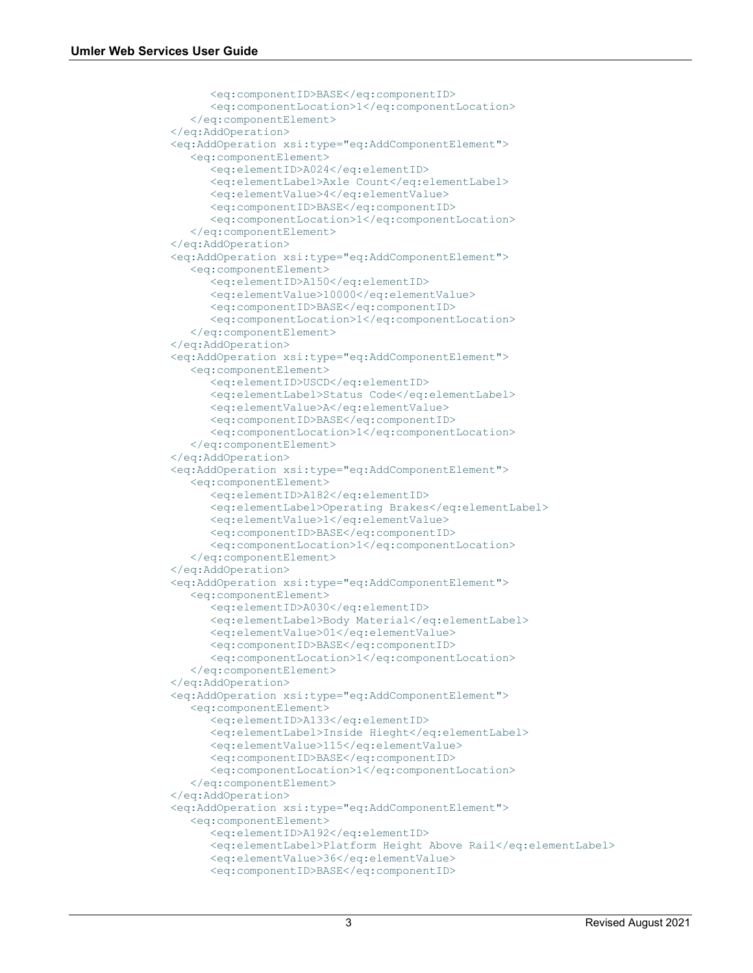```
 <eq:componentID>BASE</eq:componentID>
      <eq:componentLocation>1</eq:componentLocation>
    </eq:componentElement>
 </eq:AddOperation>
 <eq:AddOperation xsi:type="eq:AddComponentElement">
    <eq:componentElement>
       <eq:elementID>A024</eq:elementID>
      <eq:elementLabel>Axle Count</eq:elementLabel>
      <eq:elementValue>4</eq:elementValue>
      <eq:componentID>BASE</eq:componentID>
      <eq:componentLocation>1</eq:componentLocation>
    </eq:componentElement>
 </eq:AddOperation>
 <eq:AddOperation xsi:type="eq:AddComponentElement">
    <eq:componentElement>
       <eq:elementID>A150</eq:elementID>
      <eq:elementValue>10000</eq:elementValue>
      <eq:componentID>BASE</eq:componentID>
      <eq:componentLocation>1</eq:componentLocation>
    </eq:componentElement>
 </eq:AddOperation>
 <eq:AddOperation xsi:type="eq:AddComponentElement">
    <eq:componentElement>
       <eq:elementID>USCD</eq:elementID>
      <eq:elementLabel>Status Code</eq:elementLabel>
      <eq:elementValue>A</eq:elementValue>
      <eq:componentID>BASE</eq:componentID>
      <eq:componentLocation>1</eq:componentLocation>
    </eq:componentElement>
 </eq:AddOperation>
 <eq:AddOperation xsi:type="eq:AddComponentElement">
    <eq:componentElement>
       <eq:elementID>A182</eq:elementID>
      <eq:elementLabel>Operating Brakes</eq:elementLabel>
      <eq:elementValue>1</eq:elementValue>
      <eq:componentID>BASE</eq:componentID>
      <eq:componentLocation>1</eq:componentLocation>
    </eq:componentElement>
 </eq:AddOperation>
 <eq:AddOperation xsi:type="eq:AddComponentElement">
    <eq:componentElement>
       <eq:elementID>A030</eq:elementID>
      <eq:elementLabel>Body Material</eq:elementLabel>
      <eq:elementValue>01</eq:elementValue>
      <eq:componentID>BASE</eq:componentID>
      <eq:componentLocation>1</eq:componentLocation>
    </eq:componentElement>
 </eq:AddOperation>
 <eq:AddOperation xsi:type="eq:AddComponentElement">
    <eq:componentElement>
       <eq:elementID>A133</eq:elementID>
      <eq:elementLabel>Inside Hieght</eq:elementLabel>
       <eq:elementValue>115</eq:elementValue>
       <eq:componentID>BASE</eq:componentID>
      <eq:componentLocation>1</eq:componentLocation>
    </eq:componentElement>
 </eq:AddOperation>
 <eq:AddOperation xsi:type="eq:AddComponentElement">
    <eq:componentElement>
       <eq:elementID>A192</eq:elementID>
      <eq:elementLabel>Platform Height Above Rail</eq:elementLabel>
       <eq:elementValue>36</eq:elementValue>
       <eq:componentID>BASE</eq:componentID>
```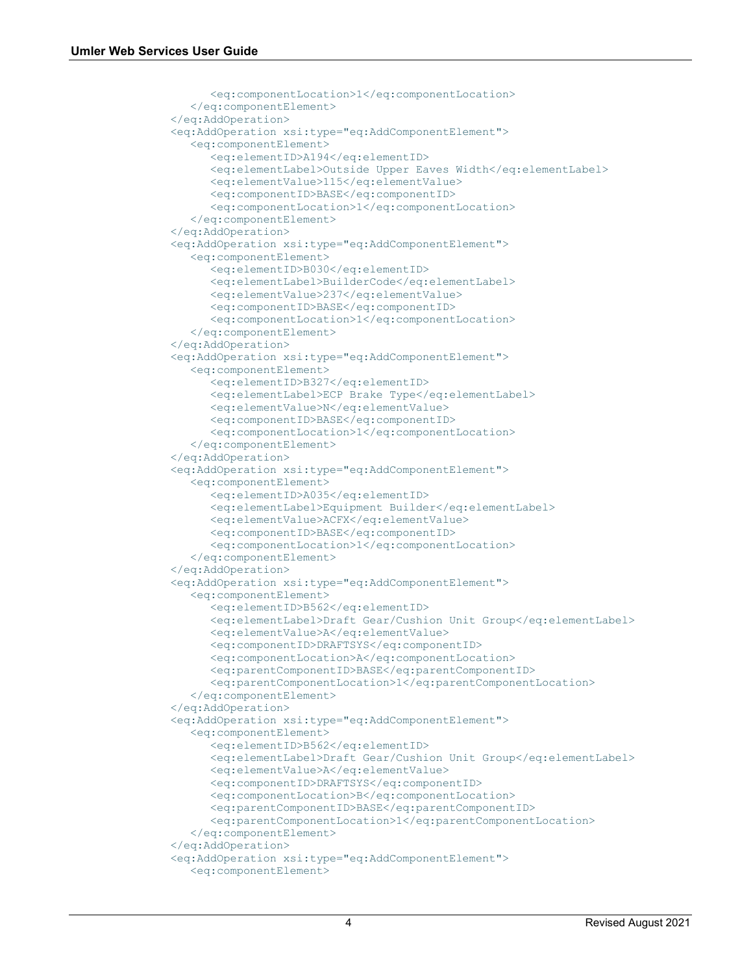```
 <eq:componentLocation>1</eq:componentLocation>
    </eq:componentElement>
 </eq:AddOperation>
 <eq:AddOperation xsi:type="eq:AddComponentElement">
    <eq:componentElement>
       <eq:elementID>A194</eq:elementID>
      <eq:elementLabel>Outside Upper Eaves Width</eq:elementLabel>
      <eq:elementValue>115</eq:elementValue>
      <eq:componentID>BASE</eq:componentID>
      <eq:componentLocation>1</eq:componentLocation>
    </eq:componentElement>
 </eq:AddOperation>
 <eq:AddOperation xsi:type="eq:AddComponentElement">
    <eq:componentElement>
       <eq:elementID>B030</eq:elementID>
      <eq:elementLabel>BuilderCode</eq:elementLabel>
       <eq:elementValue>237</eq:elementValue>
       <eq:componentID>BASE</eq:componentID>
      <eq:componentLocation>1</eq:componentLocation>
    </eq:componentElement>
 </eq:AddOperation>
 <eq:AddOperation xsi:type="eq:AddComponentElement">
    <eq:componentElement>
       <eq:elementID>B327</eq:elementID>
      <eq:elementLabel>ECP Brake Type</eq:elementLabel>
      <eq:elementValue>N</eq:elementValue>
      <eq:componentID>BASE</eq:componentID>
      <eq:componentLocation>1</eq:componentLocation>
    </eq:componentElement>
 </eq:AddOperation>
 <eq:AddOperation xsi:type="eq:AddComponentElement">
    <eq:componentElement>
       <eq:elementID>A035</eq:elementID>
      <eq:elementLabel>Equipment Builder</eq:elementLabel>
      <eq:elementValue>ACFX</eq:elementValue>
      <eq:componentID>BASE</eq:componentID>
      <eq:componentLocation>1</eq:componentLocation>
    </eq:componentElement>
 </eq:AddOperation>
 <eq:AddOperation xsi:type="eq:AddComponentElement">
    <eq:componentElement>
       <eq:elementID>B562</eq:elementID>
      <eq:elementLabel>Draft Gear/Cushion Unit Group</eq:elementLabel>
      <eq:elementValue>A</eq:elementValue>
      <eq:componentID>DRAFTSYS</eq:componentID>
      <eq:componentLocation>A</eq:componentLocation>
      <eq:parentComponentID>BASE</eq:parentComponentID>
      <eq:parentComponentLocation>1</eq:parentComponentLocation>
    </eq:componentElement>
 </eq:AddOperation>
 <eq:AddOperation xsi:type="eq:AddComponentElement">
    <eq:componentElement>
       <eq:elementID>B562</eq:elementID>
      <eq:elementLabel>Draft Gear/Cushion Unit Group</eq:elementLabel>
      <eq:elementValue>A</eq:elementValue>
      <eq:componentID>DRAFTSYS</eq:componentID>
      <eq:componentLocation>B</eq:componentLocation>
      <eq:parentComponentID>BASE</eq:parentComponentID>
      <eq:parentComponentLocation>1</eq:parentComponentLocation>
    </eq:componentElement>
 </eq:AddOperation>
 <eq:AddOperation xsi:type="eq:AddComponentElement">
    <eq:componentElement>
```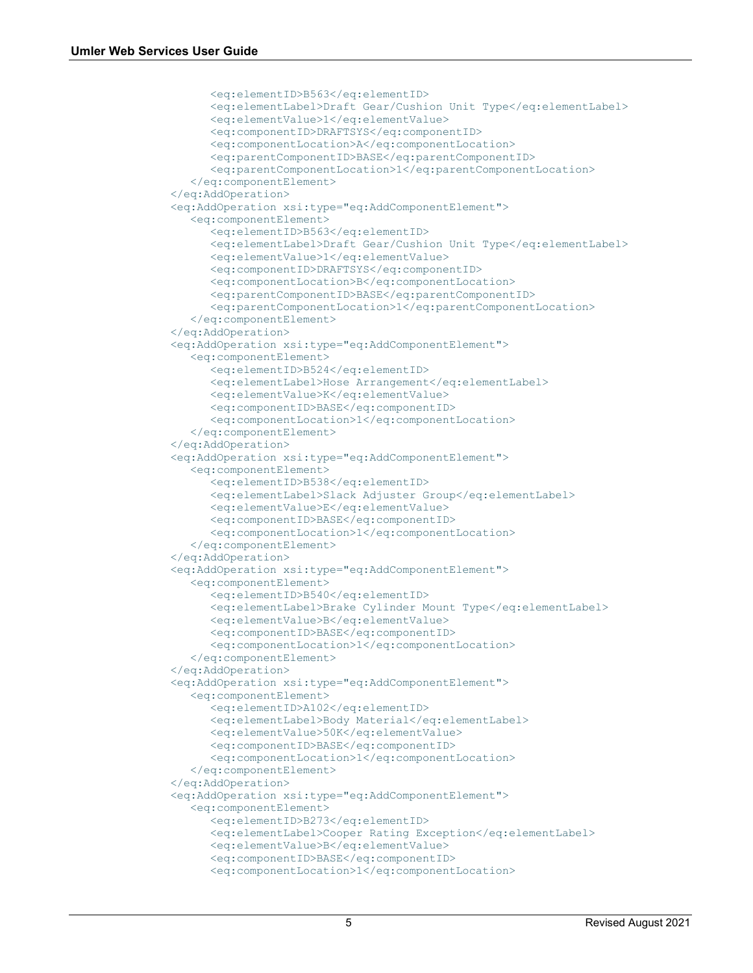```
 <eq:elementID>B563</eq:elementID>
      <eq:elementLabel>Draft Gear/Cushion Unit Type</eq:elementLabel>
      <eq:elementValue>1</eq:elementValue>
      <eq:componentID>DRAFTSYS</eq:componentID>
      <eq:componentLocation>A</eq:componentLocation>
      <eq:parentComponentID>BASE</eq:parentComponentID>
      <eq:parentComponentLocation>1</eq:parentComponentLocation>
    </eq:componentElement>
 </eq:AddOperation>
 <eq:AddOperation xsi:type="eq:AddComponentElement">
    <eq:componentElement>
       <eq:elementID>B563</eq:elementID>
      <eq:elementLabel>Draft Gear/Cushion Unit Type</eq:elementLabel>
      <eq:elementValue>1</eq:elementValue>
      <eq:componentID>DRAFTSYS</eq:componentID>
      <eq:componentLocation>B</eq:componentLocation>
      <eq:parentComponentID>BASE</eq:parentComponentID>
      <eq:parentComponentLocation>1</eq:parentComponentLocation>
    </eq:componentElement>
 </eq:AddOperation>
 <eq:AddOperation xsi:type="eq:AddComponentElement">
    <eq:componentElement>
       <eq:elementID>B524</eq:elementID>
      <eq:elementLabel>Hose Arrangement</eq:elementLabel>
      <eq:elementValue>K</eq:elementValue>
      <eq:componentID>BASE</eq:componentID>
      <eq:componentLocation>1</eq:componentLocation>
    </eq:componentElement>
 </eq:AddOperation>
 <eq:AddOperation xsi:type="eq:AddComponentElement">
    <eq:componentElement>
       <eq:elementID>B538</eq:elementID>
      <eq:elementLabel>Slack Adjuster Group</eq:elementLabel>
      <eq:elementValue>E</eq:elementValue>
      <eq:componentID>BASE</eq:componentID>
      <eq:componentLocation>1</eq:componentLocation>
    </eq:componentElement>
 </eq:AddOperation>
 <eq:AddOperation xsi:type="eq:AddComponentElement">
    <eq:componentElement>
       <eq:elementID>B540</eq:elementID>
       <eq:elementLabel>Brake Cylinder Mount Type</eq:elementLabel>
       <eq:elementValue>B</eq:elementValue>
      <eq:componentID>BASE</eq:componentID>
      <eq:componentLocation>1</eq:componentLocation>
    </eq:componentElement>
 </eq:AddOperation>
 <eq:AddOperation xsi:type="eq:AddComponentElement">
    <eq:componentElement>
       <eq:elementID>A102</eq:elementID>
      <eq:elementLabel>Body Material</eq:elementLabel>
      <eq:elementValue>50K</eq:elementValue>
      <eq:componentID>BASE</eq:componentID>
      <eq:componentLocation>1</eq:componentLocation>
    </eq:componentElement>
 </eq:AddOperation>
 <eq:AddOperation xsi:type="eq:AddComponentElement">
    <eq:componentElement>
       <eq:elementID>B273</eq:elementID>
      <eq:elementLabel>Cooper Rating Exception</eq:elementLabel>
      <eq:elementValue>B</eq:elementValue>
      <eq:componentID>BASE</eq:componentID>
      <eq:componentLocation>1</eq:componentLocation>
```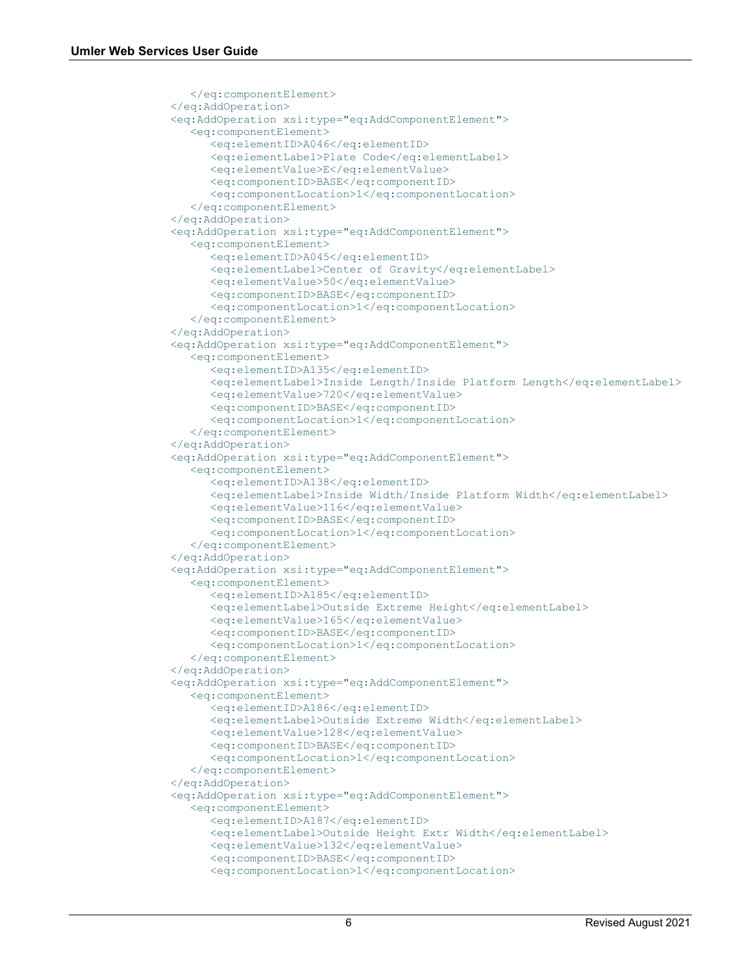```
 </eq:componentElement>
 </eq:AddOperation>
 <eq:AddOperation xsi:type="eq:AddComponentElement">
    <eq:componentElement>
       <eq:elementID>A046</eq:elementID>
       <eq:elementLabel>Plate Code</eq:elementLabel>
       <eq:elementValue>E</eq:elementValue>
      <eq:componentID>BASE</eq:componentID>
      <eq:componentLocation>1</eq:componentLocation>
    </eq:componentElement>
 </eq:AddOperation>
 <eq:AddOperation xsi:type="eq:AddComponentElement">
    <eq:componentElement>
       <eq:elementID>A045</eq:elementID>
      <eq:elementLabel>Center of Gravity</eq:elementLabel>
      <eq:elementValue>50</eq:elementValue>
      <eq:componentID>BASE</eq:componentID>
      <eq:componentLocation>1</eq:componentLocation>
    </eq:componentElement>
 </eq:AddOperation>
 <eq:AddOperation xsi:type="eq:AddComponentElement">
    <eq:componentElement>
       <eq:elementID>A135</eq:elementID>
      <eq:elementLabel>Inside Length/Inside Platform Length</eq:elementLabel>
      <eq:elementValue>720</eq:elementValue>
      <eq:componentID>BASE</eq:componentID>
      <eq:componentLocation>1</eq:componentLocation>
    </eq:componentElement>
 </eq:AddOperation>
 <eq:AddOperation xsi:type="eq:AddComponentElement">
    <eq:componentElement>
       <eq:elementID>A138</eq:elementID>
       <eq:elementLabel>Inside Width/Inside Platform Width</eq:elementLabel>
       <eq:elementValue>116</eq:elementValue>
      <eq:componentID>BASE</eq:componentID>
      <eq:componentLocation>1</eq:componentLocation>
    </eq:componentElement>
 </eq:AddOperation>
 <eq:AddOperation xsi:type="eq:AddComponentElement">
    <eq:componentElement>
       <eq:elementID>A185</eq:elementID>
       <eq:elementLabel>Outside Extreme Height</eq:elementLabel>
       <eq:elementValue>165</eq:elementValue>
      <eq:componentID>BASE</eq:componentID>
      <eq:componentLocation>1</eq:componentLocation>
    </eq:componentElement>
 </eq:AddOperation>
 <eq:AddOperation xsi:type="eq:AddComponentElement">
    <eq:componentElement>
       <eq:elementID>A186</eq:elementID>
      <eq:elementLabel>Outside Extreme Width</eq:elementLabel>
      <eq:elementValue>128</eq:elementValue>
      <eq:componentID>BASE</eq:componentID>
      <eq:componentLocation>1</eq:componentLocation>
    </eq:componentElement>
 </eq:AddOperation>
 <eq:AddOperation xsi:type="eq:AddComponentElement">
    <eq:componentElement>
       <eq:elementID>A187</eq:elementID>
      <eq:elementLabel>Outside Height Extr Width</eq:elementLabel>
      <eq:elementValue>132</eq:elementValue>
      <eq:componentID>BASE</eq:componentID>
      <eq:componentLocation>1</eq:componentLocation>
```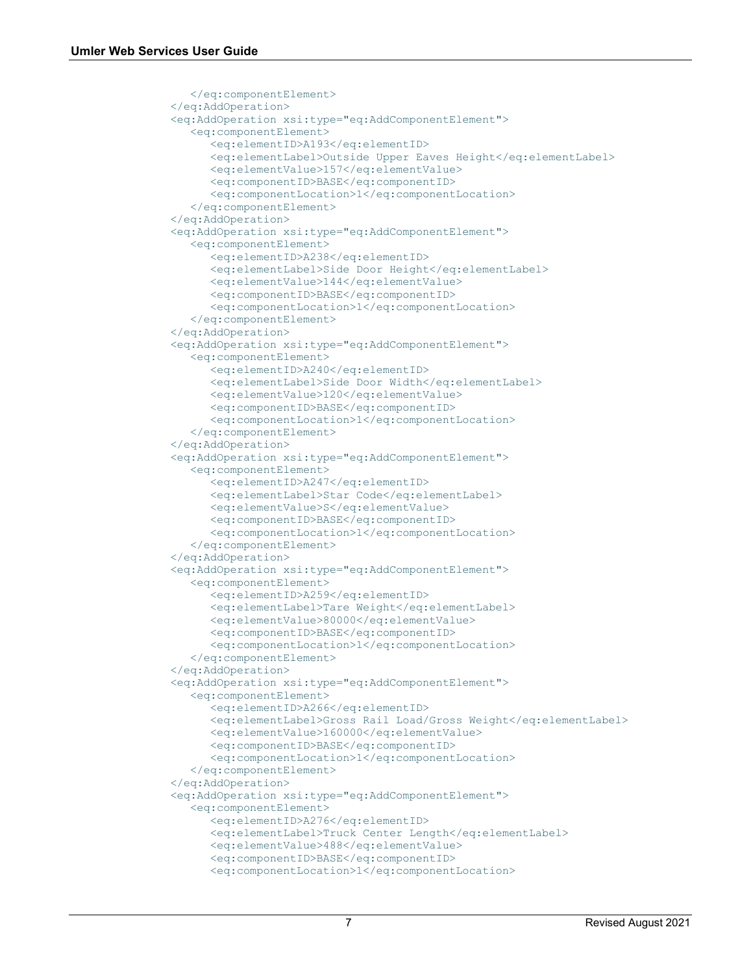```
 </eq:componentElement>
 </eq:AddOperation>
 <eq:AddOperation xsi:type="eq:AddComponentElement">
    <eq:componentElement>
       <eq:elementID>A193</eq:elementID>
       <eq:elementLabel>Outside Upper Eaves Height</eq:elementLabel>
       <eq:elementValue>157</eq:elementValue>
      <eq:componentID>BASE</eq:componentID>
      <eq:componentLocation>1</eq:componentLocation>
    </eq:componentElement>
 </eq:AddOperation>
 <eq:AddOperation xsi:type="eq:AddComponentElement">
    <eq:componentElement>
       <eq:elementID>A238</eq:elementID>
       <eq:elementLabel>Side Door Height</eq:elementLabel>
       <eq:elementValue>144</eq:elementValue>
      <eq:componentID>BASE</eq:componentID>
      <eq:componentLocation>1</eq:componentLocation>
    </eq:componentElement>
 </eq:AddOperation>
 <eq:AddOperation xsi:type="eq:AddComponentElement">
    <eq:componentElement>
       <eq:elementID>A240</eq:elementID>
       <eq:elementLabel>Side Door Width</eq:elementLabel>
       <eq:elementValue>120</eq:elementValue>
      <eq:componentID>BASE</eq:componentID>
      <eq:componentLocation>1</eq:componentLocation>
    </eq:componentElement>
 </eq:AddOperation>
 <eq:AddOperation xsi:type="eq:AddComponentElement">
    <eq:componentElement>
       <eq:elementID>A247</eq:elementID>
      <eq:elementLabel>Star Code</eq:elementLabel>
      <eq:elementValue>S</eq:elementValue>
      <eq:componentID>BASE</eq:componentID>
      <eq:componentLocation>1</eq:componentLocation>
    </eq:componentElement>
 </eq:AddOperation>
 <eq:AddOperation xsi:type="eq:AddComponentElement">
    <eq:componentElement>
       <eq:elementID>A259</eq:elementID>
      <eq:elementLabel>Tare Weight</eq:elementLabel>
      <eq:elementValue>80000</eq:elementValue>
      <eq:componentID>BASE</eq:componentID>
      <eq:componentLocation>1</eq:componentLocation>
    </eq:componentElement>
 </eq:AddOperation>
 <eq:AddOperation xsi:type="eq:AddComponentElement">
    <eq:componentElement>
       <eq:elementID>A266</eq:elementID>
      <eq:elementLabel>Gross Rail Load/Gross Weight</eq:elementLabel>
      <eq:elementValue>160000</eq:elementValue>
      <eq:componentID>BASE</eq:componentID>
      <eq:componentLocation>1</eq:componentLocation>
    </eq:componentElement>
 </eq:AddOperation>
 <eq:AddOperation xsi:type="eq:AddComponentElement">
    <eq:componentElement>
       <eq:elementID>A276</eq:elementID>
      <eq:elementLabel>Truck Center Length</eq:elementLabel>
      <eq:elementValue>488</eq:elementValue>
      <eq:componentID>BASE</eq:componentID>
      <eq:componentLocation>1</eq:componentLocation>
```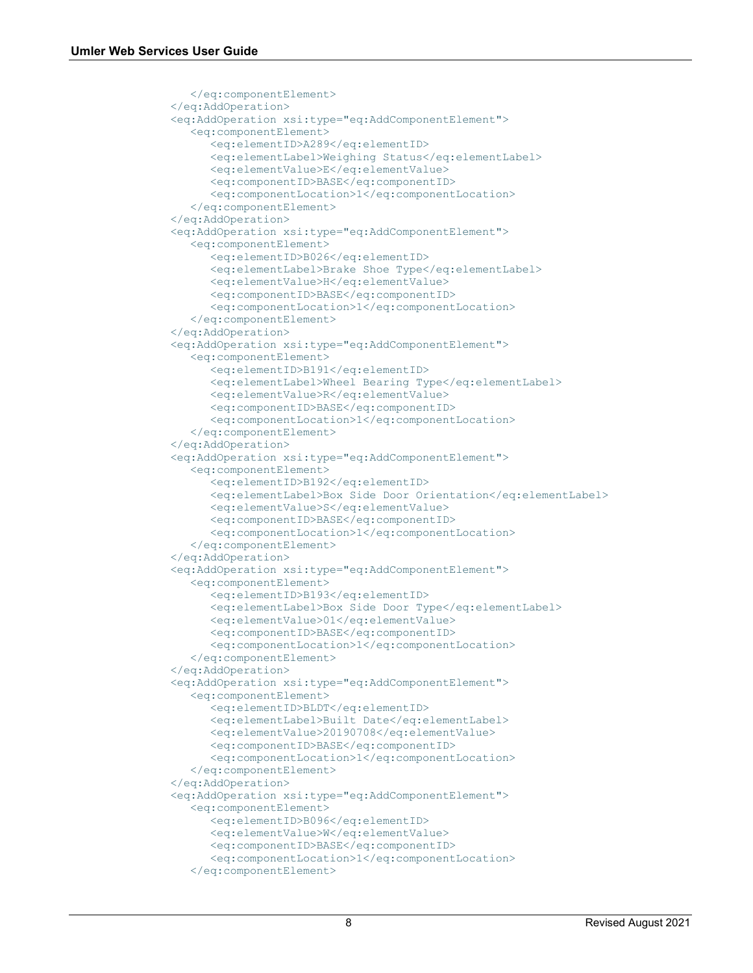```
 </eq:componentElement>
 </eq:AddOperation>
 <eq:AddOperation xsi:type="eq:AddComponentElement">
    <eq:componentElement>
       <eq:elementID>A289</eq:elementID>
      <eq:elementLabel>Weighing Status</eq:elementLabel>
       <eq:elementValue>E</eq:elementValue>
       <eq:componentID>BASE</eq:componentID>
      <eq:componentLocation>1</eq:componentLocation>
    </eq:componentElement>
 </eq:AddOperation>
 <eq:AddOperation xsi:type="eq:AddComponentElement">
    <eq:componentElement>
       <eq:elementID>B026</eq:elementID>
      <eq:elementLabel>Brake Shoe Type</eq:elementLabel>
      <eq:elementValue>H</eq:elementValue>
      <eq:componentID>BASE</eq:componentID>
      <eq:componentLocation>1</eq:componentLocation>
    </eq:componentElement>
 </eq:AddOperation>
 <eq:AddOperation xsi:type="eq:AddComponentElement">
    <eq:componentElement>
       <eq:elementID>B191</eq:elementID>
      <eq:elementLabel>Wheel Bearing Type</eq:elementLabel>
       <eq:elementValue>R</eq:elementValue>
       <eq:componentID>BASE</eq:componentID>
      <eq:componentLocation>1</eq:componentLocation>
    </eq:componentElement>
 </eq:AddOperation>
 <eq:AddOperation xsi:type="eq:AddComponentElement">
    <eq:componentElement>
       <eq:elementID>B192</eq:elementID>
      <eq:elementLabel>Box Side Door Orientation</eq:elementLabel>
      <eq:elementValue>S</eq:elementValue>
      <eq:componentID>BASE</eq:componentID>
      <eq:componentLocation>1</eq:componentLocation>
    </eq:componentElement>
 </eq:AddOperation>
 <eq:AddOperation xsi:type="eq:AddComponentElement">
    <eq:componentElement>
       <eq:elementID>B193</eq:elementID>
      <eq:elementLabel>Box Side Door Type</eq:elementLabel>
      <eq:elementValue>01</eq:elementValue>
      <eq:componentID>BASE</eq:componentID>
      <eq:componentLocation>1</eq:componentLocation>
    </eq:componentElement>
 </eq:AddOperation>
 <eq:AddOperation xsi:type="eq:AddComponentElement">
    <eq:componentElement>
       <eq:elementID>BLDT</eq:elementID>
      <eq:elementLabel>Built Date</eq:elementLabel>
      <eq:elementValue>20190708</eq:elementValue>
      <eq:componentID>BASE</eq:componentID>
      <eq:componentLocation>1</eq:componentLocation>
    </eq:componentElement>
 </eq:AddOperation>
 <eq:AddOperation xsi:type="eq:AddComponentElement">
    <eq:componentElement>
       <eq:elementID>B096</eq:elementID>
      <eq:elementValue>W</eq:elementValue>
      <eq:componentID>BASE</eq:componentID>
      <eq:componentLocation>1</eq:componentLocation>
    </eq:componentElement>
```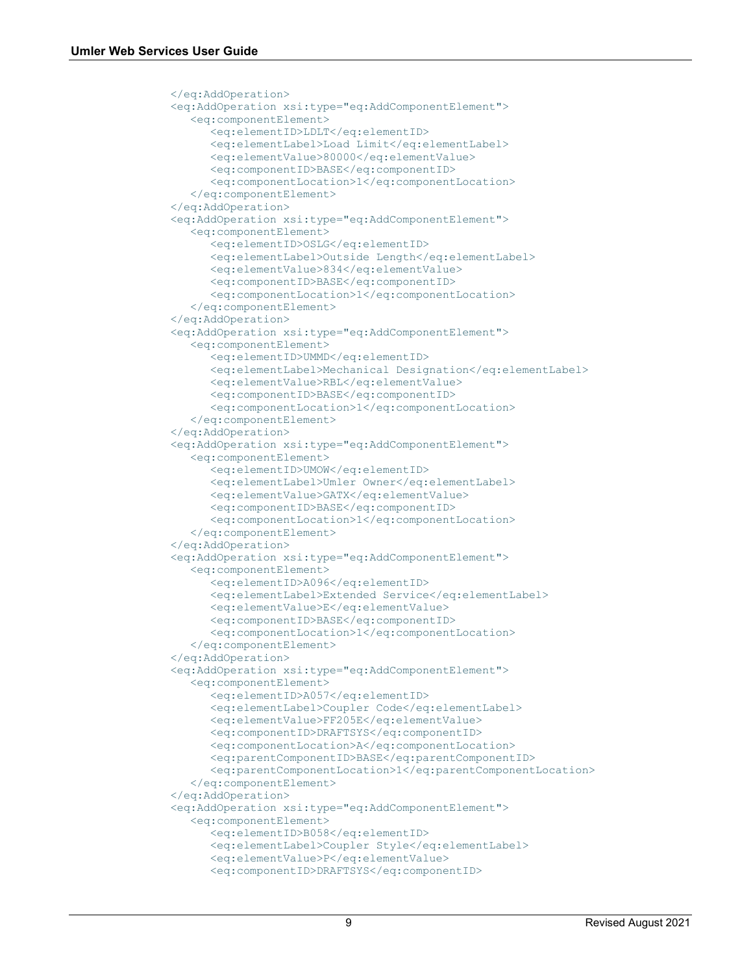```
 </eq:AddOperation>
 <eq:AddOperation xsi:type="eq:AddComponentElement">
    <eq:componentElement>
       <eq:elementID>LDLT</eq:elementID>
      <eq:elementLabel>Load Limit</eq:elementLabel>
      <eq:elementValue>80000</eq:elementValue>
      <eq:componentID>BASE</eq:componentID>
       <eq:componentLocation>1</eq:componentLocation>
    </eq:componentElement>
 </eq:AddOperation>
 <eq:AddOperation xsi:type="eq:AddComponentElement">
    <eq:componentElement>
       <eq:elementID>OSLG</eq:elementID>
      <eq:elementLabel>Outside Length</eq:elementLabel>
      <eq:elementValue>834</eq:elementValue>
      <eq:componentID>BASE</eq:componentID>
      <eq:componentLocation>1</eq:componentLocation>
    </eq:componentElement>
 </eq:AddOperation>
 <eq:AddOperation xsi:type="eq:AddComponentElement">
    <eq:componentElement>
       <eq:elementID>UMMD</eq:elementID>
      <eq:elementLabel>Mechanical Designation</eq:elementLabel>
      <eq:elementValue>RBL</eq:elementValue>
      <eq:componentID>BASE</eq:componentID>
      <eq:componentLocation>1</eq:componentLocation>
    </eq:componentElement>
 </eq:AddOperation>
 <eq:AddOperation xsi:type="eq:AddComponentElement">
    <eq:componentElement>
       <eq:elementID>UMOW</eq:elementID>
       <eq:elementLabel>Umler Owner</eq:elementLabel>
      <eq:elementValue>GATX</eq:elementValue>
      <eq:componentID>BASE</eq:componentID>
       <eq:componentLocation>1</eq:componentLocation>
   </eq:componentElement>
 </eq:AddOperation>
 <eq:AddOperation xsi:type="eq:AddComponentElement">
    <eq:componentElement>
       <eq:elementID>A096</eq:elementID>
      <eq:elementLabel>Extended Service</eq:elementLabel>
      <eq:elementValue>E</eq:elementValue>
      <eq:componentID>BASE</eq:componentID>
       <eq:componentLocation>1</eq:componentLocation>
    </eq:componentElement>
 </eq:AddOperation>
 <eq:AddOperation xsi:type="eq:AddComponentElement">
    <eq:componentElement>
       <eq:elementID>A057</eq:elementID>
       <eq:elementLabel>Coupler Code</eq:elementLabel>
      <eq:elementValue>FF205E</eq:elementValue>
      <eq:componentID>DRAFTSYS</eq:componentID>
      <eq:componentLocation>A</eq:componentLocation>
      <eq:parentComponentID>BASE</eq:parentComponentID>
      <eq:parentComponentLocation>1</eq:parentComponentLocation>
    </eq:componentElement>
 </eq:AddOperation>
 <eq:AddOperation xsi:type="eq:AddComponentElement">
    <eq:componentElement>
       <eq:elementID>B058</eq:elementID>
      <eq:elementLabel>Coupler Style</eq:elementLabel>
       <eq:elementValue>P</eq:elementValue>
       <eq:componentID>DRAFTSYS</eq:componentID>
```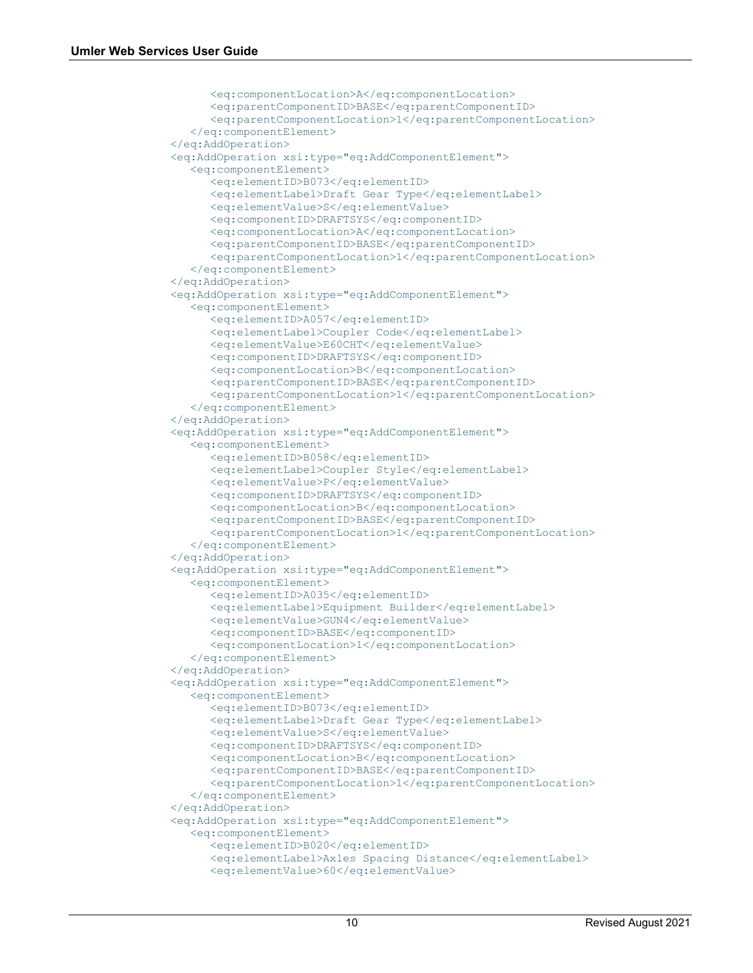```
 <eq:componentLocation>A</eq:componentLocation>
      <eq:parentComponentID>BASE</eq:parentComponentID>
       <eq:parentComponentLocation>1</eq:parentComponentLocation>
    </eq:componentElement>
 </eq:AddOperation>
 <eq:AddOperation xsi:type="eq:AddComponentElement">
    <eq:componentElement>
       <eq:elementID>B073</eq:elementID>
      <eq:elementLabel>Draft Gear Type</eq:elementLabel>
      <eq:elementValue>S</eq:elementValue>
      <eq:componentID>DRAFTSYS</eq:componentID>
      <eq:componentLocation>A</eq:componentLocation>
      <eq:parentComponentID>BASE</eq:parentComponentID>
      <eq:parentComponentLocation>1</eq:parentComponentLocation>
    </eq:componentElement>
 </eq:AddOperation>
 <eq:AddOperation xsi:type="eq:AddComponentElement">
    <eq:componentElement>
       <eq:elementID>A057</eq:elementID>
      <eq:elementLabel>Coupler Code</eq:elementLabel>
      <eq:elementValue>E60CHT</eq:elementValue>
      <eq:componentID>DRAFTSYS</eq:componentID>
      <eq:componentLocation>B</eq:componentLocation>
      <eq:parentComponentID>BASE</eq:parentComponentID>
      <eq:parentComponentLocation>1</eq:parentComponentLocation>
    </eq:componentElement>
 </eq:AddOperation>
 <eq:AddOperation xsi:type="eq:AddComponentElement">
    <eq:componentElement>
       <eq:elementID>B058</eq:elementID>
      <eq:elementLabel>Coupler Style</eq:elementLabel>
      <eq:elementValue>P</eq:elementValue>
      <eq:componentID>DRAFTSYS</eq:componentID>
      <eq:componentLocation>B</eq:componentLocation>
      <eq:parentComponentID>BASE</eq:parentComponentID>
      <eq:parentComponentLocation>1</eq:parentComponentLocation>
    </eq:componentElement>
 </eq:AddOperation>
 <eq:AddOperation xsi:type="eq:AddComponentElement">
    <eq:componentElement>
       <eq:elementID>A035</eq:elementID>
      <eq:elementLabel>Equipment Builder</eq:elementLabel>
      <eq:elementValue>GUN4</eq:elementValue>
      <eq:componentID>BASE</eq:componentID>
      <eq:componentLocation>1</eq:componentLocation>
    </eq:componentElement>
 </eq:AddOperation>
 <eq:AddOperation xsi:type="eq:AddComponentElement">
    <eq:componentElement>
       <eq:elementID>B073</eq:elementID>
       <eq:elementLabel>Draft Gear Type</eq:elementLabel>
       <eq:elementValue>S</eq:elementValue>
      <eq:componentID>DRAFTSYS</eq:componentID>
      <eq:componentLocation>B</eq:componentLocation>
       <eq:parentComponentID>BASE</eq:parentComponentID>
       <eq:parentComponentLocation>1</eq:parentComponentLocation>
    </eq:componentElement>
 </eq:AddOperation>
 <eq:AddOperation xsi:type="eq:AddComponentElement">
    <eq:componentElement>
       <eq:elementID>B020</eq:elementID>
      <eq:elementLabel>Axles Spacing Distance</eq:elementLabel>
      <eq:elementValue>60</eq:elementValue>
```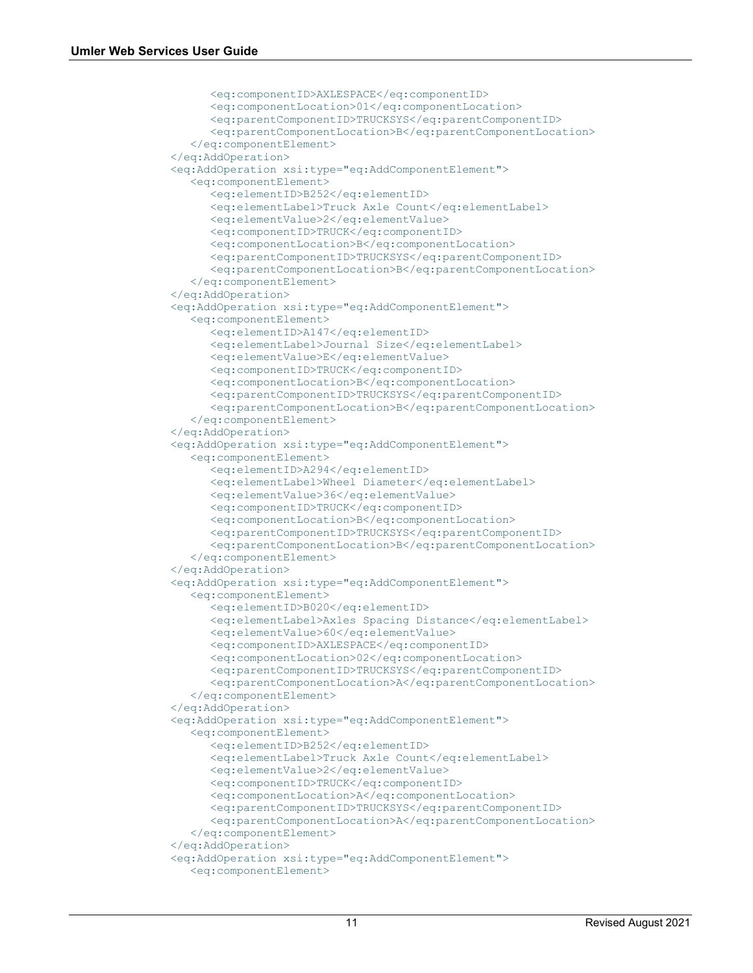```
 <eq:componentID>AXLESPACE</eq:componentID>
      <eq:componentLocation>01</eq:componentLocation>
      <eq:parentComponentID>TRUCKSYS</eq:parentComponentID>
       <eq:parentComponentLocation>B</eq:parentComponentLocation>
    </eq:componentElement>
 </eq:AddOperation>
 <eq:AddOperation xsi:type="eq:AddComponentElement">
    <eq:componentElement>
       <eq:elementID>B252</eq:elementID>
       <eq:elementLabel>Truck Axle Count</eq:elementLabel>
      <eq:elementValue>2</eq:elementValue>
      <eq:componentID>TRUCK</eq:componentID>
       <eq:componentLocation>B</eq:componentLocation>
       <eq:parentComponentID>TRUCKSYS</eq:parentComponentID>
      <eq:parentComponentLocation>B</eq:parentComponentLocation>
    </eq:componentElement>
 </eq:AddOperation>
 <eq:AddOperation xsi:type="eq:AddComponentElement">
    <eq:componentElement>
       <eq:elementID>A147</eq:elementID>
      <eq:elementLabel>Journal Size</eq:elementLabel>
      <eq:elementValue>E</eq:elementValue>
      <eq:componentID>TRUCK</eq:componentID>
      <eq:componentLocation>B</eq:componentLocation>
      <eq:parentComponentID>TRUCKSYS</eq:parentComponentID>
      <eq:parentComponentLocation>B</eq:parentComponentLocation>
    </eq:componentElement>
 </eq:AddOperation>
 <eq:AddOperation xsi:type="eq:AddComponentElement">
    <eq:componentElement>
       <eq:elementID>A294</eq:elementID>
      <eq:elementLabel>Wheel Diameter</eq:elementLabel>
      <eq:elementValue>36</eq:elementValue>
      <eq:componentID>TRUCK</eq:componentID>
      <eq:componentLocation>B</eq:componentLocation>
      <eq:parentComponentID>TRUCKSYS</eq:parentComponentID>
      <eq:parentComponentLocation>B</eq:parentComponentLocation>
    </eq:componentElement>
 </eq:AddOperation>
 <eq:AddOperation xsi:type="eq:AddComponentElement">
    <eq:componentElement>
       <eq:elementID>B020</eq:elementID>
      <eq:elementLabel>Axles Spacing Distance</eq:elementLabel>
      <eq:elementValue>60</eq:elementValue>
      <eq:componentID>AXLESPACE</eq:componentID>
      <eq:componentLocation>02</eq:componentLocation>
       <eq:parentComponentID>TRUCKSYS</eq:parentComponentID>
       <eq:parentComponentLocation>A</eq:parentComponentLocation>
    </eq:componentElement>
 </eq:AddOperation>
 <eq:AddOperation xsi:type="eq:AddComponentElement">
    <eq:componentElement>
       <eq:elementID>B252</eq:elementID>
      <eq:elementLabel>Truck Axle Count</eq:elementLabel>
      <eq:elementValue>2</eq:elementValue>
      <eq:componentID>TRUCK</eq:componentID>
      <eq:componentLocation>A</eq:componentLocation>
      <eq:parentComponentID>TRUCKSYS</eq:parentComponentID>
      <eq:parentComponentLocation>A</eq:parentComponentLocation>
    </eq:componentElement>
 </eq:AddOperation>
 <eq:AddOperation xsi:type="eq:AddComponentElement">
    <eq:componentElement>
```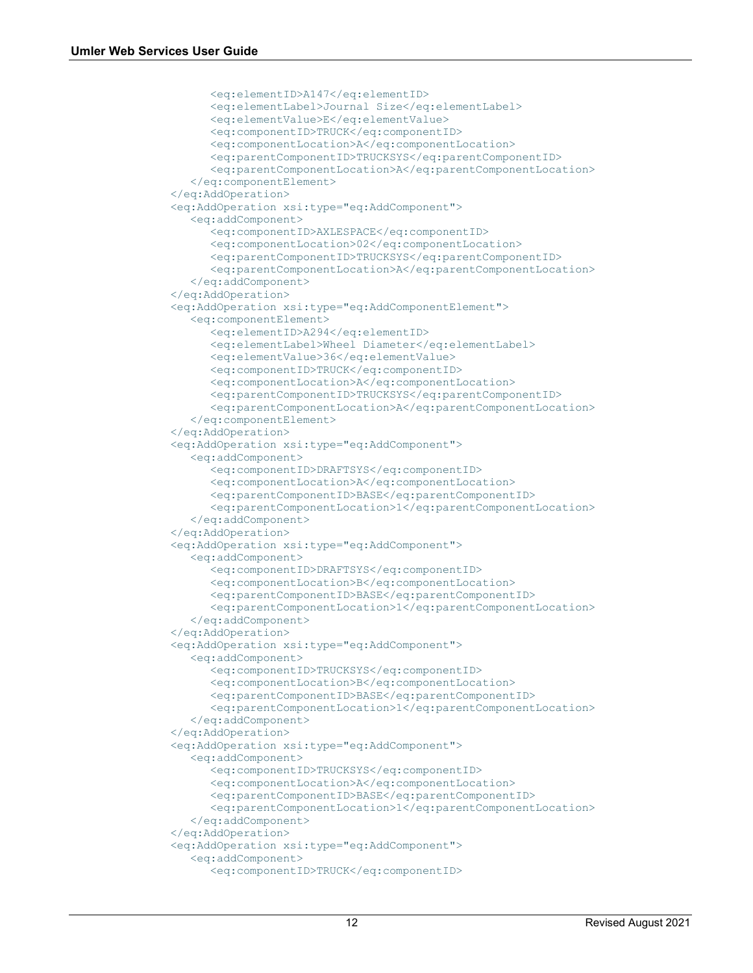```
 <eq:elementID>A147</eq:elementID>
       <eq:elementLabel>Journal Size</eq:elementLabel>
      <eq:elementValue>E</eq:elementValue>
      <eq:componentID>TRUCK</eq:componentID>
      <eq:componentLocation>A</eq:componentLocation>
      <eq:parentComponentID>TRUCKSYS</eq:parentComponentID>
      <eq:parentComponentLocation>A</eq:parentComponentLocation>
    </eq:componentElement>
 </eq:AddOperation>
 <eq:AddOperation xsi:type="eq:AddComponent">
    <eq:addComponent>
       <eq:componentID>AXLESPACE</eq:componentID>
      <eq:componentLocation>02</eq:componentLocation>
       <eq:parentComponentID>TRUCKSYS</eq:parentComponentID>
       <eq:parentComponentLocation>A</eq:parentComponentLocation>
    </eq:addComponent>
 </eq:AddOperation>
 <eq:AddOperation xsi:type="eq:AddComponentElement">
    <eq:componentElement>
       <eq:elementID>A294</eq:elementID>
      <eq:elementLabel>Wheel Diameter</eq:elementLabel>
      <eq:elementValue>36</eq:elementValue>
      <eq:componentID>TRUCK</eq:componentID>
      <eq:componentLocation>A</eq:componentLocation>
      <eq:parentComponentID>TRUCKSYS</eq:parentComponentID>
      <eq:parentComponentLocation>A</eq:parentComponentLocation>
    </eq:componentElement>
 </eq:AddOperation>
 <eq:AddOperation xsi:type="eq:AddComponent">
    <eq:addComponent>
       <eq:componentID>DRAFTSYS</eq:componentID>
      <eq:componentLocation>A</eq:componentLocation>
      <eq:parentComponentID>BASE</eq:parentComponentID>
      <eq:parentComponentLocation>1</eq:parentComponentLocation>
    </eq:addComponent>
 </eq:AddOperation>
 <eq:AddOperation xsi:type="eq:AddComponent">
    <eq:addComponent>
       <eq:componentID>DRAFTSYS</eq:componentID>
      <eq:componentLocation>B</eq:componentLocation>
      <eq:parentComponentID>BASE</eq:parentComponentID>
      <eq:parentComponentLocation>1</eq:parentComponentLocation>
    </eq:addComponent>
 </eq:AddOperation>
 <eq:AddOperation xsi:type="eq:AddComponent">
    <eq:addComponent>
       <eq:componentID>TRUCKSYS</eq:componentID>
      <eq:componentLocation>B</eq:componentLocation>
      <eq:parentComponentID>BASE</eq:parentComponentID>
      <eq:parentComponentLocation>1</eq:parentComponentLocation>
    </eq:addComponent>
 </eq:AddOperation>
 <eq:AddOperation xsi:type="eq:AddComponent">
    <eq:addComponent>
       <eq:componentID>TRUCKSYS</eq:componentID>
      <eq:componentLocation>A</eq:componentLocation>
      <eq:parentComponentID>BASE</eq:parentComponentID>
       <eq:parentComponentLocation>1</eq:parentComponentLocation>
   </eq:addComponent>
 </eq:AddOperation>
 <eq:AddOperation xsi:type="eq:AddComponent">
    <eq:addComponent>
       <eq:componentID>TRUCK</eq:componentID>
```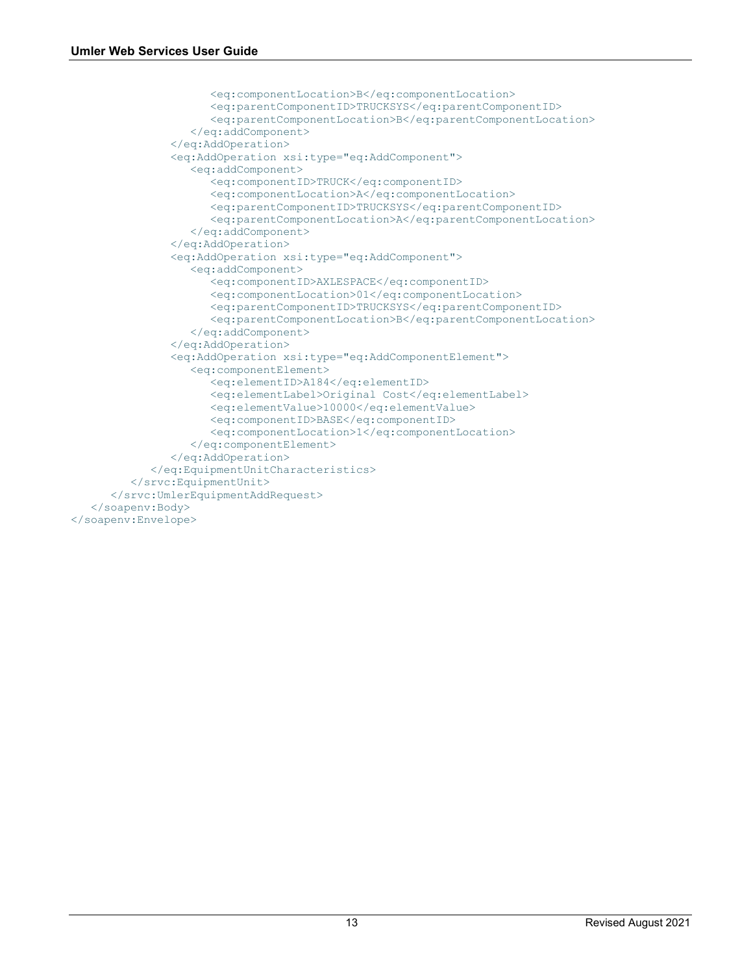```
 <eq:componentLocation>B</eq:componentLocation>
                     <eq:parentComponentID>TRUCKSYS</eq:parentComponentID>
                     <eq:parentComponentLocation>B</eq:parentComponentLocation>
                   </eq:addComponent>
                </eq:AddOperation>
                <eq:AddOperation xsi:type="eq:AddComponent">
                   <eq:addComponent>
                      <eq:componentID>TRUCK</eq:componentID>
                     <eq:componentLocation>A</eq:componentLocation>
                     <eq:parentComponentID>TRUCKSYS</eq:parentComponentID>
                     <eq:parentComponentLocation>A</eq:parentComponentLocation>
                   </eq:addComponent>
                </eq:AddOperation>
                <eq:AddOperation xsi:type="eq:AddComponent">
                   <eq:addComponent>
                      <eq:componentID>AXLESPACE</eq:componentID>
                     <eq:componentLocation>01</eq:componentLocation>
                     <eq:parentComponentID>TRUCKSYS</eq:parentComponentID>
                     <eq:parentComponentLocation>B</eq:parentComponentLocation>
                   </eq:addComponent>
                </eq:AddOperation>
                <eq:AddOperation xsi:type="eq:AddComponentElement">
                   <eq:componentElement>
                      <eq:elementID>A184</eq:elementID>
                     <eq:elementLabel>Original Cost</eq:elementLabel>
                     <eq:elementValue>10000</eq:elementValue>
                     <eq:componentID>BASE</eq:componentID>
                     <eq:componentLocation>1</eq:componentLocation>
                   </eq:componentElement>
                </eq:AddOperation>
             </eq:EquipmentUnitCharacteristics>
          </srvc:EquipmentUnit>
       </srvc:UmlerEquipmentAddRequest>
    </soapenv:Body>
</soapenv:Envelope>
```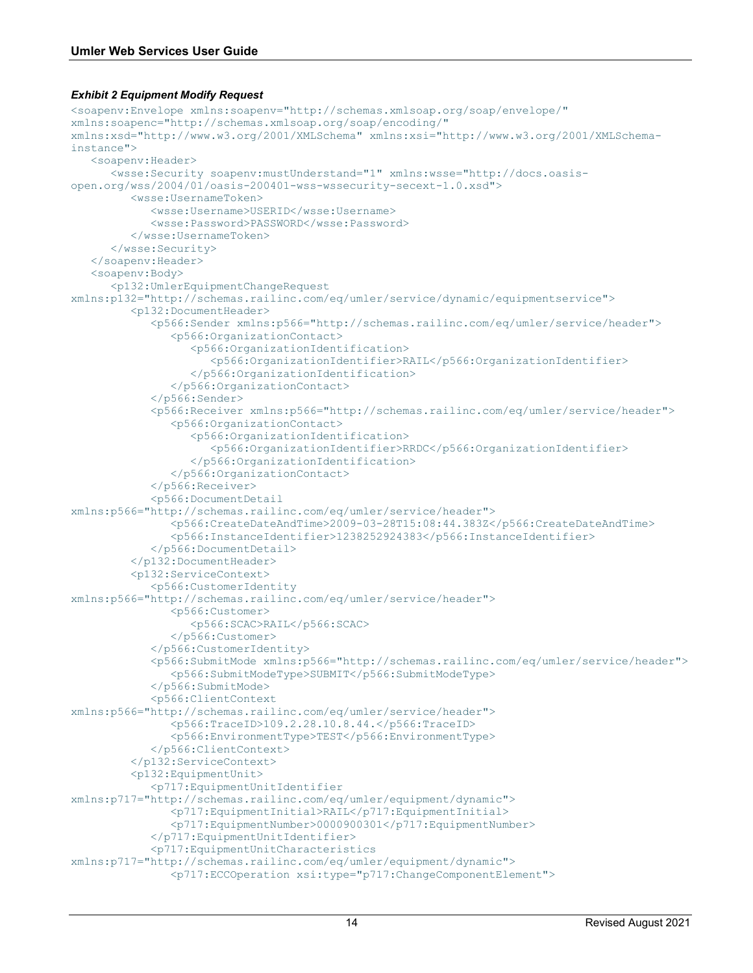#### <span id="page-15-0"></span>*Exhibit 2 Equipment Modify Request*

```
<soapenv:Envelope xmlns:soapenv="http://schemas.xmlsoap.org/soap/envelope/" 
xmlns:soapenc="http://schemas.xmlsoap.org/soap/encoding/" 
xmlns:xsd="http://www.w3.org/2001/XMLSchema" xmlns:xsi="http://www.w3.org/2001/XMLSchema-
instance">
    <soapenv:Header>
       <wsse:Security soapenv:mustUnderstand="1" xmlns:wsse="http://docs.oasis-
open.org/wss/2004/01/oasis-200401-wss-wssecurity-secext-1.0.xsd">
          <wsse:UsernameToken>
             <wsse:Username>USERID</wsse:Username>
             <wsse:Password>PASSWORD</wsse:Password>
          </wsse:UsernameToken>
       </wsse:Security>
    </soapenv:Header>
    <soapenv:Body>
       <p132:UmlerEquipmentChangeRequest 
xmlns:p132="http://schemas.railinc.com/eq/umler/service/dynamic/equipmentservice">
          <p132:DocumentHeader>
             <p566:Sender xmlns:p566="http://schemas.railinc.com/eq/umler/service/header">
                <p566:OrganizationContact>
                   <p566:OrganizationIdentification>
                      <p566:OrganizationIdentifier>RAIL</p566:OrganizationIdentifier>
                   </p566:OrganizationIdentification>
                </p566:OrganizationContact>
            </p566:Sender>
             <p566:Receiver xmlns:p566="http://schemas.railinc.com/eq/umler/service/header">
                <p566:OrganizationContact>
                   <p566:OrganizationIdentification>
                      <p566:OrganizationIdentifier>RRDC</p566:OrganizationIdentifier>
                   </p566:OrganizationIdentification>
                </p566:OrganizationContact>
             </p566:Receiver>
             <p566:DocumentDetail 
xmlns:p566="http://schemas.railinc.com/eq/umler/service/header">
                <p566:CreateDateAndTime>2009-03-28T15:08:44.383Z</p566:CreateDateAndTime>
                <p566:InstanceIdentifier>1238252924383</p566:InstanceIdentifier>
             </p566:DocumentDetail>
          </p132:DocumentHeader>
          <p132:ServiceContext>
             <p566:CustomerIdentity 
xmlns:p566="http://schemas.railinc.com/eq/umler/service/header">
                <p566:Customer>
                   <p566:SCAC>RAIL</p566:SCAC>
                </p566:Customer>
             </p566:CustomerIdentity>
             <p566:SubmitMode xmlns:p566="http://schemas.railinc.com/eq/umler/service/header">
                <p566:SubmitModeType>SUBMIT</p566:SubmitModeType>
             </p566:SubmitMode>
             <p566:ClientContext 
xmlns:p566="http://schemas.railinc.com/eq/umler/service/header">
                <p566:TraceID>109.2.28.10.8.44.</p566:TraceID>
                <p566:EnvironmentType>TEST</p566:EnvironmentType>
             </p566:ClientContext>
          </p132:ServiceContext>
          <p132:EquipmentUnit>
             <p717:EquipmentUnitIdentifier 
xmlns:p717="http://schemas.railinc.com/eq/umler/equipment/dynamic">
                <p717:EquipmentInitial>RAIL</p717:EquipmentInitial>
                <p717:EquipmentNumber>0000900301</p717:EquipmentNumber>
             </p717:EquipmentUnitIdentifier>
             <p717:EquipmentUnitCharacteristics 
xmlns:p717="http://schemas.railinc.com/eq/umler/equipment/dynamic">
                <p717:ECCOperation xsi:type="p717:ChangeComponentElement">
```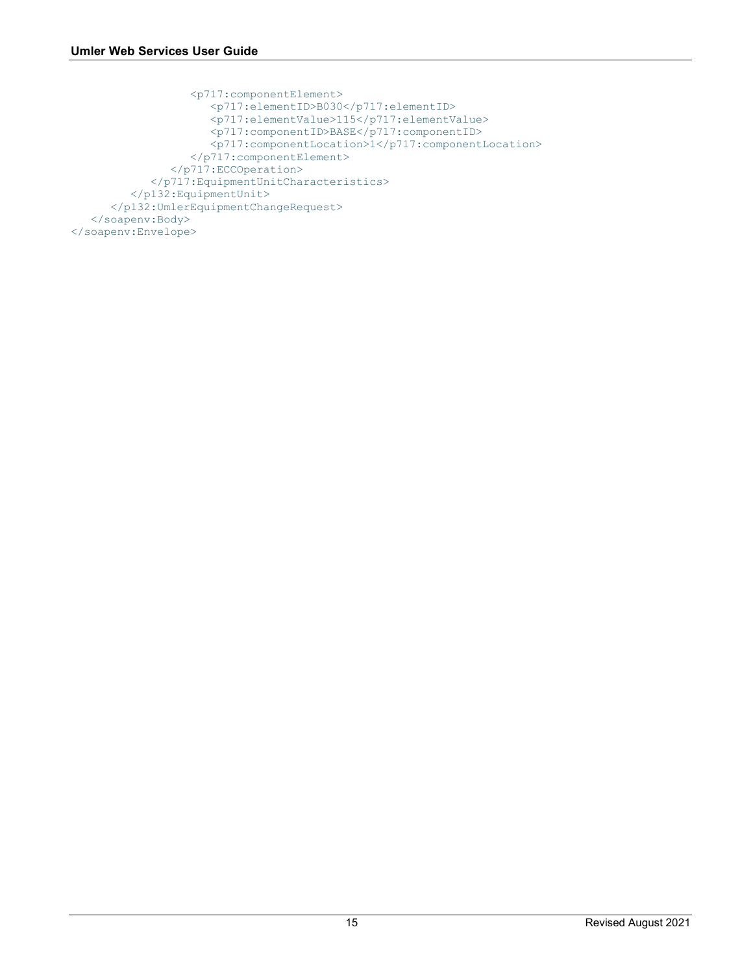```
 <p717:componentElement>
                     <p717:elementID>B030</p717:elementID>
                    <p717:elementValue>115</p717:elementValue>
                    <p717:componentID>BASE</p717:componentID>
                   <p717:componentLocation>1</p717:componentLocation>
 </p717:componentElement>
 </p717:ECCOperation>
            </p717:EquipmentUnitCharacteristics>
         </p132:EquipmentUnit>
      </p132:UmlerEquipmentChangeRequest>
   </soapenv:Body>
</soapenv:Envelope>
```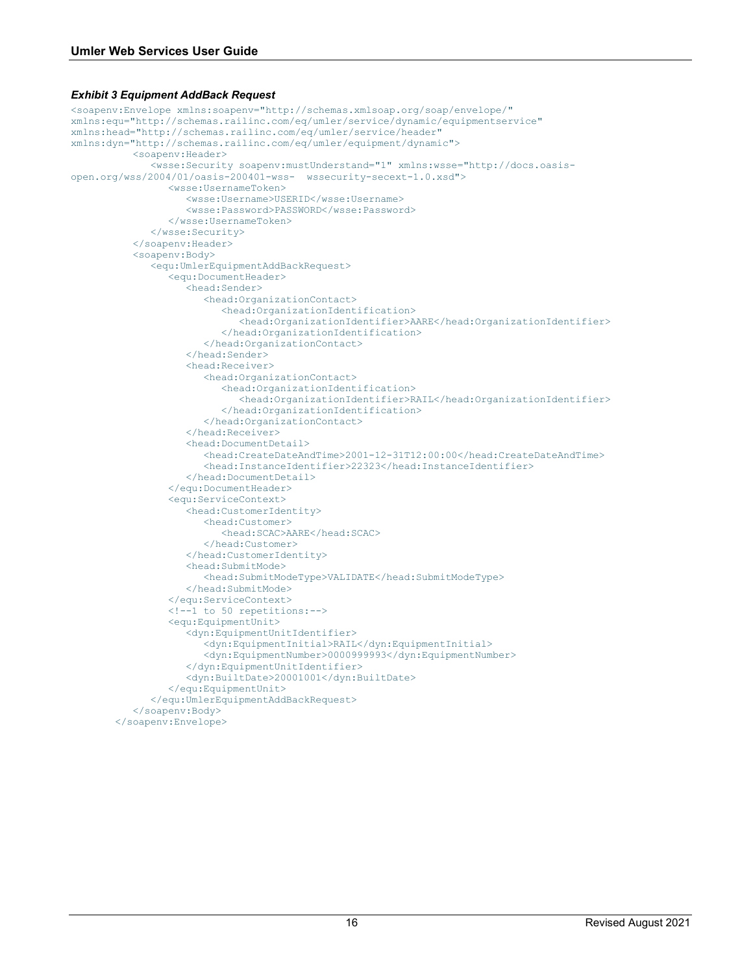#### <span id="page-17-0"></span>*Exhibit 3 Equipment AddBack Request*

```
<soapenv:Envelope xmlns:soapenv="http://schemas.xmlsoap.org/soap/envelope/" 
xmlns:equ="http://schemas.railinc.com/eq/umler/service/dynamic/equipmentservice" 
xmlns:head="http://schemas.railinc.com/eq/umler/service/header" 
xmlns:dyn="http://schemas.railinc.com/eq/umler/equipment/dynamic">
            <soapenv:Header>
               <wsse:Security soapenv:mustUnderstand="1" xmlns:wsse="http://docs.oasis-
open.org/wss/2004/01/oasis-200401-wss- wssecurity-secext-1.0.xsd">
                  <wsse:UsernameToken>
                     <wsse:Username>USERID</wsse:Username>
                     <wsse:Password>PASSWORD</wsse:Password>
                  </wsse:UsernameToken>
               </wsse:Security>
            </soapenv:Header>
            <soapenv:Body>
               <equ:UmlerEquipmentAddBackRequest>
                  <equ:DocumentHeader>
                     <head:Sender>
                        <head:OrganizationContact>
                           <head:OrganizationIdentification>
                               <head:OrganizationIdentifier>AARE</head:OrganizationIdentifier>
                           </head:OrganizationIdentification>
                        </head:OrganizationContact>
                     </head:Sender>
                     <head:Receiver>
                        <head:OrganizationContact>
                           <head:OrganizationIdentification>
                              <head:OrganizationIdentifier>RAIL</head:OrganizationIdentifier>
                           </head:OrganizationIdentification>
                        </head:OrganizationContact>
                     </head:Receiver>
                     <head:DocumentDetail>
                        <head:CreateDateAndTime>2001-12-31T12:00:00</head:CreateDateAndTime>
                        <head:InstanceIdentifier>22323</head:InstanceIdentifier>
                     </head:DocumentDetail>
                  </equ:DocumentHeader>
                  <equ:ServiceContext>
                     <head:CustomerIdentity>
                        <head:Customer>
                           <head:SCAC>AARE</head:SCAC>
                        </head:Customer>
                     </head:CustomerIdentity>
                     <head:SubmitMode>
                        <head:SubmitModeType>VALIDATE</head:SubmitModeType>
                     </head:SubmitMode>
                  </equ:ServiceContext>
                  <!--1 to 50 repetitions:-->
                  <equ:EquipmentUnit>
                     <dyn:EquipmentUnitIdentifier>
                        <dyn:EquipmentInitial>RAIL</dyn:EquipmentInitial>
                        <dyn:EquipmentNumber>0000999993</dyn:EquipmentNumber>
                     </dyn:EquipmentUnitIdentifier>
                     <dyn:BuiltDate>20001001</dyn:BuiltDate>
                  </equ:EquipmentUnit>
               </equ:UmlerEquipmentAddBackRequest>
            </soapenv:Body>
        </soapenv:Envelope>
```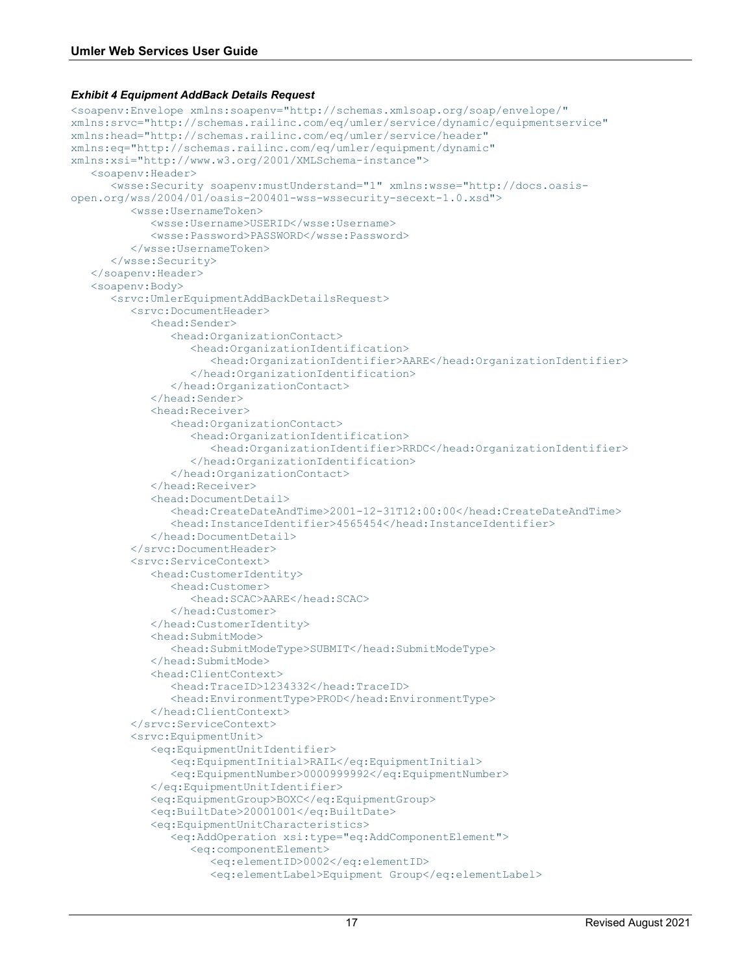#### <span id="page-18-0"></span>*Exhibit 4 Equipment AddBack Details Request*

```
<soapenv:Envelope xmlns:soapenv="http://schemas.xmlsoap.org/soap/envelope/" 
xmlns:srvc="http://schemas.railinc.com/eq/umler/service/dynamic/equipmentservice" 
xmlns:head="http://schemas.railinc.com/eq/umler/service/header" 
xmlns:eq="http://schemas.railinc.com/eq/umler/equipment/dynamic" 
xmlns:xsi="http://www.w3.org/2001/XMLSchema-instance">
    <soapenv:Header>
       <wsse:Security soapenv:mustUnderstand="1" xmlns:wsse="http://docs.oasis-
open.org/wss/2004/01/oasis-200401-wss-wssecurity-secext-1.0.xsd">
          <wsse:UsernameToken>
             <wsse:Username>USERID</wsse:Username>
             <wsse:Password>PASSWORD</wsse:Password>
          </wsse:UsernameToken>
       </wsse:Security>
    </soapenv:Header>
    <soapenv:Body>
       <srvc:UmlerEquipmentAddBackDetailsRequest>
          <srvc:DocumentHeader>
             <head:Sender>
                <head:OrganizationContact>
                    <head:OrganizationIdentification>
                       <head:OrganizationIdentifier>AARE</head:OrganizationIdentifier>
                    </head:OrganizationIdentification>
                </head:OrganizationContact>
             </head:Sender>
             <head:Receiver>
                <head:OrganizationContact>
                    <head:OrganizationIdentification>
                       <head:OrganizationIdentifier>RRDC</head:OrganizationIdentifier>
                    </head:OrganizationIdentification>
                </head:OrganizationContact>
             </head:Receiver>
             <head:DocumentDetail>
                <head:CreateDateAndTime>2001-12-31T12:00:00</head:CreateDateAndTime>
                <head:InstanceIdentifier>4565454</head:InstanceIdentifier>
             </head:DocumentDetail>
          </srvc:DocumentHeader>
          <srvc:ServiceContext>
             <head:CustomerIdentity>
                <head:Customer>
                    <head:SCAC>AARE</head:SCAC>
                </head:Customer>
             </head:CustomerIdentity>
             <head:SubmitMode>
                <head:SubmitModeType>SUBMIT</head:SubmitModeType>
             </head:SubmitMode>
             <head:ClientContext>
                <head:TraceID>1234332</head:TraceID>
                <head:EnvironmentType>PROD</head:EnvironmentType>
             </head:ClientContext>
          </srvc:ServiceContext>
          <srvc:EquipmentUnit>
             <eq:EquipmentUnitIdentifier>
                <eq:EquipmentInitial>RAIL</eq:EquipmentInitial>
                <eq:EquipmentNumber>0000999992</eq:EquipmentNumber>
             </eq:EquipmentUnitIdentifier>
             <eq:EquipmentGroup>BOXC</eq:EquipmentGroup>
             <eq:BuiltDate>20001001</eq:BuiltDate>
             <eq:EquipmentUnitCharacteristics>
                <eq:AddOperation xsi:type="eq:AddComponentElement">
                    <eq:componentElement>
                       <eq:elementID>0002</eq:elementID>
                      <eq:elementLabel>Equipment Group</eq:elementLabel>
```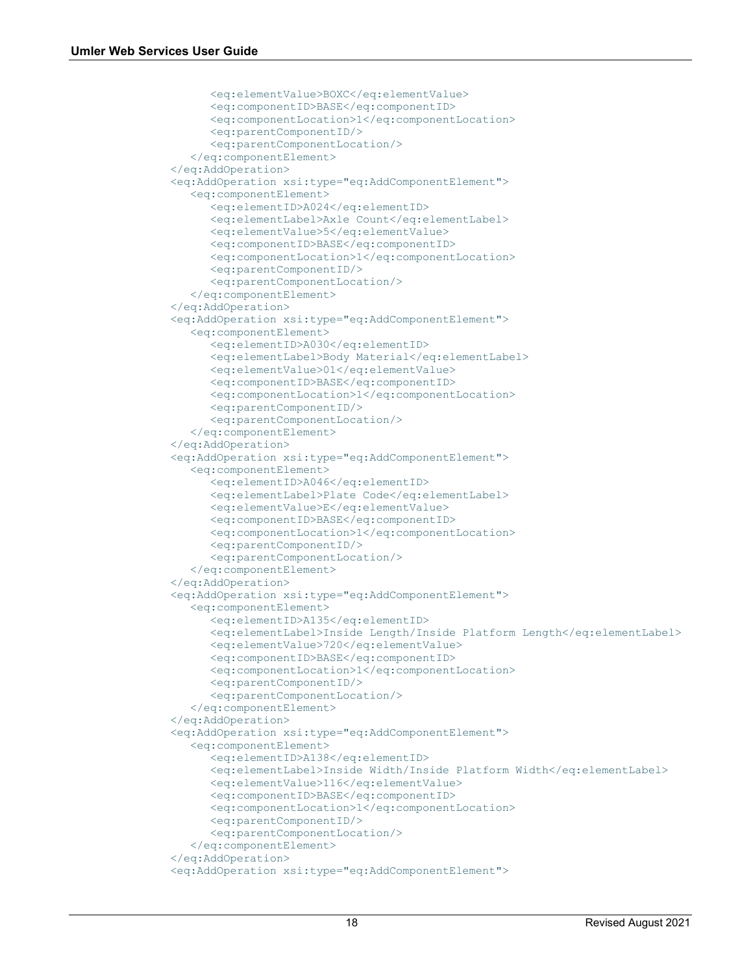```
 <eq:elementValue>BOXC</eq:elementValue>
      <eq:componentID>BASE</eq:componentID>
      <eq:componentLocation>1</eq:componentLocation>
      <eq:parentComponentID/>
      <eq:parentComponentLocation/>
    </eq:componentElement>
 </eq:AddOperation>
 <eq:AddOperation xsi:type="eq:AddComponentElement">
    <eq:componentElement>
       <eq:elementID>A024</eq:elementID>
      <eq:elementLabel>Axle Count</eq:elementLabel>
      <eq:elementValue>5</eq:elementValue>
      <eq:componentID>BASE</eq:componentID>
      <eq:componentLocation>1</eq:componentLocation>
      <eq:parentComponentID/>
      <eq:parentComponentLocation/>
    </eq:componentElement>
 </eq:AddOperation>
 <eq:AddOperation xsi:type="eq:AddComponentElement">
    <eq:componentElement>
       <eq:elementID>A030</eq:elementID>
      <eq:elementLabel>Body Material</eq:elementLabel>
      <eq:elementValue>01</eq:elementValue>
      <eq:componentID>BASE</eq:componentID>
      <eq:componentLocation>1</eq:componentLocation>
      <eq:parentComponentID/>
      <eq:parentComponentLocation/>
    </eq:componentElement>
 </eq:AddOperation>
 <eq:AddOperation xsi:type="eq:AddComponentElement">
    <eq:componentElement>
       <eq:elementID>A046</eq:elementID>
      <eq:elementLabel>Plate Code</eq:elementLabel>
      <eq:elementValue>E</eq:elementValue>
      <eq:componentID>BASE</eq:componentID>
      <eq:componentLocation>1</eq:componentLocation>
      <eq:parentComponentID/>
      <eq:parentComponentLocation/>
    </eq:componentElement>
 </eq:AddOperation>
 <eq:AddOperation xsi:type="eq:AddComponentElement">
    <eq:componentElement>
       <eq:elementID>A135</eq:elementID>
      <eq:elementLabel>Inside Length/Inside Platform Length</eq:elementLabel>
       <eq:elementValue>720</eq:elementValue>
       <eq:componentID>BASE</eq:componentID>
      <eq:componentLocation>1</eq:componentLocation>
      <eq:parentComponentID/>
      <eq:parentComponentLocation/>
    </eq:componentElement>
 </eq:AddOperation>
 <eq:AddOperation xsi:type="eq:AddComponentElement">
    <eq:componentElement>
       <eq:elementID>A138</eq:elementID>
       <eq:elementLabel>Inside Width/Inside Platform Width</eq:elementLabel>
       <eq:elementValue>116</eq:elementValue>
      <eq:componentID>BASE</eq:componentID>
      <eq:componentLocation>1</eq:componentLocation>
      <eq:parentComponentID/>
      <eq:parentComponentLocation/>
    </eq:componentElement>
 </eq:AddOperation>
 <eq:AddOperation xsi:type="eq:AddComponentElement">
```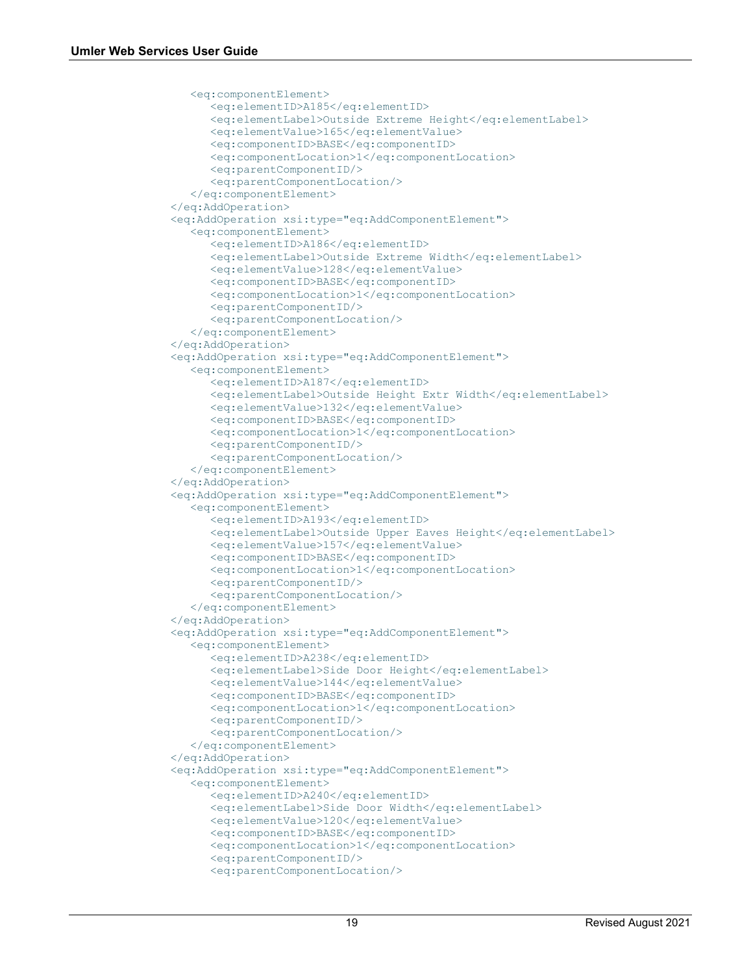```
 <eq:componentElement>
       <eq:elementID>A185</eq:elementID>
      <eq:elementLabel>Outside Extreme Height</eq:elementLabel>
      <eq:elementValue>165</eq:elementValue>
      <eq:componentID>BASE</eq:componentID>
      <eq:componentLocation>1</eq:componentLocation>
      <eq:parentComponentID/>
      <eq:parentComponentLocation/>
    </eq:componentElement>
 </eq:AddOperation>
 <eq:AddOperation xsi:type="eq:AddComponentElement">
    <eq:componentElement>
       <eq:elementID>A186</eq:elementID>
      <eq:elementLabel>Outside Extreme Width</eq:elementLabel>
      <eq:elementValue>128</eq:elementValue>
      <eq:componentID>BASE</eq:componentID>
      <eq:componentLocation>1</eq:componentLocation>
      <eq:parentComponentID/>
      <eq:parentComponentLocation/>
    </eq:componentElement>
 </eq:AddOperation>
 <eq:AddOperation xsi:type="eq:AddComponentElement">
    <eq:componentElement>
       <eq:elementID>A187</eq:elementID>
      <eq:elementLabel>Outside Height Extr Width</eq:elementLabel>
      <eq:elementValue>132</eq:elementValue>
      <eq:componentID>BASE</eq:componentID>
      <eq:componentLocation>1</eq:componentLocation>
      <eq:parentComponentID/>
      <eq:parentComponentLocation/>
    </eq:componentElement>
 </eq:AddOperation>
 <eq:AddOperation xsi:type="eq:AddComponentElement">
    <eq:componentElement>
       <eq:elementID>A193</eq:elementID>
      <eq:elementLabel>Outside Upper Eaves Height</eq:elementLabel>
       <eq:elementValue>157</eq:elementValue>
       <eq:componentID>BASE</eq:componentID>
      <eq:componentLocation>1</eq:componentLocation>
      <eq:parentComponentID/>
      <eq:parentComponentLocation/>
    </eq:componentElement>
 </eq:AddOperation>
 <eq:AddOperation xsi:type="eq:AddComponentElement">
    <eq:componentElement>
       <eq:elementID>A238</eq:elementID>
      <eq:elementLabel>Side Door Height</eq:elementLabel>
      <eq:elementValue>144</eq:elementValue>
      <eq:componentID>BASE</eq:componentID>
      <eq:componentLocation>1</eq:componentLocation>
      <eq:parentComponentID/>
      <eq:parentComponentLocation/>
    </eq:componentElement>
 </eq:AddOperation>
 <eq:AddOperation xsi:type="eq:AddComponentElement">
    <eq:componentElement>
       <eq:elementID>A240</eq:elementID>
      <eq:elementLabel>Side Door Width</eq:elementLabel>
      <eq:elementValue>120</eq:elementValue>
       <eq:componentID>BASE</eq:componentID>
       <eq:componentLocation>1</eq:componentLocation>
      <eq:parentComponentID/>
      <eq:parentComponentLocation/>
```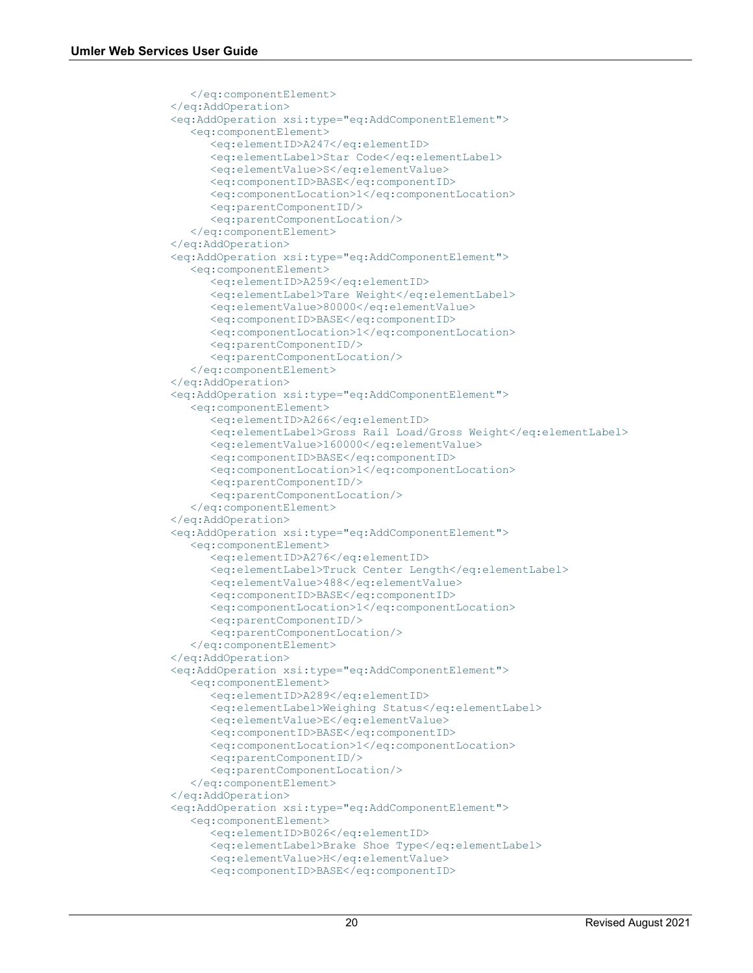```
 </eq:componentElement>
 </eq:AddOperation>
 <eq:AddOperation xsi:type="eq:AddComponentElement">
    <eq:componentElement>
       <eq:elementID>A247</eq:elementID>
      <eq:elementLabel>Star Code</eq:elementLabel>
      <eq:elementValue>S</eq:elementValue>
      <eq:componentID>BASE</eq:componentID>
      <eq:componentLocation>1</eq:componentLocation>
      <eq:parentComponentID/>
       <eq:parentComponentLocation/>
    </eq:componentElement>
 </eq:AddOperation>
 <eq:AddOperation xsi:type="eq:AddComponentElement">
    <eq:componentElement>
       <eq:elementID>A259</eq:elementID>
      <eq:elementLabel>Tare Weight</eq:elementLabel>
      <eq:elementValue>80000</eq:elementValue>
      <eq:componentID>BASE</eq:componentID>
      <eq:componentLocation>1</eq:componentLocation>
      <eq:parentComponentID/>
      <eq:parentComponentLocation/>
    </eq:componentElement>
 </eq:AddOperation>
 <eq:AddOperation xsi:type="eq:AddComponentElement">
    <eq:componentElement>
       <eq:elementID>A266</eq:elementID>
      <eq:elementLabel>Gross Rail Load/Gross Weight</eq:elementLabel>
      <eq:elementValue>160000</eq:elementValue>
      <eq:componentID>BASE</eq:componentID>
      <eq:componentLocation>1</eq:componentLocation>
      <eq:parentComponentID/>
      <eq:parentComponentLocation/>
    </eq:componentElement>
 </eq:AddOperation>
 <eq:AddOperation xsi:type="eq:AddComponentElement">
    <eq:componentElement>
       <eq:elementID>A276</eq:elementID>
      <eq:elementLabel>Truck Center Length</eq:elementLabel>
      <eq:elementValue>488</eq:elementValue>
      <eq:componentID>BASE</eq:componentID>
      <eq:componentLocation>1</eq:componentLocation>
      <eq:parentComponentID/>
      <eq:parentComponentLocation/>
    </eq:componentElement>
 </eq:AddOperation>
 <eq:AddOperation xsi:type="eq:AddComponentElement">
    <eq:componentElement>
       <eq:elementID>A289</eq:elementID>
      <eq:elementLabel>Weighing Status</eq:elementLabel>
      <eq:elementValue>E</eq:elementValue>
      <eq:componentID>BASE</eq:componentID>
      <eq:componentLocation>1</eq:componentLocation>
      <eq:parentComponentID/>
      <eq:parentComponentLocation/>
    </eq:componentElement>
 </eq:AddOperation>
 <eq:AddOperation xsi:type="eq:AddComponentElement">
    <eq:componentElement>
       <eq:elementID>B026</eq:elementID>
      <eq:elementLabel>Brake Shoe Type</eq:elementLabel>
      <eq:elementValue>H</eq:elementValue>
      <eq:componentID>BASE</eq:componentID>
```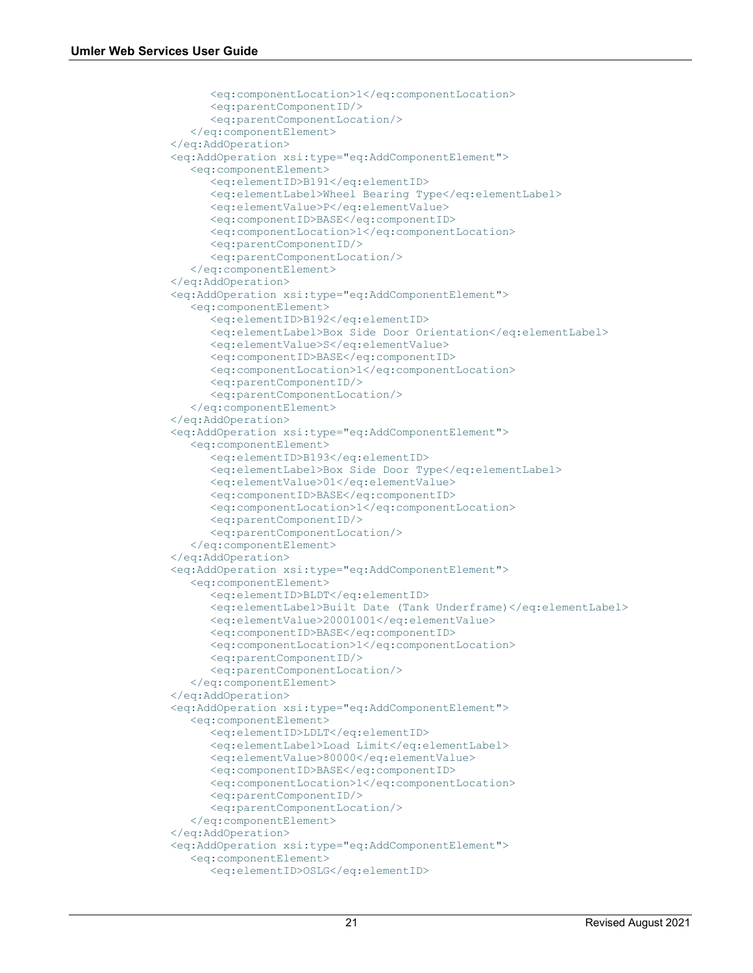```
 <eq:componentLocation>1</eq:componentLocation>
      <eq:parentComponentID/>
      <eq:parentComponentLocation/>
    </eq:componentElement>
 </eq:AddOperation>
 <eq:AddOperation xsi:type="eq:AddComponentElement">
    <eq:componentElement>
       <eq:elementID>B191</eq:elementID>
      <eq:elementLabel>Wheel Bearing Type</eq:elementLabel>
      <eq:elementValue>P</eq:elementValue>
      <eq:componentID>BASE</eq:componentID>
      <eq:componentLocation>1</eq:componentLocation>
      <eq:parentComponentID/>
      <eq:parentComponentLocation/>
    </eq:componentElement>
 </eq:AddOperation>
 <eq:AddOperation xsi:type="eq:AddComponentElement">
    <eq:componentElement>
       <eq:elementID>B192</eq:elementID>
      <eq:elementLabel>Box Side Door Orientation</eq:elementLabel>
      <eq:elementValue>S</eq:elementValue>
      <eq:componentID>BASE</eq:componentID>
      <eq:componentLocation>1</eq:componentLocation>
      <eq:parentComponentID/>
      <eq:parentComponentLocation/>
    </eq:componentElement>
 </eq:AddOperation>
 <eq:AddOperation xsi:type="eq:AddComponentElement">
    <eq:componentElement>
       <eq:elementID>B193</eq:elementID>
      <eq:elementLabel>Box Side Door Type</eq:elementLabel>
       <eq:elementValue>01</eq:elementValue>
       <eq:componentID>BASE</eq:componentID>
      <eq:componentLocation>1</eq:componentLocation>
      <eq:parentComponentID/>
      <eq:parentComponentLocation/>
    </eq:componentElement>
 </eq:AddOperation>
 <eq:AddOperation xsi:type="eq:AddComponentElement">
    <eq:componentElement>
       <eq:elementID>BLDT</eq:elementID>
      <eq:elementLabel>Built Date (Tank Underframe)</eq:elementLabel>
      <eq:elementValue>20001001</eq:elementValue>
      <eq:componentID>BASE</eq:componentID>
      <eq:componentLocation>1</eq:componentLocation>
      <eq:parentComponentID/>
      <eq:parentComponentLocation/>
    </eq:componentElement>
 </eq:AddOperation>
 <eq:AddOperation xsi:type="eq:AddComponentElement">
    <eq:componentElement>
       <eq:elementID>LDLT</eq:elementID>
      <eq:elementLabel>Load Limit</eq:elementLabel>
      <eq:elementValue>80000</eq:elementValue>
       <eq:componentID>BASE</eq:componentID>
       <eq:componentLocation>1</eq:componentLocation>
      <eq:parentComponentID/>
      <eq:parentComponentLocation/>
    </eq:componentElement>
 </eq:AddOperation>
 <eq:AddOperation xsi:type="eq:AddComponentElement">
    <eq:componentElement>
       <eq:elementID>OSLG</eq:elementID>
```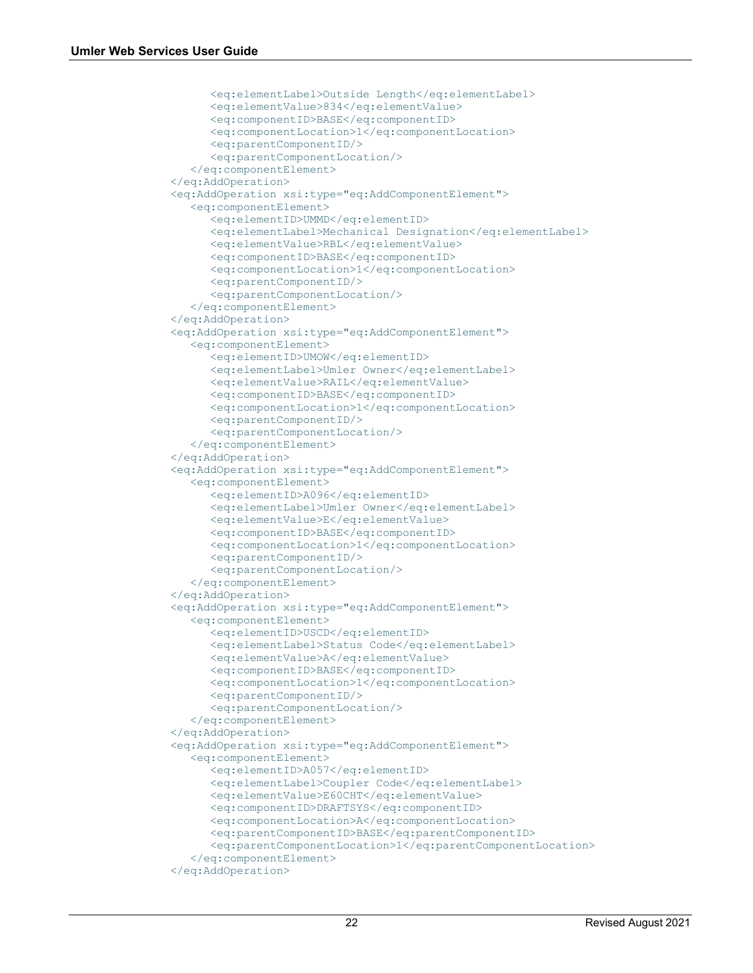```
 <eq:elementLabel>Outside Length</eq:elementLabel>
      <eq:elementValue>834</eq:elementValue>
      <eq:componentID>BASE</eq:componentID>
      <eq:componentLocation>1</eq:componentLocation>
      <eq:parentComponentID/>
       <eq:parentComponentLocation/>
    </eq:componentElement>
 </eq:AddOperation>
 <eq:AddOperation xsi:type="eq:AddComponentElement">
    <eq:componentElement>
       <eq:elementID>UMMD</eq:elementID>
      <eq:elementLabel>Mechanical Designation</eq:elementLabel>
      <eq:elementValue>RBL</eq:elementValue>
      <eq:componentID>BASE</eq:componentID>
       <eq:componentLocation>1</eq:componentLocation>
       <eq:parentComponentID/>
      <eq:parentComponentLocation/>
    </eq:componentElement>
 </eq:AddOperation>
 <eq:AddOperation xsi:type="eq:AddComponentElement">
    <eq:componentElement>
       <eq:elementID>UMOW</eq:elementID>
      <eq:elementLabel>Umler Owner</eq:elementLabel>
      <eq:elementValue>RAIL</eq:elementValue>
      <eq:componentID>BASE</eq:componentID>
      <eq:componentLocation>1</eq:componentLocation>
      <eq:parentComponentID/>
      <eq:parentComponentLocation/>
    </eq:componentElement>
 </eq:AddOperation>
 <eq:AddOperation xsi:type="eq:AddComponentElement">
    <eq:componentElement>
       <eq:elementID>A096</eq:elementID>
      <eq:elementLabel>Umler Owner</eq:elementLabel>
      <eq:elementValue>E</eq:elementValue>
      <eq:componentID>BASE</eq:componentID>
      <eq:componentLocation>1</eq:componentLocation>
      <eq:parentComponentID/>
      <eq:parentComponentLocation/>
    </eq:componentElement>
 </eq:AddOperation>
 <eq:AddOperation xsi:type="eq:AddComponentElement">
    <eq:componentElement>
       <eq:elementID>USCD</eq:elementID>
      <eq:elementLabel>Status Code</eq:elementLabel>
      <eq:elementValue>A</eq:elementValue>
      <eq:componentID>BASE</eq:componentID>
      <eq:componentLocation>1</eq:componentLocation>
      <eq:parentComponentID/>
      <eq:parentComponentLocation/>
    </eq:componentElement>
 </eq:AddOperation>
 <eq:AddOperation xsi:type="eq:AddComponentElement">
    <eq:componentElement>
       <eq:elementID>A057</eq:elementID>
      <eq:elementLabel>Coupler Code</eq:elementLabel>
      <eq:elementValue>E60CHT</eq:elementValue>
      <eq:componentID>DRAFTSYS</eq:componentID>
      <eq:componentLocation>A</eq:componentLocation>
      <eq:parentComponentID>BASE</eq:parentComponentID>
      <eq:parentComponentLocation>1</eq:parentComponentLocation>
    </eq:componentElement>
 </eq:AddOperation>
```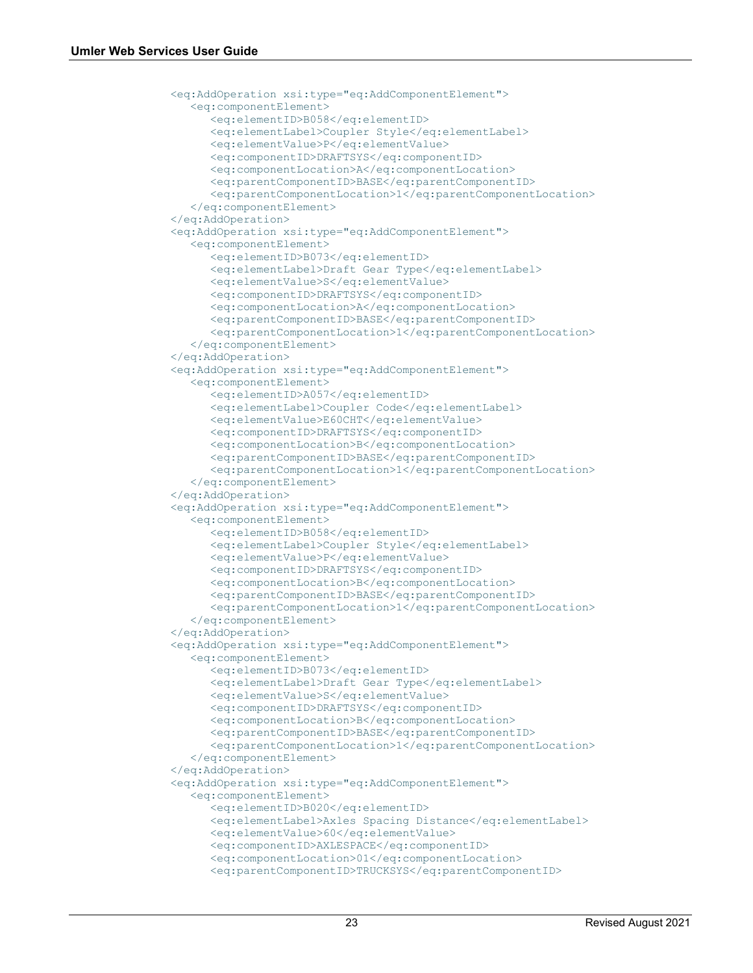```
 <eq:AddOperation xsi:type="eq:AddComponentElement">
    <eq:componentElement>
       <eq:elementID>B058</eq:elementID>
      <eq:elementLabel>Coupler Style</eq:elementLabel>
      <eq:elementValue>P</eq:elementValue>
      <eq:componentID>DRAFTSYS</eq:componentID>
       <eq:componentLocation>A</eq:componentLocation>
       <eq:parentComponentID>BASE</eq:parentComponentID>
      <eq:parentComponentLocation>1</eq:parentComponentLocation>
    </eq:componentElement>
 </eq:AddOperation>
 <eq:AddOperation xsi:type="eq:AddComponentElement">
    <eq:componentElement>
       <eq:elementID>B073</eq:elementID>
      <eq:elementLabel>Draft Gear Type</eq:elementLabel>
      <eq:elementValue>S</eq:elementValue>
      <eq:componentID>DRAFTSYS</eq:componentID>
      <eq:componentLocation>A</eq:componentLocation>
      <eq:parentComponentID>BASE</eq:parentComponentID>
      <eq:parentComponentLocation>1</eq:parentComponentLocation>
    </eq:componentElement>
 </eq:AddOperation>
 <eq:AddOperation xsi:type="eq:AddComponentElement">
    <eq:componentElement>
       <eq:elementID>A057</eq:elementID>
      <eq:elementLabel>Coupler Code</eq:elementLabel>
      <eq:elementValue>E60CHT</eq:elementValue>
      <eq:componentID>DRAFTSYS</eq:componentID>
      <eq:componentLocation>B</eq:componentLocation>
      <eq:parentComponentID>BASE</eq:parentComponentID>
      <eq:parentComponentLocation>1</eq:parentComponentLocation>
    </eq:componentElement>
 </eq:AddOperation>
 <eq:AddOperation xsi:type="eq:AddComponentElement">
    <eq:componentElement>
       <eq:elementID>B058</eq:elementID>
       <eq:elementLabel>Coupler Style</eq:elementLabel>
       <eq:elementValue>P</eq:elementValue>
      <eq:componentID>DRAFTSYS</eq:componentID>
      <eq:componentLocation>B</eq:componentLocation>
       <eq:parentComponentID>BASE</eq:parentComponentID>
       <eq:parentComponentLocation>1</eq:parentComponentLocation>
    </eq:componentElement>
 </eq:AddOperation>
 <eq:AddOperation xsi:type="eq:AddComponentElement">
    <eq:componentElement>
       <eq:elementID>B073</eq:elementID>
      <eq:elementLabel>Draft Gear Type</eq:elementLabel>
      <eq:elementValue>S</eq:elementValue>
       <eq:componentID>DRAFTSYS</eq:componentID>
       <eq:componentLocation>B</eq:componentLocation>
      <eq:parentComponentID>BASE</eq:parentComponentID>
      <eq:parentComponentLocation>1</eq:parentComponentLocation>
    </eq:componentElement>
 </eq:AddOperation>
 <eq:AddOperation xsi:type="eq:AddComponentElement">
    <eq:componentElement>
       <eq:elementID>B020</eq:elementID>
       <eq:elementLabel>Axles Spacing Distance</eq:elementLabel>
       <eq:elementValue>60</eq:elementValue>
      <eq:componentID>AXLESPACE</eq:componentID>
      <eq:componentLocation>01</eq:componentLocation>
      <eq:parentComponentID>TRUCKSYS</eq:parentComponentID>
```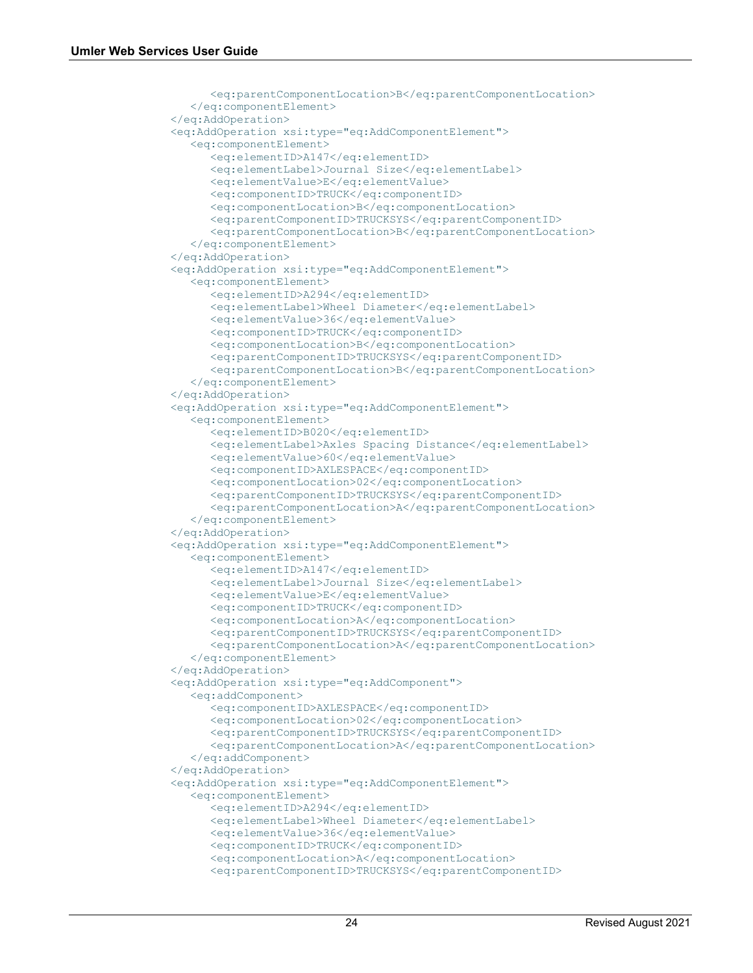```
 <eq:parentComponentLocation>B</eq:parentComponentLocation>
    </eq:componentElement>
 </eq:AddOperation>
 <eq:AddOperation xsi:type="eq:AddComponentElement">
    <eq:componentElement>
       <eq:elementID>A147</eq:elementID>
      <eq:elementLabel>Journal Size</eq:elementLabel>
       <eq:elementValue>E</eq:elementValue>
       <eq:componentID>TRUCK</eq:componentID>
      <eq:componentLocation>B</eq:componentLocation>
      <eq:parentComponentID>TRUCKSYS</eq:parentComponentID>
      <eq:parentComponentLocation>B</eq:parentComponentLocation>
    </eq:componentElement>
 </eq:AddOperation>
 <eq:AddOperation xsi:type="eq:AddComponentElement">
    <eq:componentElement>
       <eq:elementID>A294</eq:elementID>
      <eq:elementLabel>Wheel Diameter</eq:elementLabel>
      <eq:elementValue>36</eq:elementValue>
      <eq:componentID>TRUCK</eq:componentID>
       <eq:componentLocation>B</eq:componentLocation>
       <eq:parentComponentID>TRUCKSYS</eq:parentComponentID>
      <eq:parentComponentLocation>B</eq:parentComponentLocation>
    </eq:componentElement>
 </eq:AddOperation>
 <eq:AddOperation xsi:type="eq:AddComponentElement">
    <eq:componentElement>
       <eq:elementID>B020</eq:elementID>
      <eq:elementLabel>Axles Spacing Distance</eq:elementLabel>
      <eq:elementValue>60</eq:elementValue>
      <eq:componentID>AXLESPACE</eq:componentID>
      <eq:componentLocation>02</eq:componentLocation>
      <eq:parentComponentID>TRUCKSYS</eq:parentComponentID>
      <eq:parentComponentLocation>A</eq:parentComponentLocation>
    </eq:componentElement>
 </eq:AddOperation>
 <eq:AddOperation xsi:type="eq:AddComponentElement">
    <eq:componentElement>
       <eq:elementID>A147</eq:elementID>
      <eq:elementLabel>Journal Size</eq:elementLabel>
      <eq:elementValue>E</eq:elementValue>
      <eq:componentID>TRUCK</eq:componentID>
      <eq:componentLocation>A</eq:componentLocation>
      <eq:parentComponentID>TRUCKSYS</eq:parentComponentID>
      <eq:parentComponentLocation>A</eq:parentComponentLocation>
    </eq:componentElement>
 </eq:AddOperation>
 <eq:AddOperation xsi:type="eq:AddComponent">
    <eq:addComponent>
       <eq:componentID>AXLESPACE</eq:componentID>
       <eq:componentLocation>02</eq:componentLocation>
       <eq:parentComponentID>TRUCKSYS</eq:parentComponentID>
      <eq:parentComponentLocation>A</eq:parentComponentLocation>
    </eq:addComponent>
 </eq:AddOperation>
 <eq:AddOperation xsi:type="eq:AddComponentElement">
    <eq:componentElement>
       <eq:elementID>A294</eq:elementID>
      <eq:elementLabel>Wheel Diameter</eq:elementLabel>
      <eq:elementValue>36</eq:elementValue>
      <eq:componentID>TRUCK</eq:componentID>
      <eq:componentLocation>A</eq:componentLocation>
      <eq:parentComponentID>TRUCKSYS</eq:parentComponentID>
```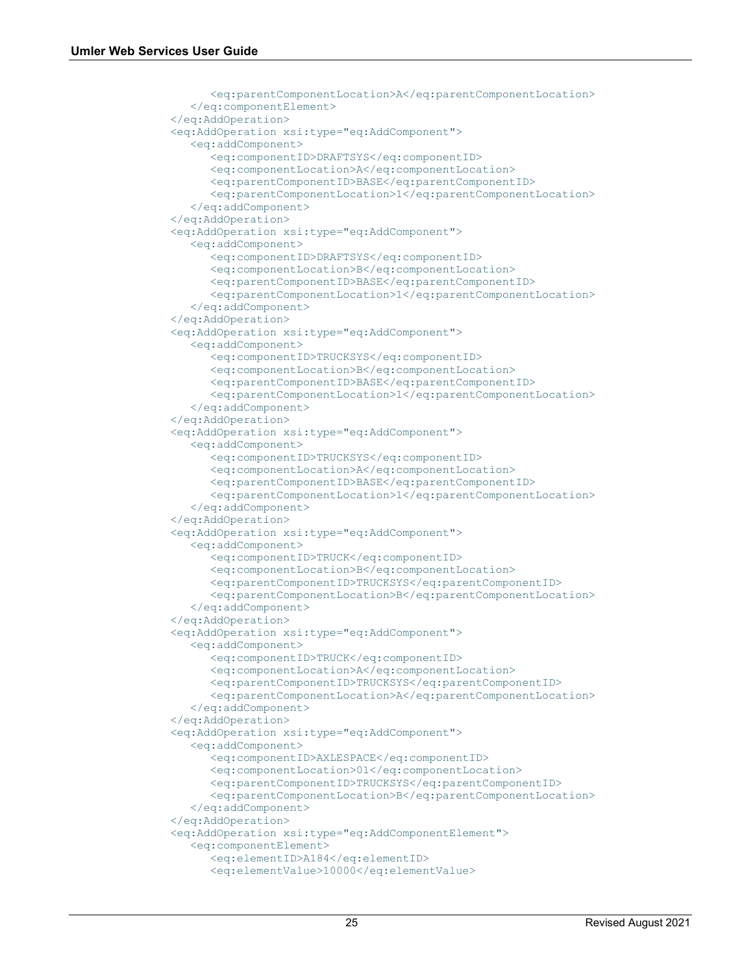```
 <eq:parentComponentLocation>A</eq:parentComponentLocation>
    </eq:componentElement>
 </eq:AddOperation>
 <eq:AddOperation xsi:type="eq:AddComponent">
    <eq:addComponent>
       <eq:componentID>DRAFTSYS</eq:componentID>
      <eq:componentLocation>A</eq:componentLocation>
      <eq:parentComponentID>BASE</eq:parentComponentID>
      <eq:parentComponentLocation>1</eq:parentComponentLocation>
    </eq:addComponent>
 </eq:AddOperation>
 <eq:AddOperation xsi:type="eq:AddComponent">
    <eq:addComponent>
       <eq:componentID>DRAFTSYS</eq:componentID>
      <eq:componentLocation>B</eq:componentLocation>
      <eq:parentComponentID>BASE</eq:parentComponentID>
      <eq:parentComponentLocation>1</eq:parentComponentLocation>
    </eq:addComponent>
 </eq:AddOperation>
 <eq:AddOperation xsi:type="eq:AddComponent">
    <eq:addComponent>
       <eq:componentID>TRUCKSYS</eq:componentID>
      <eq:componentLocation>B</eq:componentLocation>
      <eq:parentComponentID>BASE</eq:parentComponentID>
      <eq:parentComponentLocation>1</eq:parentComponentLocation>
    </eq:addComponent>
 </eq:AddOperation>
 <eq:AddOperation xsi:type="eq:AddComponent">
    <eq:addComponent>
       <eq:componentID>TRUCKSYS</eq:componentID>
      <eq:componentLocation>A</eq:componentLocation>
       <eq:parentComponentID>BASE</eq:parentComponentID>
       <eq:parentComponentLocation>1</eq:parentComponentLocation>
    </eq:addComponent>
 </eq:AddOperation>
 <eq:AddOperation xsi:type="eq:AddComponent">
    <eq:addComponent>
       <eq:componentID>TRUCK</eq:componentID>
      <eq:componentLocation>B</eq:componentLocation>
      <eq:parentComponentID>TRUCKSYS</eq:parentComponentID>
       <eq:parentComponentLocation>B</eq:parentComponentLocation>
    </eq:addComponent>
 </eq:AddOperation>
 <eq:AddOperation xsi:type="eq:AddComponent">
    <eq:addComponent>
       <eq:componentID>TRUCK</eq:componentID>
       <eq:componentLocation>A</eq:componentLocation>
      <eq:parentComponentID>TRUCKSYS</eq:parentComponentID>
      <eq:parentComponentLocation>A</eq:parentComponentLocation>
    </eq:addComponent>
 </eq:AddOperation>
 <eq:AddOperation xsi:type="eq:AddComponent">
    <eq:addComponent>
       <eq:componentID>AXLESPACE</eq:componentID>
      <eq:componentLocation>01</eq:componentLocation>
      <eq:parentComponentID>TRUCKSYS</eq:parentComponentID>
      <eq:parentComponentLocation>B</eq:parentComponentLocation>
    </eq:addComponent>
 </eq:AddOperation>
 <eq:AddOperation xsi:type="eq:AddComponentElement">
    <eq:componentElement>
       <eq:elementID>A184</eq:elementID>
      <eq:elementValue>10000</eq:elementValue>
```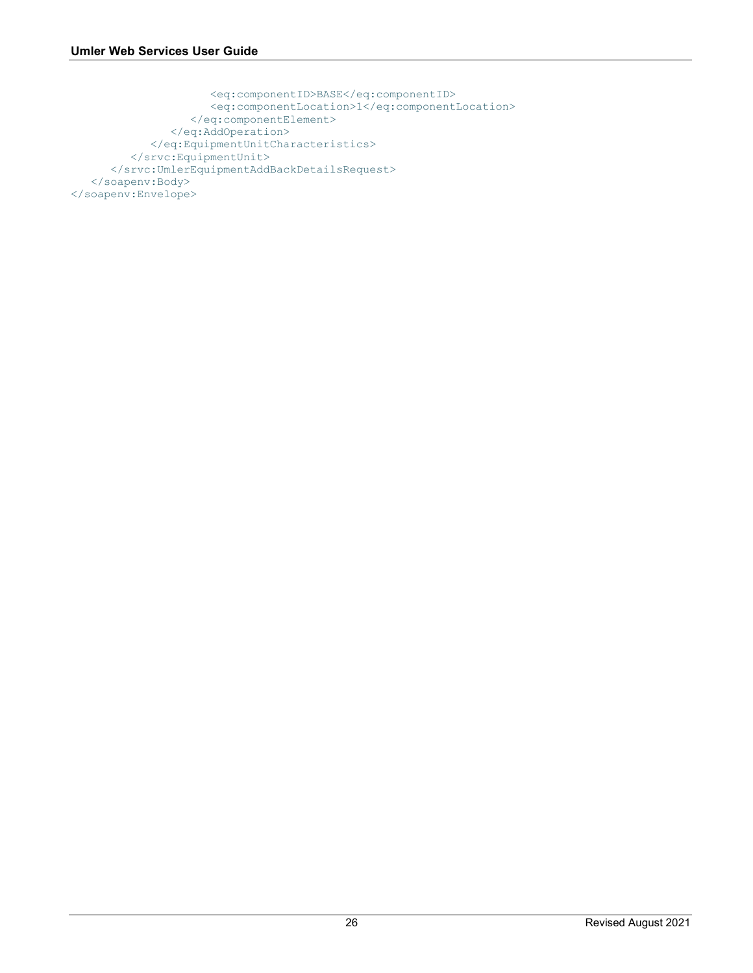```
 <eq:componentID>BASE</eq:componentID>
                     <eq:componentLocation>1</eq:componentLocation>
                   </eq:componentElement>
                </eq:AddOperation>
             </eq:EquipmentUnitCharacteristics>
          </srvc:EquipmentUnit>
       </srvc:UmlerEquipmentAddBackDetailsRequest>
    </soapenv:Body>
</soapenv:Envelope>
```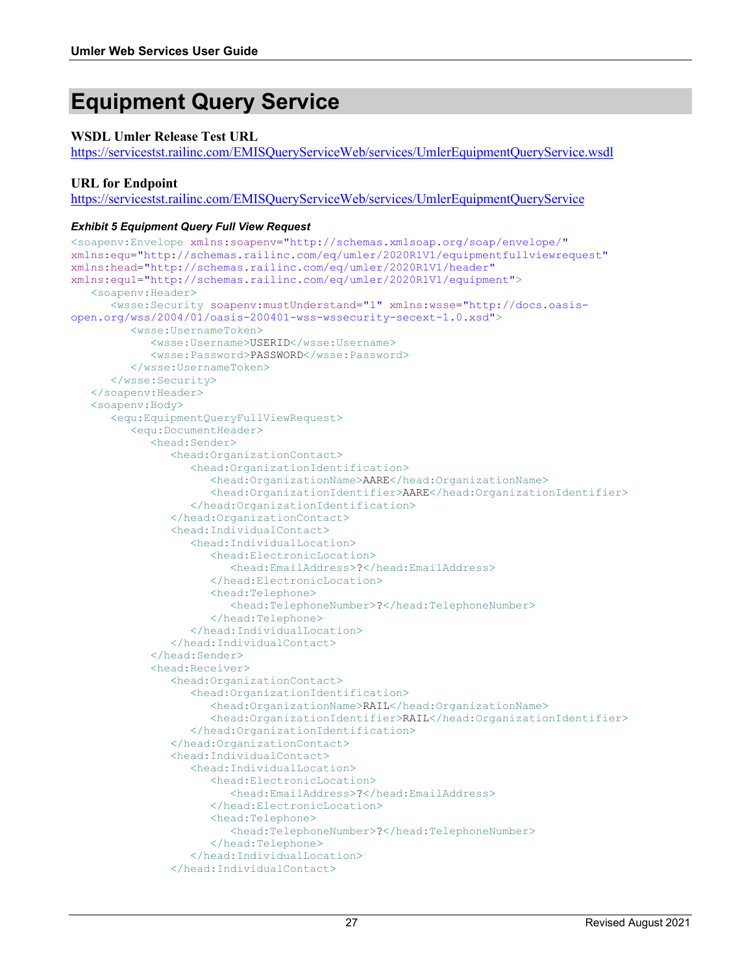## <span id="page-28-0"></span>**Equipment Query Service**

#### **WSDL Umler Release Test URL**

[https://servicestst.railinc.com/EMISQueryServiceWeb/services/UmlerEquipmentQueryService.wsdl](https://umler.release.tst.railinc.com/EMISQueryServiceWeb/services/UmlerEquipmentQueryService.wsdl)

#### **URL for Endpoint**

[https://servicestst.railinc.com/EMISQueryServiceWeb/services/UmlerEquipmentQueryService](https://umler.release.tst.railinc.com/EMISQueryServiceWeb/services/UmlerEquipmentQueryService)

#### <span id="page-28-1"></span>*Exhibit 5 Equipment Query Full View Request*

```
<soapenv:Envelope xmlns:soapenv="http://schemas.xmlsoap.org/soap/envelope/" 
xmlns:equ="http://schemas.railinc.com/eq/umler/2020R1V1/equipmentfullviewrequest" 
xmlns:head="http://schemas.railinc.com/eq/umler/2020R1V1/header" 
xmlns:equ1="http://schemas.railinc.com/eq/umler/2020R1V1/equipment">
    <soapenv:Header>
       <wsse:Security soapenv:mustUnderstand="1" xmlns:wsse="http://docs.oasis-
open.org/wss/2004/01/oasis-200401-wss-wssecurity-secext-1.0.xsd">
          <wsse:UsernameToken>
             <wsse:Username>USERID</wsse:Username>
             <wsse:Password>PASSWORD</wsse:Password>
          </wsse:UsernameToken>
       </wsse:Security>
    </soapenv:Header>
    <soapenv:Body>
       <equ:EquipmentQueryFullViewRequest>
          <equ:DocumentHeader>
             <head:Sender>
                <head:OrganizationContact>
                    <head:OrganizationIdentification>
                       <head:OrganizationName>AARE</head:OrganizationName>
                       <head:OrganizationIdentifier>AARE</head:OrganizationIdentifier>
                    </head:OrganizationIdentification>
                </head:OrganizationContact>
                <head:IndividualContact>
                    <head:IndividualLocation>
                       <head:ElectronicLocation>
                          <head:EmailAddress>?</head:EmailAddress>
                       </head:ElectronicLocation>
                      <head:Telephone>
                          <head:TelephoneNumber>?</head:TelephoneNumber>
                       </head:Telephone>
                   </head:IndividualLocation>
                </head:IndividualContact>
             </head:Sender>
             <head:Receiver>
                <head:OrganizationContact>
                    <head:OrganizationIdentification>
                       <head:OrganizationName>RAIL</head:OrganizationName>
                       <head:OrganizationIdentifier>RAIL</head:OrganizationIdentifier>
                    </head:OrganizationIdentification>
                </head:OrganizationContact>
                <head:IndividualContact>
                    <head:IndividualLocation>
                       <head:ElectronicLocation>
                          <head:EmailAddress>?</head:EmailAddress>
                       </head:ElectronicLocation>
                      <head:Telephone>
                          <head:TelephoneNumber>?</head:TelephoneNumber>
                       </head:Telephone>
                    </head:IndividualLocation>
                </head:IndividualContact>
```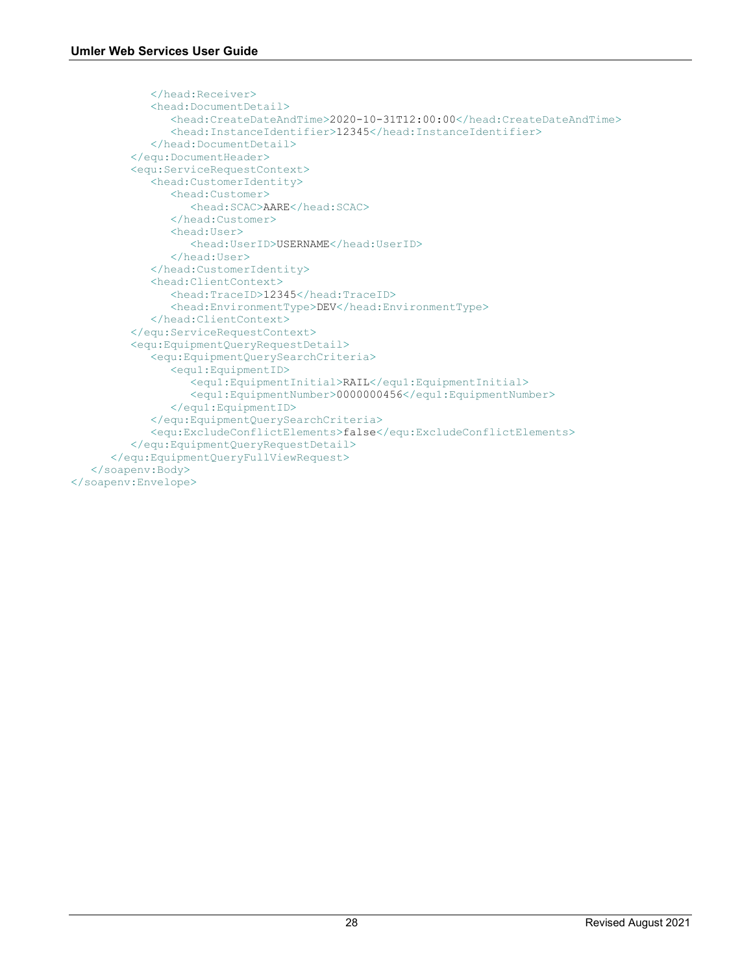```
 </head:Receiver>
             <head:DocumentDetail>
                <head:CreateDateAndTime>2020-10-31T12:00:00</head:CreateDateAndTime>
                <head:InstanceIdentifier>12345</head:InstanceIdentifier>
             </head:DocumentDetail>
          </equ:DocumentHeader>
          <equ:ServiceRequestContext>
             <head:CustomerIdentity>
                <head:Customer>
                    <head:SCAC>AARE</head:SCAC>
                </head:Customer>
                <head:User>
                   <head:UserID>USERNAME</head:UserID>
                </head:User>
             </head:CustomerIdentity>
             <head:ClientContext>
                <head:TraceID>12345</head:TraceID>
                <head:EnvironmentType>DEV</head:EnvironmentType>
             </head:ClientContext>
          </equ:ServiceRequestContext>
          <equ:EquipmentQueryRequestDetail>
             <equ:EquipmentQuerySearchCriteria>
                <equ1:EquipmentID>
                    <equ1:EquipmentInitial>RAIL</equ1:EquipmentInitial>
                    <equ1:EquipmentNumber>0000000456</equ1:EquipmentNumber>
                </equ1:EquipmentID>
             </equ:EquipmentQuerySearchCriteria>
             <equ:ExcludeConflictElements>false</equ:ExcludeConflictElements>
          </equ:EquipmentQueryRequestDetail>
       </equ:EquipmentQueryFullViewRequest>
    </soapenv:Body>
</soapenv:Envelope>
```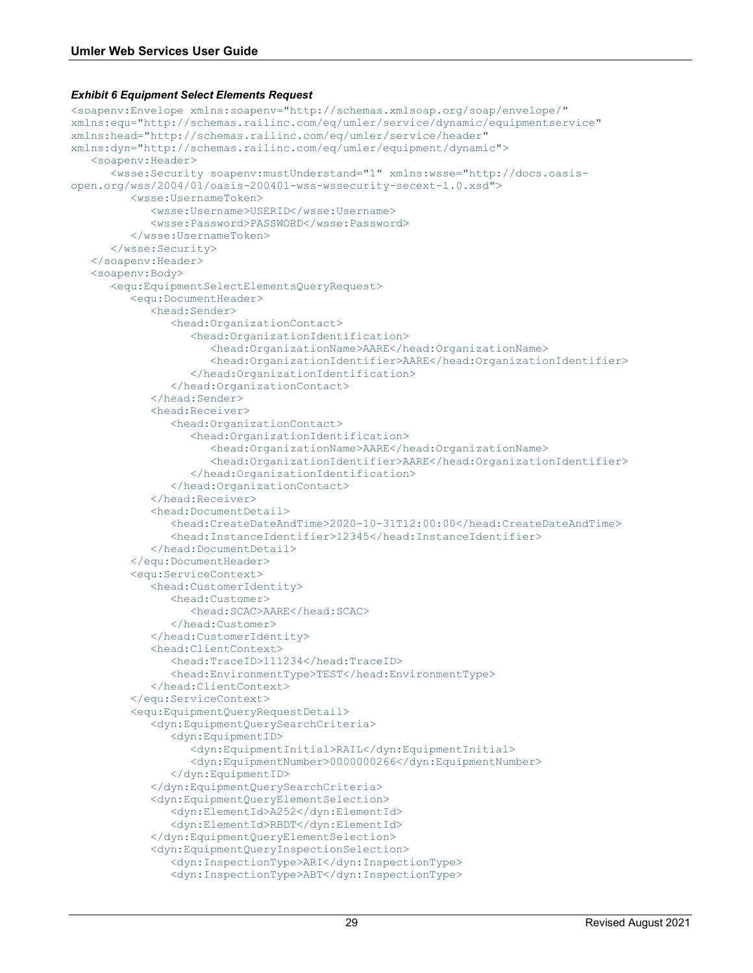#### <span id="page-30-0"></span>*Exhibit 6 Equipment Select Elements Request*

```
<soapenv:Envelope xmlns:soapenv="http://schemas.xmlsoap.org/soap/envelope/" 
xmlns:equ="http://schemas.railinc.com/eq/umler/service/dynamic/equipmentservice" 
xmlns:head="http://schemas.railinc.com/eq/umler/service/header" 
xmlns:dyn="http://schemas.railinc.com/eq/umler/equipment/dynamic">
    <soapenv:Header>
       <wsse:Security soapenv:mustUnderstand="1" xmlns:wsse="http://docs.oasis-
open.org/wss/2004/01/oasis-200401-wss-wssecurity-secext-1.0.xsd">
          <wsse:UsernameToken>
             <wsse:Username>USERID</wsse:Username>
             <wsse:Password>PASSWORD</wsse:Password>
          </wsse:UsernameToken>
       </wsse:Security>
    </soapenv:Header>
    <soapenv:Body>
       <equ:EquipmentSelectElementsQueryRequest>
          <equ:DocumentHeader>
            <head:Sender>
                <head:OrganizationContact>
                    <head:OrganizationIdentification>
                       <head:OrganizationName>AARE</head:OrganizationName>
                      <head:OrganizationIdentifier>AARE</head:OrganizationIdentifier>
                    </head:OrganizationIdentification>
                </head:OrganizationContact>
             </head:Sender>
             <head:Receiver>
                <head:OrganizationContact>
                    <head:OrganizationIdentification>
                       <head:OrganizationName>AARE</head:OrganizationName>
                      <head:OrganizationIdentifier>AARE</head:OrganizationIdentifier>
                    </head:OrganizationIdentification>
                </head:OrganizationContact>
             </head:Receiver>
             <head:DocumentDetail>
                <head:CreateDateAndTime>2020-10-31T12:00:00</head:CreateDateAndTime>
                <head:InstanceIdentifier>12345</head:InstanceIdentifier>
             </head:DocumentDetail>
          </equ:DocumentHeader>
          <equ:ServiceContext>
             <head:CustomerIdentity>
                <head:Customer>
                   <head:SCAC>AARE</head:SCAC>
                </head:Customer>
             </head:CustomerIdentity>
             <head:ClientContext>
                <head:TraceID>111234</head:TraceID>
                <head:EnvironmentType>TEST</head:EnvironmentType>
             </head:ClientContext>
          </equ:ServiceContext>
          <equ:EquipmentQueryRequestDetail>
             <dyn:EquipmentQuerySearchCriteria>
                <dyn:EquipmentID>
                    <dyn:EquipmentInitial>RAIL</dyn:EquipmentInitial>
                   <dyn:EquipmentNumber>0000000266</dyn:EquipmentNumber>
                </dyn:EquipmentID>
             </dyn:EquipmentQuerySearchCriteria>
             <dyn:EquipmentQueryElementSelection>
                <dyn:ElementId>A252</dyn:ElementId>
                <dyn:ElementId>RBDT</dyn:ElementId>
             </dyn:EquipmentQueryElementSelection>
             <dyn:EquipmentQueryInspectionSelection>
                <dyn:InspectionType>ARI</dyn:InspectionType>
                <dyn:InspectionType>ABT</dyn:InspectionType>
```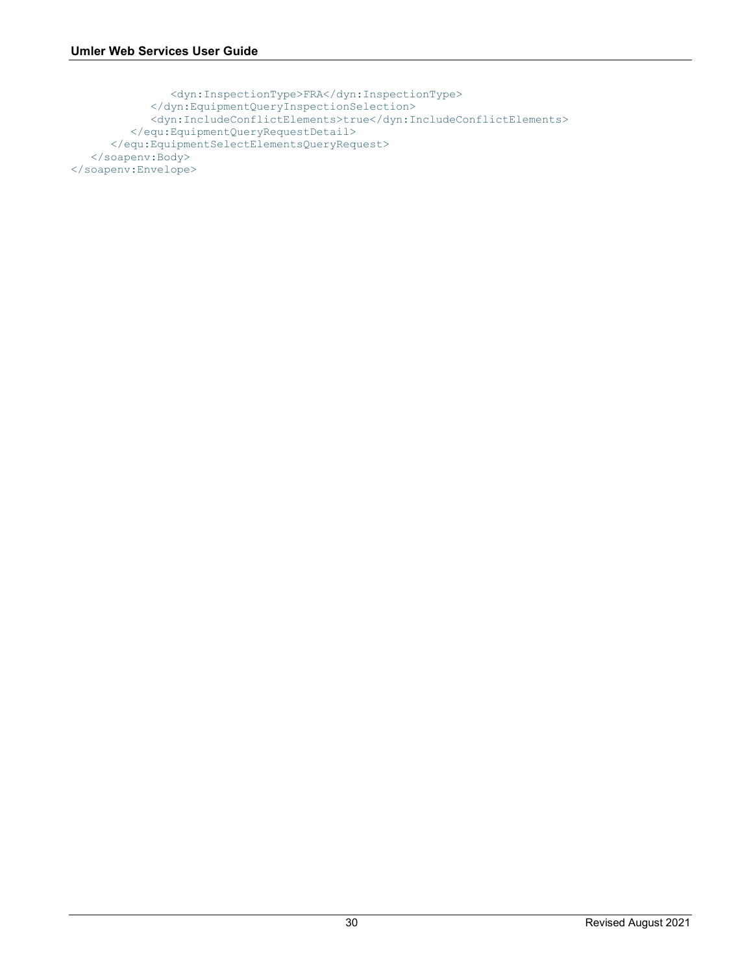```
 <dyn:InspectionType>FRA</dyn:InspectionType>
             </dyn:EquipmentQueryInspectionSelection>
             <dyn:IncludeConflictElements>true</dyn:IncludeConflictElements>
          </equ:EquipmentQueryRequestDetail>
       </equ:EquipmentSelectElementsQueryRequest>
    </soapenv:Body>
</soapenv:Envelope>
```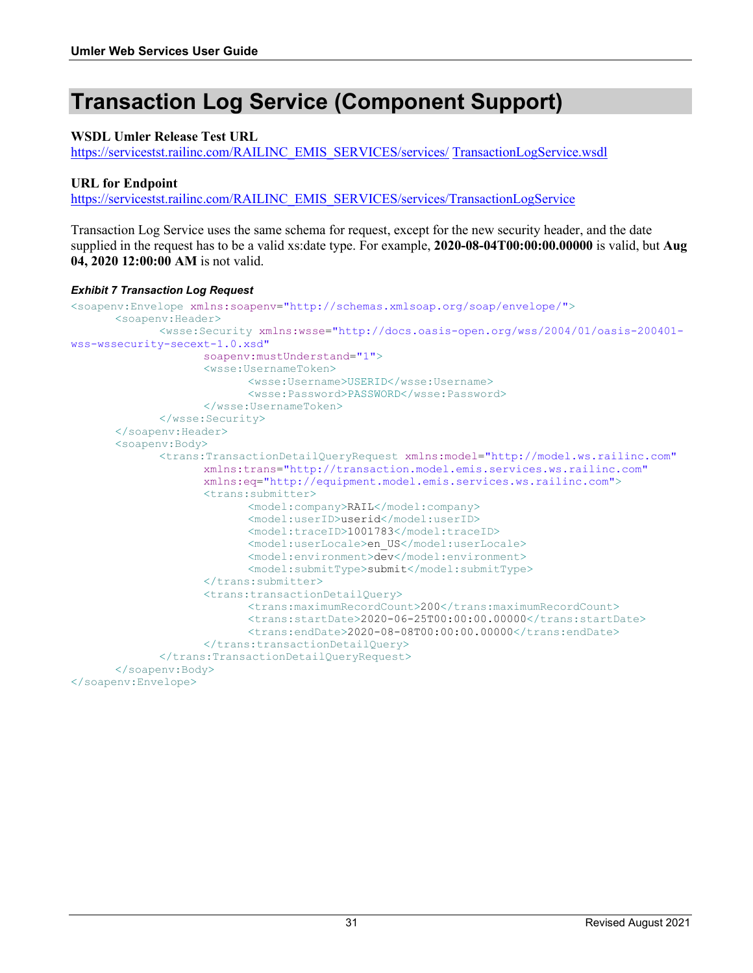# <span id="page-32-0"></span>**Transaction Log Service (Component Support)**

#### **WSDL Umler Release Test URL**

[https://servicestst.railinc.com/RAILINC\\_EMIS\\_SERVICES/services/](https://umler.release.tst.railinc.com/RAILINC_EMIS_SERVICES/services/UmlerEquipmentService.wsdl) TransactionLogService.wsdl

#### **URL for Endpoint**

[https://servicestst.railinc.com/RAILINC\\_EMIS\\_SERVICES/services/TransactionLogService](https://servicestst.railinc.com/RAILINC_EMIS_SERVICES/services/TransactionLogService)

Transaction Log Service uses the same schema for request, except for the new security header, and the date supplied in the request has to be a valid xs:date type. For example, **2020-08-04T00:00:00.00000** is valid, but **Aug 04, 2020 12:00:00 AM** is not valid.

#### <span id="page-32-1"></span>*Exhibit 7 Transaction Log Request*

```
<soapenv:Envelope xmlns:soapenv="http://schemas.xmlsoap.org/soap/envelope/">
      <soapenv:Header>
             <wsse:Security xmlns:wsse="http://docs.oasis-open.org/wss/2004/01/oasis-200401-
wss-wssecurity-secext-1.0.xsd"
                    soapenv:mustUnderstand="1">
                    <wsse:UsernameToken>
                          <wsse:Username>USERID</wsse:Username>
                          <wsse:Password>PASSWORD</wsse:Password>
                    </wsse:UsernameToken>
             </wsse:Security>
      </soapenv:Header>
      <soapenv:Body>
             <trans:TransactionDetailQueryRequest xmlns:model="http://model.ws.railinc.com"
                    xmlns:trans="http://transaction.model.emis.services.ws.railinc.com"
                    xmlns:eq="http://equipment.model.emis.services.ws.railinc.com">
                    <trans:submitter>
                           <model:company>RAIL</model:company>
                           <model:userID>userid</model:userID>
                           <model:traceID>1001783</model:traceID>
                           <model:userLocale>en_US</model:userLocale>
                           <model:environment>dev</model:environment>
                           <model:submitType>submit</model:submitType>
                    </trans:submitter>
                    <trans:transactionDetailQuery>
                          <trans:maximumRecordCount>200</trans:maximumRecordCount>
                          <trans:startDate>2020-06-25T00:00:00.00000</trans:startDate>
                          <trans:endDate>2020-08-08T00:00:00.00000</trans:endDate>
                    </trans:transactionDetailQuery>
             </trans:TransactionDetailQueryRequest>
      </soapenv:Body>
</soapenv:Envelope>
```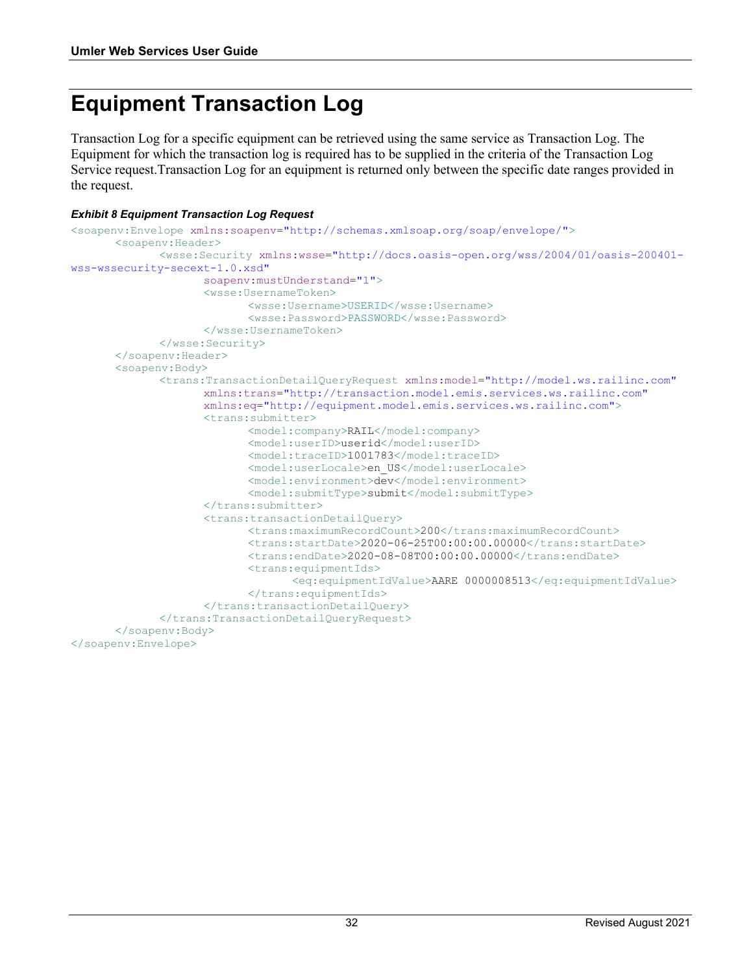# <span id="page-33-0"></span>**Equipment Transaction Log**

Transaction Log for a specific equipment can be retrieved using the same service as Transaction Log. The Equipment for which the transaction log is required has to be supplied in the criteria of the Transaction Log Service request.Transaction Log for an equipment is returned only between the specific date ranges provided in the request.

#### <span id="page-33-1"></span>*Exhibit 8 Equipment Transaction Log Request*

```
<soapenv:Envelope xmlns:soapenv="http://schemas.xmlsoap.org/soap/envelope/">
      <soapenv:Header>
             <wsse:Security xmlns:wsse="http://docs.oasis-open.org/wss/2004/01/oasis-200401-
wss-wssecurity-secext-1.0.xsd"
                    soapenv:mustUnderstand="1">
                    <wsse:UsernameToken>
                          <wsse:Username>USERID</wsse:Username>
                           <wsse:Password>PASSWORD</wsse:Password>
                    </wsse:UsernameToken>
             </wsse:Security>
      </soapenv:Header>
      <soapenv:Body>
             <trans:TransactionDetailQueryRequest xmlns:model="http://model.ws.railinc.com"
                    xmlns:trans="http://transaction.model.emis.services.ws.railinc.com"
                    xmlns:eq="http://equipment.model.emis.services.ws.railinc.com">
                    <trans:submitter>
                           <model:company>RAIL</model:company>
                          <model:userID>userid</model:userID>
                          <model:traceID>1001783</model:traceID>
                           <model:userLocale>en_US</model:userLocale>
                           <model:environment>dev</model:environment>
                           <model:submitType>submit</model:submitType>
                    </trans:submitter>
                    <trans:transactionDetailQuery>
                           <trans:maximumRecordCount>200</trans:maximumRecordCount>
                           <trans:startDate>2020-06-25T00:00:00.00000</trans:startDate>
                          <trans:endDate>2020-08-08T00:00:00.00000</trans:endDate>
                           <trans:equipmentIds>
                                 <eq:equipmentIdValue>AARE 0000008513</eq:equipmentIdValue>
                           </trans:equipmentIds>
                    </trans:transactionDetailQuery>
             </trans:TransactionDetailQueryRequest>
      </soapenv:Body>
</soapenv:Envelope>
```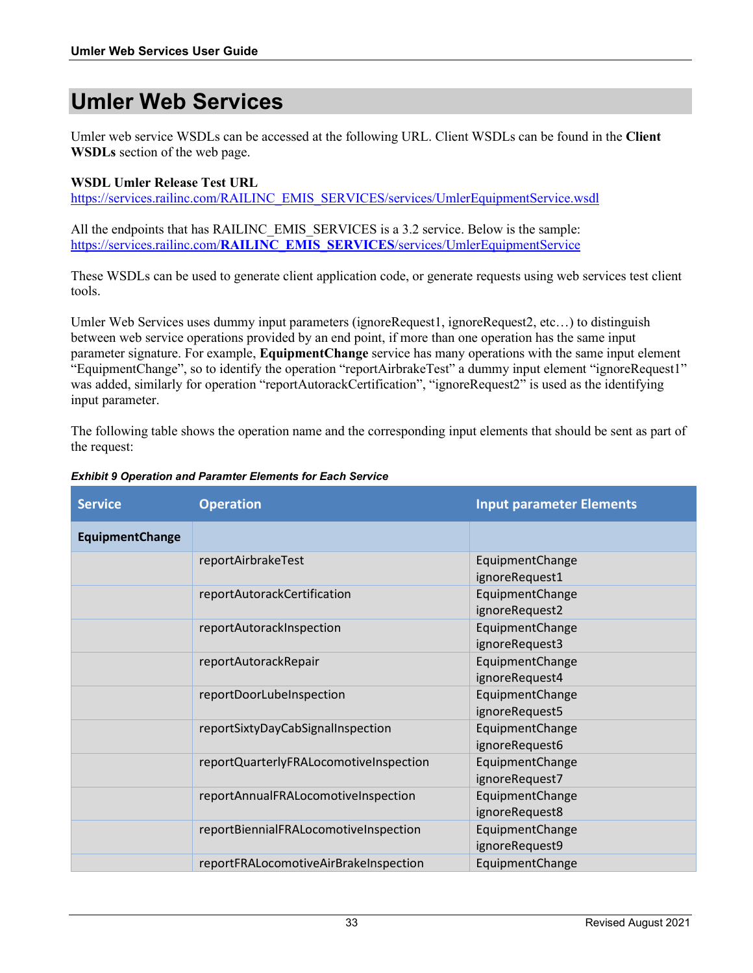### <span id="page-34-0"></span>**Umler Web Services**

Umler web service WSDLs can be accessed at the following URL. Client WSDLs can be found in the **Client WSDLs** section of the web page.

#### **WSDL Umler Release Test URL**

[https://services.railinc.com/RAILINC\\_EMIS\\_SERVICES/services/UmlerEquipmentService.wsdl](https://services.railinc.com/RAILINC_EMIS_SERVICES/services/UmlerEquipmentService.wsdl)

All the endpoints that has RAILINC EMIS\_SERVICES is a 3.2 service. Below is the sample: https://services.railinc.com/**RAILINC\_EMIS\_SERVICES**[/services/UmlerEquipmentService](https://services.railinc.com/RAILINC_EMIS_SERVICES/services/UmlerEquipmentService)

These WSDLs can be used to generate client application code, or generate requests using web services test client tools.

Umler Web Services uses dummy input parameters (ignoreRequest1, ignoreRequest2, etc…) to distinguish between web service operations provided by an end point, if more than one operation has the same input parameter signature. For example, **EquipmentChange** service has many operations with the same input element "EquipmentChange", so to identify the operation "reportAirbrakeTest" a dummy input element "ignoreRequest1" was added, similarly for operation "reportAutorackCertification", "ignoreRequest2" is used as the identifying input parameter.

The following table shows the operation name and the corresponding input elements that should be sent as part of the request:

| <b>Service</b>         | <b>Operation</b>                       | <b>Input parameter Elements</b>   |
|------------------------|----------------------------------------|-----------------------------------|
| <b>EquipmentChange</b> |                                        |                                   |
|                        | reportAirbrakeTest                     | EquipmentChange<br>ignoreRequest1 |
|                        | reportAutorackCertification            | EquipmentChange<br>ignoreRequest2 |
|                        | reportAutorackInspection               | EquipmentChange<br>ignoreRequest3 |
|                        | reportAutorackRepair                   | EquipmentChange<br>ignoreRequest4 |
|                        | reportDoorLubeInspection               | EquipmentChange<br>ignoreRequest5 |
|                        | reportSixtyDayCabSignalInspection      | EquipmentChange<br>ignoreRequest6 |
|                        | reportQuarterlyFRALocomotiveInspection | EquipmentChange<br>ignoreRequest7 |
|                        | reportAnnualFRALocomotiveInspection    | EquipmentChange<br>ignoreRequest8 |
|                        | reportBiennialFRALocomotiveInspection  | EquipmentChange<br>ignoreRequest9 |
|                        | reportFRALocomotiveAirBrakeInspection  | EquipmentChange                   |

#### <span id="page-34-1"></span>*Exhibit 9 Operation and Paramter Elements for Each Service*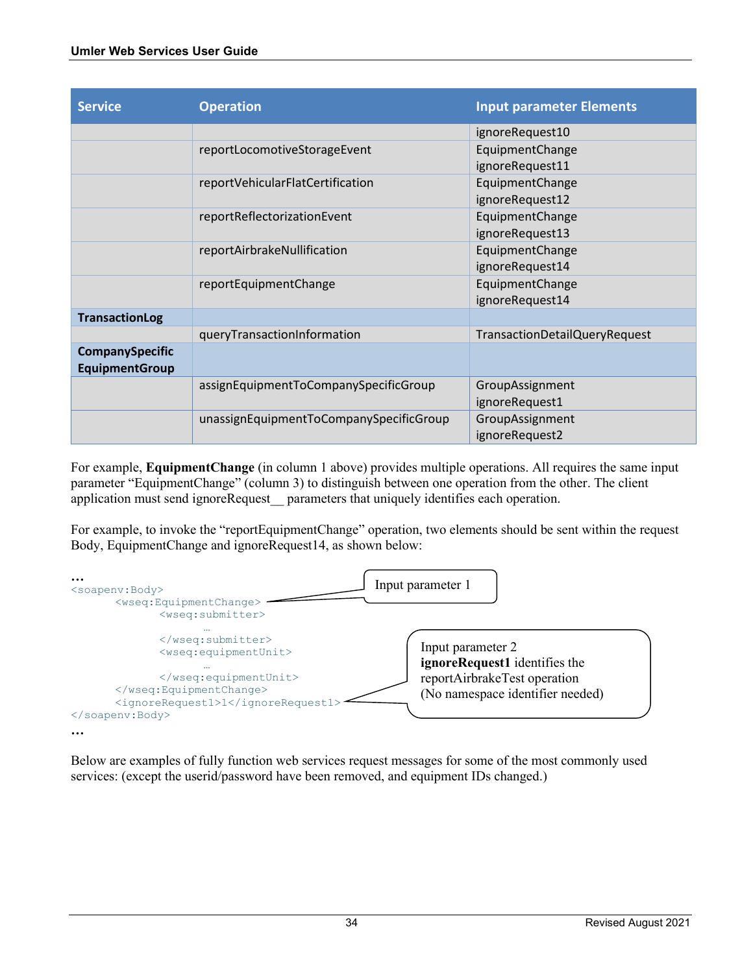| <b>Service</b>         | <b>Operation</b>                        | <b>Input parameter Elements</b> |
|------------------------|-----------------------------------------|---------------------------------|
|                        |                                         | ignoreRequest10                 |
|                        | reportLocomotiveStorageEvent            | EquipmentChange                 |
|                        |                                         | ignoreRequest11                 |
|                        | reportVehicularFlatCertification        | EquipmentChange                 |
|                        |                                         | ignoreRequest12                 |
|                        | reportReflectorizationEvent             | EquipmentChange                 |
|                        |                                         | ignoreRequest13                 |
|                        | reportAirbrakeNullification             | EquipmentChange                 |
|                        |                                         | ignoreRequest14                 |
|                        | reportEquipmentChange                   | EquipmentChange                 |
|                        |                                         | ignoreRequest14                 |
| <b>TransactionLog</b>  |                                         |                                 |
|                        | queryTransactionInformation             | TransactionDetailQueryRequest   |
| <b>CompanySpecific</b> |                                         |                                 |
| <b>EquipmentGroup</b>  |                                         |                                 |
|                        | assignEquipmentToCompanySpecificGroup   | GroupAssignment                 |
|                        |                                         | ignoreRequest1                  |
|                        | unassignEquipmentToCompanySpecificGroup | GroupAssignment                 |
|                        |                                         | ignoreRequest2                  |

For example, **EquipmentChange** (in column 1 above) provides multiple operations. All requires the same input parameter "EquipmentChange" (column 3) to distinguish between one operation from the other. The client application must send ignoreRequest parameters that uniquely identifies each operation.

For example, to invoke the "reportEquipmentChange" operation, two elements should be sent within the request Body, EquipmentChange and ignoreRequest14, as shown below:

**…** <soapenv:Body> <wseq:EquipmentChange> <wseq:submitter> … </wseq:submitter> <wseq:equipmentUnit> … </wseq:equipmentUnit> </wseq:EquipmentChange> <ignoreRequest1>1</ignoreRequest1> </soapenv:Body> **…** Input parameter 1 Input parameter 2 **ignoreRequest1** identifies the reportAirbrakeTest operation (No namespace identifier needed)

Below are examples of fully function web services request messages for some of the most commonly used services: (except the userid/password have been removed, and equipment IDs changed.)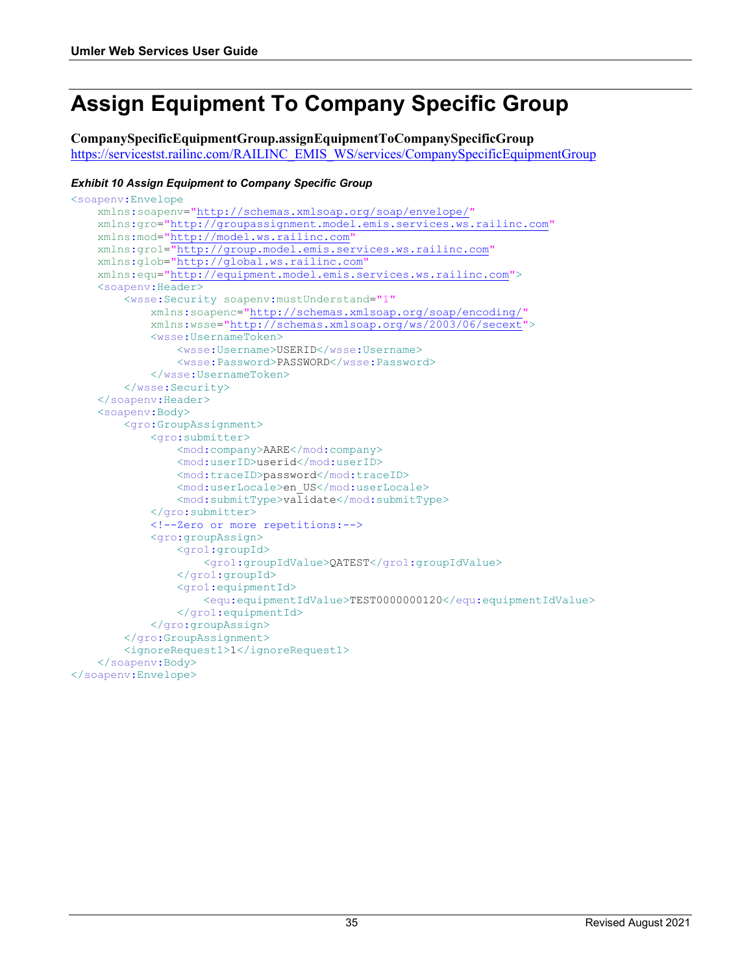# <span id="page-36-0"></span>**Assign Equipment To Company Specific Group**

**CompanySpecificEquipmentGroup.assignEquipmentToCompanySpecificGroup** [https://servicestst.railinc.com/RAILINC\\_EMIS\\_WS/services/CompanySpecificEquipmentGroup](https://umler.release.tst.railinc.com/RAILINC_EMIS_WS/services/CompanySpecificEquipmentGroup)

#### <span id="page-36-1"></span>*Exhibit 10 Assign Equipment to Company Specific Group*

```
<soapenv:Envelope 
     xmlns:soapenv="http://schemas.xmlsoap.org/soap/envelope/"
     xmlns:gro="http://groupassignment.model.emis.services.ws.railinc.com"
     xmlns:mod="http://model.ws.railinc.com"
     xmlns:gro1="http://group.model.emis.services.ws.railinc.com"
    xmlns:glob="http://global.ws.railinc.com
     xmlns:equ="http://equipment.model.emis.services.ws.railinc.com">
     <soapenv:Header>
         <wsse:Security soapenv:mustUnderstand="1"
             xmlns:soapenc="http://schemas.xmlsoap.org/soap/encoding/"
             xmlns:wsse="http://schemas.xmlsoap.org/ws/2003/06/secext">
             <wsse:UsernameToken>
                 <wsse:Username>USERID</wsse:Username>
                 <wsse:Password>PASSWORD</wsse:Password>
             </wsse:UsernameToken>
         </wsse:Security>
     </soapenv:Header>
     <soapenv:Body>
         <gro:GroupAssignment>
             <gro:submitter>
                 <mod:company>AARE</mod:company>
                 <mod:userID>userid</mod:userID>
                 <mod:traceID>password</mod:traceID>
                 <mod:userLocale>en_US</mod:userLocale>
                 <mod:submitType>validate</mod:submitType>
             </gro:submitter>
             <!--Zero or more repetitions:-->
             <gro:groupAssign>
                 <gro1:groupId>
                      <gro1:groupIdValue>QATEST</gro1:groupIdValue>
                 </gro1:groupId>
                 <gro1:equipmentId>
                     <equ:equipmentIdValue>TEST0000000120</equ:equipmentIdValue>
                 </gro1:equipmentId>
             </gro:groupAssign>
         </gro:GroupAssignment>
         <ignoreRequest1>1</ignoreRequest1>
     </soapenv:Body>
</soapenv:Envelope>
```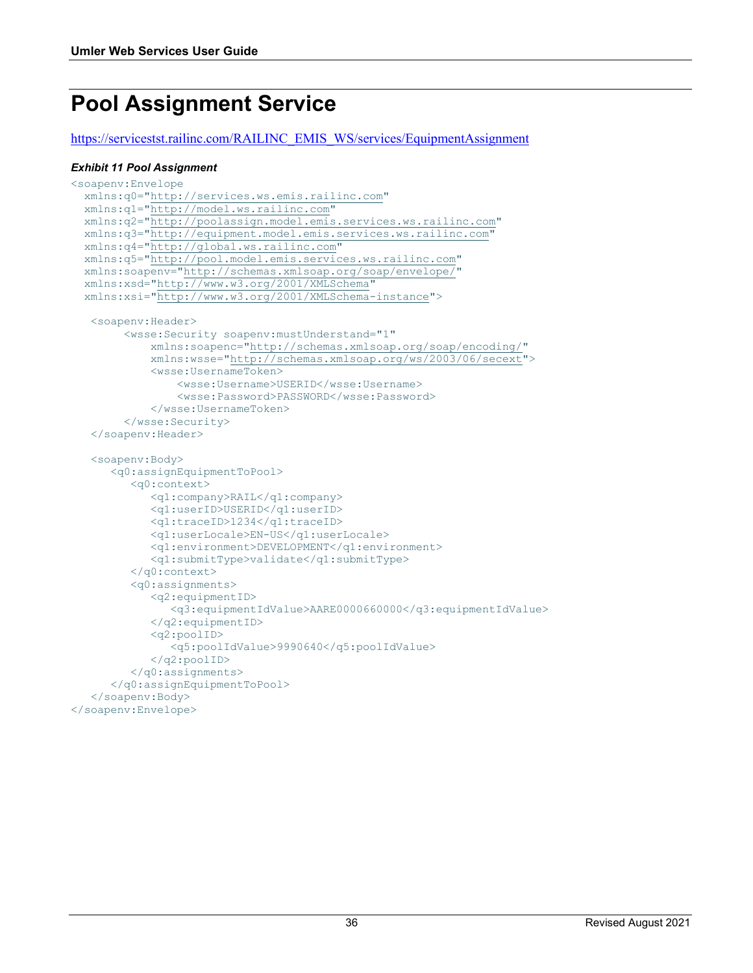# <span id="page-37-0"></span>**Pool Assignment Service**

[https://servicestst.railinc.com/RAILINC\\_EMIS\\_WS/services/EquipmentAssignment](https://umler.release.tst.railinc.com/RAILINC_EMIS_WS/services/EquipmentAssignment)

#### <span id="page-37-1"></span>*Exhibit 11 Pool Assignment*

```
<soapenv:Envelope
   xmlns:q0="http://services.ws.emis.railinc.com"
   xmlns:q1="http://model.ws.railinc.com"
   xmlns:q2="http://poolassign.model.emis.services.ws.railinc.com"
   xmlns:q3="http://equipment.model.emis.services.ws.railinc.com"
   xmlns:q4="http://global.ws.railinc.com"
 xmlns:q5="http://pool.model.emis.services.ws.railinc.com"
 xmlns:soapenv="http://schemas.xmlsoap.org/soap/envelope/"
   xmlns:xsd="http://www.w3.org/2001/XMLSchema"
   xmlns:xsi="http://www.w3.org/2001/XMLSchema-instance">
    <soapenv:Header>
         <wsse:Security soapenv:mustUnderstand="1" 
             xmlns:soapenc="http://schemas.xmlsoap.org/soap/encoding/" 
             xmlns:wsse="http://schemas.xmlsoap.org/ws/2003/06/secext">
             <wsse:UsernameToken>
                 <wsse:Username>USERID</wsse:Username>
                 <wsse:Password>PASSWORD</wsse:Password>
             </wsse:UsernameToken>
         </wsse:Security>
    </soapenv:Header>
    <soapenv:Body>
       <q0:assignEquipmentToPool>
          <q0:context>
             <q1:company>RAIL</q1:company>
             <q1:userID>USERID</q1:userID>
             <q1:traceID>1234</q1:traceID>
             <q1:userLocale>EN-US</q1:userLocale>
             <q1:environment>DEVELOPMENT</q1:environment>
             <q1:submitType>validate</q1:submitType>
          </q0:context>
          <q0:assignments>
             <q2:equipmentID>
                <q3:equipmentIdValue>AARE0000660000</q3:equipmentIdValue>
             </q2:equipmentID>
             <q2:poolID>
                <q5:poolIdValue>9990640</q5:poolIdValue>
             </q2:poolID>
          </q0:assignments>
       </q0:assignEquipmentToPool>
    </soapenv:Body>
</soapenv:Envelope>
```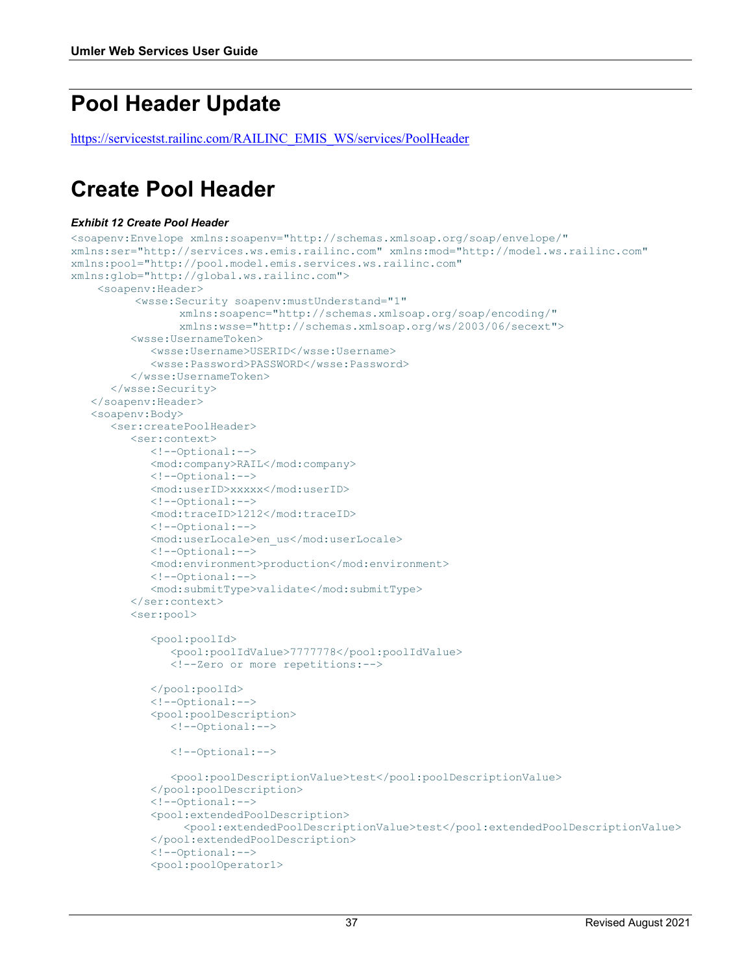# <span id="page-38-0"></span>**Pool Header Update**

[https://servicestst.railinc.com/RAILINC\\_EMIS\\_WS/services/PoolHeader](https://umler.release.tst.railinc.com/RAILINC_EMIS_WS/services/PoolHeader)

### <span id="page-38-1"></span>**Create Pool Header**

#### <span id="page-38-2"></span>*Exhibit 12 Create Pool Header*

```
<soapenv:Envelope xmlns:soapenv="http://schemas.xmlsoap.org/soap/envelope/" 
xmlns:ser="http://services.ws.emis.railinc.com" xmlns:mod="http://model.ws.railinc.com" 
xmlns:pool="http://pool.model.emis.services.ws.railinc.com" 
xmlns:glob="http://global.ws.railinc.com">
     <soapenv:Header>
           <wsse:Security soapenv:mustUnderstand="1" 
                  xmlns:soapenc="http://schemas.xmlsoap.org/soap/encoding/"
                  xmlns:wsse="http://schemas.xmlsoap.org/ws/2003/06/secext">
          <wsse:UsernameToken>
             <wsse:Username>USERID</wsse:Username>
             <wsse:Password>PASSWORD</wsse:Password>
          </wsse:UsernameToken>
       </wsse:Security>
    </soapenv:Header>
    <soapenv:Body>
       <ser:createPoolHeader>
          <ser:context>
             <!--Optional:-->
             <mod:company>RAIL</mod:company>
             <!--Optional:-->
             <mod:userID>xxxxx</mod:userID>
             <!--Optional:-->
             <mod:traceID>1212</mod:traceID>
             <!--Optional:-->
             <mod:userLocale>en_us</mod:userLocale>
             <!--Optional:-->
             <mod:environment>production</mod:environment>
             <!--Optional:-->
             <mod:submitType>validate</mod:submitType>
          </ser:context>
          <ser:pool>
             <pool:poolId>
                <pool:poolIdValue>7777778</pool:poolIdValue>
                <!--Zero or more repetitions:-->
             </pool:poolId>
             <!--Optional:-->
             <pool:poolDescription>
                <!--Optional:-->
                <!--Optional:-->
                <pool:poolDescriptionValue>test</pool:poolDescriptionValue>
             </pool:poolDescription>
             <!--Optional:-->
             <pool:extendedPoolDescription>
                  <pool:extendedPoolDescriptionValue>test</pool:extendedPoolDescriptionValue>
             </pool:extendedPoolDescription>
             <!--Optional:-->
             <pool:poolOperator1>
```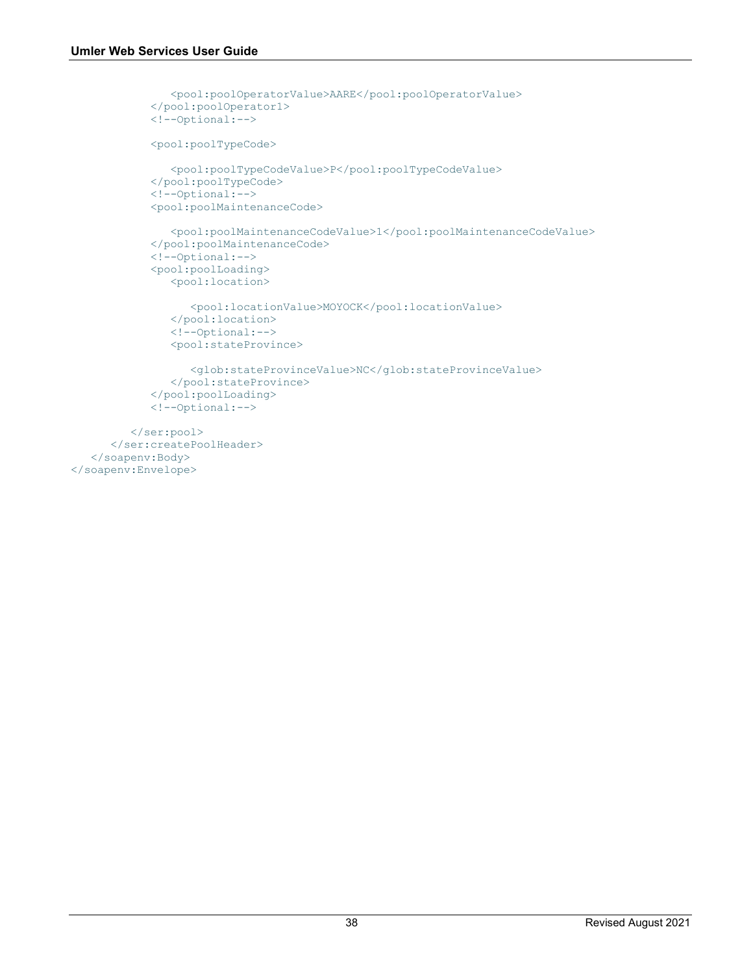```
 <pool:poolOperatorValue>AARE</pool:poolOperatorValue>
             </pool:poolOperator1>
             <!--Optional:-->
             <pool:poolTypeCode>
                <pool:poolTypeCodeValue>P</pool:poolTypeCodeValue>
             </pool:poolTypeCode>
             <!--Optional:-->
             <pool:poolMaintenanceCode>
                <pool:poolMaintenanceCodeValue>1</pool:poolMaintenanceCodeValue>
             </pool:poolMaintenanceCode>
             <!--Optional:-->
             <pool:poolLoading>
                <pool:location>
                    <pool:locationValue>MOYOCK</pool:locationValue>
                </pool:location>
                <!--Optional:-->
                <pool:stateProvince>
                    <glob:stateProvinceValue>NC</glob:stateProvinceValue>
                </pool:stateProvince>
             </pool:poolLoading>
             <!--Optional:-->
          </ser:pool>
       </ser:createPoolHeader>
    </soapenv:Body>
</soapenv:Envelope>
```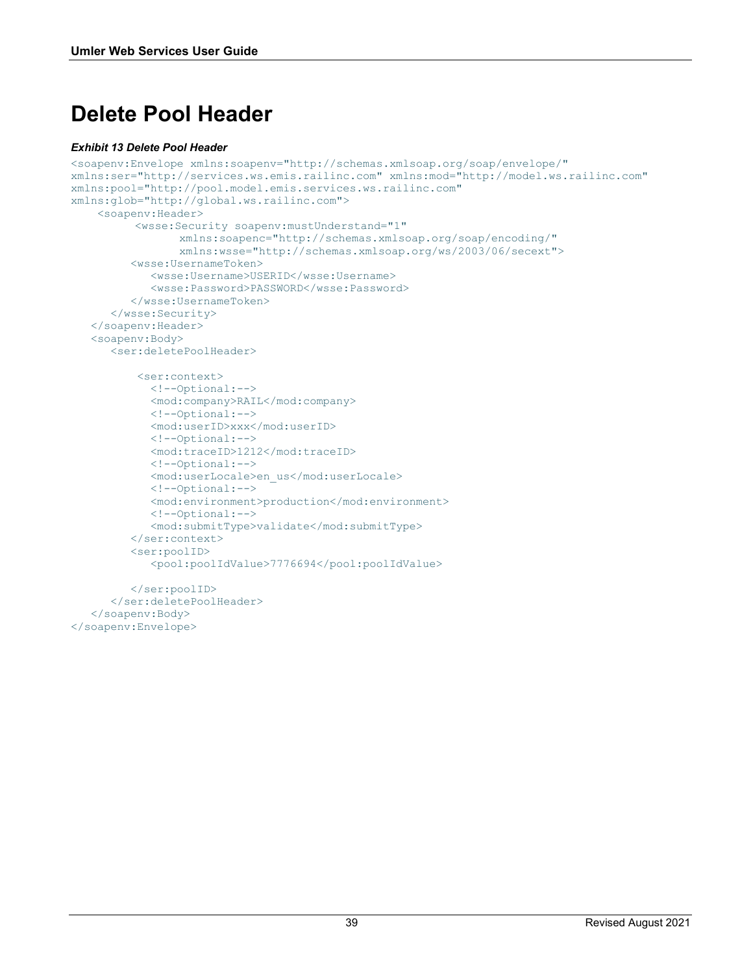# <span id="page-40-0"></span>**Delete Pool Header**

#### <span id="page-40-1"></span>*Exhibit 13 Delete Pool Header*

```
<soapenv:Envelope xmlns:soapenv="http://schemas.xmlsoap.org/soap/envelope/" 
xmlns:ser="http://services.ws.emis.railinc.com" xmlns:mod="http://model.ws.railinc.com" 
xmlns:pool="http://pool.model.emis.services.ws.railinc.com" 
xmlns:glob="http://global.ws.railinc.com">
     <soapenv:Header>
           <wsse:Security soapenv:mustUnderstand="1" 
                 xmlns:soapenc="http://schemas.xmlsoap.org/soap/encoding/"
                 xmlns:wsse="http://schemas.xmlsoap.org/ws/2003/06/secext">
          <wsse:UsernameToken>
             <wsse:Username>USERID</wsse:Username>
             <wsse:Password>PASSWORD</wsse:Password>
          </wsse:UsernameToken>
       </wsse:Security>
    </soapenv:Header>
    <soapenv:Body>
       <ser:deletePoolHeader>
           <ser:context>
             <!--Optional:-->
             <mod:company>RAIL</mod:company>
             <!--Optional:-->
             <mod:userID>xxx</mod:userID>
             <!--Optional:-->
             <mod:traceID>1212</mod:traceID>
             <!--Optional:-->
             <mod:userLocale>en_us</mod:userLocale>
             <!--Optional:-->
             <mod:environment>production</mod:environment>
             <!--Optional:-->
             <mod:submitType>validate</mod:submitType>
          </ser:context>
          <ser:poolID>
             <pool:poolIdValue>7776694</pool:poolIdValue>
          </ser:poolID>
       </ser:deletePoolHeader>
    </soapenv:Body>
</soapenv:Envelope>
```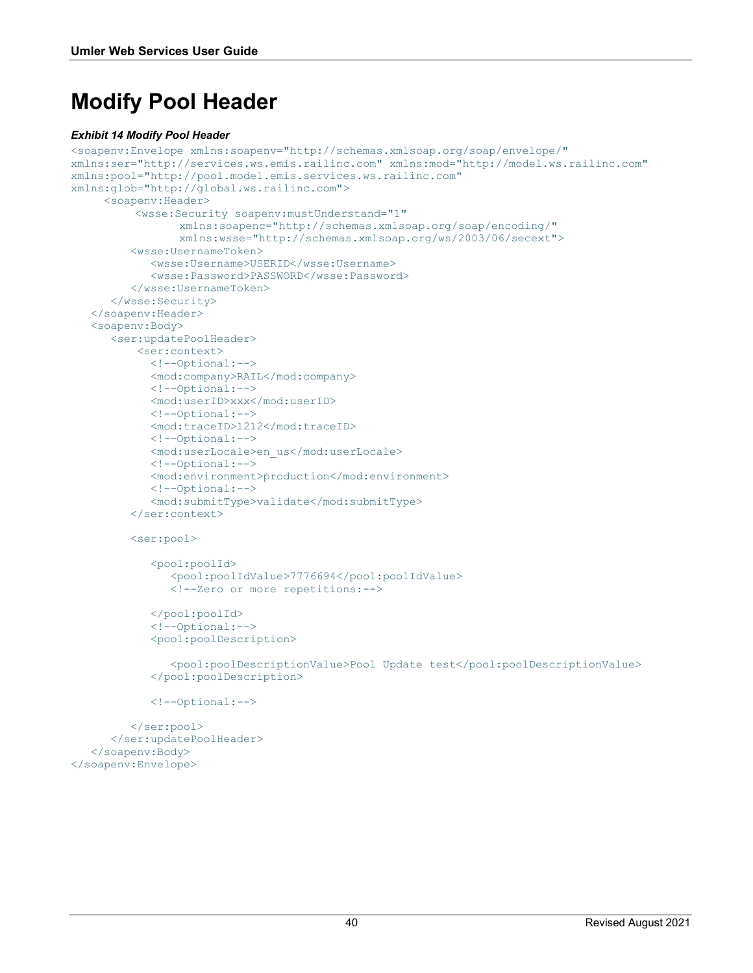# <span id="page-41-0"></span>**Modify Pool Header**

#### <span id="page-41-1"></span>*Exhibit 14 Modify Pool Header*

```
<soapenv:Envelope xmlns:soapenv="http://schemas.xmlsoap.org/soap/envelope/" 
xmlns:ser="http://services.ws.emis.railinc.com" xmlns:mod="http://model.ws.railinc.com" 
xmlns:pool="http://pool.model.emis.services.ws.railinc.com" 
xmlns:glob="http://global.ws.railinc.com">
      <soapenv:Header>
           <wsse:Security soapenv:mustUnderstand="1" 
                  xmlns:soapenc="http://schemas.xmlsoap.org/soap/encoding/"
                 xmlns:wsse="http://schemas.xmlsoap.org/ws/2003/06/secext">
          <wsse:UsernameToken>
             <wsse:Username>USERID</wsse:Username>
             <wsse:Password>PASSWORD</wsse:Password>
          </wsse:UsernameToken>
       </wsse:Security>
    </soapenv:Header>
    <soapenv:Body>
       <ser:updatePoolHeader>
           <ser:context>
             <!--Optional:-->
             <mod:company>RAIL</mod:company>
             <!--Optional:-->
             <mod:userID>xxx</mod:userID>
             <!--Optional:-->
             <mod:traceID>1212</mod:traceID>
             <!--Optional:-->
             <mod:userLocale>en_us</mod:userLocale>
             <!--Optional:-->
             <mod:environment>production</mod:environment>
             <!--Optional:-->
             <mod:submitType>validate</mod:submitType>
          </ser:context>
          <ser:pool>
             <pool:poolId>
                <pool:poolIdValue>7776694</pool:poolIdValue>
                <!--Zero or more repetitions:-->
             </pool:poolId>
             <!--Optional:-->
             <pool:poolDescription>
                <pool:poolDescriptionValue>Pool Update test</pool:poolDescriptionValue>
             </pool:poolDescription>
```
<!--Optional:-->

```
 </ser:pool>
       </ser:updatePoolHeader>
    </soapenv:Body>
</soapenv:Envelope>
```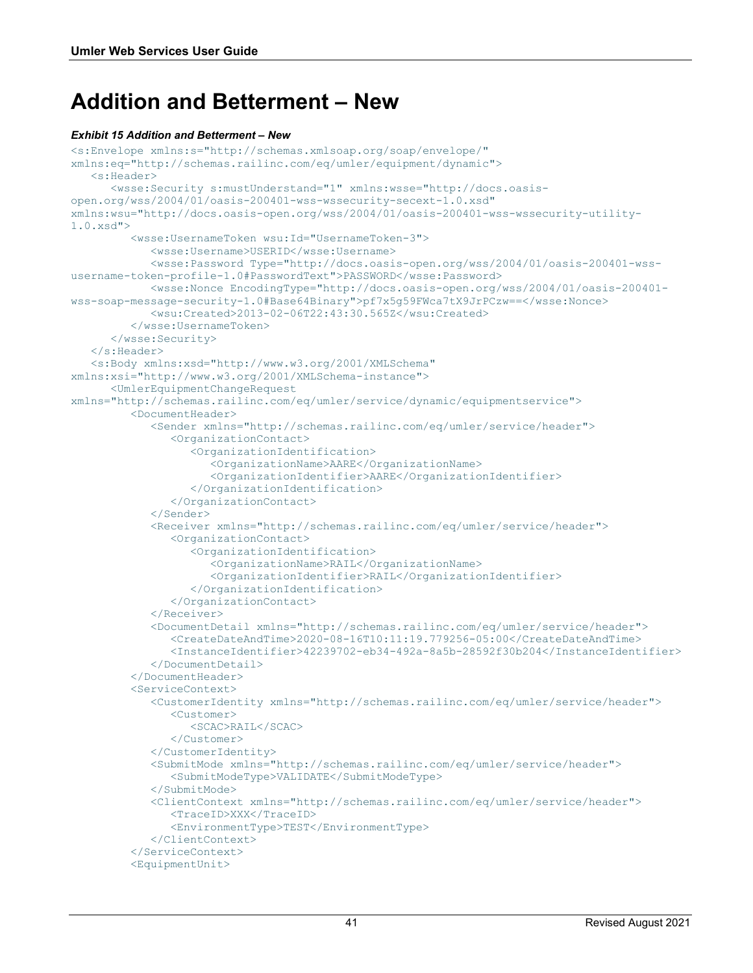### <span id="page-42-0"></span>**Addition and Betterment – New**

#### <span id="page-42-1"></span>*Exhibit 15 Addition and Betterment – New*

```
<s:Envelope xmlns:s="http://schemas.xmlsoap.org/soap/envelope/" 
xmlns:eq="http://schemas.railinc.com/eq/umler/equipment/dynamic">
    <s:Header>
       <wsse:Security s:mustUnderstand="1" xmlns:wsse="http://docs.oasis-
open.org/wss/2004/01/oasis-200401-wss-wssecurity-secext-1.0.xsd" 
xmlns:wsu="http://docs.oasis-open.org/wss/2004/01/oasis-200401-wss-wssecurity-utility-
1.0.xsd">
          <wsse:UsernameToken wsu:Id="UsernameToken-3">
             <wsse:Username>USERID</wsse:Username>
             <wsse:Password Type="http://docs.oasis-open.org/wss/2004/01/oasis-200401-wss-
username-token-profile-1.0#PasswordText">PASSWORD</wsse:Password>
             <wsse:Nonce EncodingType="http://docs.oasis-open.org/wss/2004/01/oasis-200401-
wss-soap-message-security-1.0#Base64Binary">pf7x5g59FWca7tX9JrPCzw==</wsse:Nonce>
             <wsu:Created>2013-02-06T22:43:30.565Z</wsu:Created>
          </wsse:UsernameToken>
       </wsse:Security>
    </s:Header>
    <s:Body xmlns:xsd="http://www.w3.org/2001/XMLSchema" 
xmlns:xsi="http://www.w3.org/2001/XMLSchema-instance">
       <UmlerEquipmentChangeRequest 
xmlns="http://schemas.railinc.com/eq/umler/service/dynamic/equipmentservice">
          <DocumentHeader>
             <Sender xmlns="http://schemas.railinc.com/eq/umler/service/header">
                <OrganizationContact>
                   <OrganizationIdentification>
                      <OrganizationName>AARE</OrganizationName>
                     <OrganizationIdentifier>AARE</OrganizationIdentifier>
                   </OrganizationIdentification>
                </OrganizationContact>
             </Sender>
             <Receiver xmlns="http://schemas.railinc.com/eq/umler/service/header">
                <OrganizationContact>
                   <OrganizationIdentification>
                      <OrganizationName>RAIL</OrganizationName>
                     <OrganizationIdentifier>RAIL</OrganizationIdentifier>
                   </OrganizationIdentification>
                </OrganizationContact>
             </Receiver>
             <DocumentDetail xmlns="http://schemas.railinc.com/eq/umler/service/header">
                <CreateDateAndTime>2020-08-16T10:11:19.779256-05:00</CreateDateAndTime>
                <InstanceIdentifier>42239702-eb34-492a-8a5b-28592f30b204</InstanceIdentifier>
             </DocumentDetail>
          </DocumentHeader>
          <ServiceContext>
             <CustomerIdentity xmlns="http://schemas.railinc.com/eq/umler/service/header">
                <Customer>
                   <SCAC>RAIL</SCAC>
                </Customer>
             </CustomerIdentity>
             <SubmitMode xmlns="http://schemas.railinc.com/eq/umler/service/header">
                <SubmitModeType>VALIDATE</SubmitModeType>
             </SubmitMode>
             <ClientContext xmlns="http://schemas.railinc.com/eq/umler/service/header">
                <TraceID>XXX</TraceID>
                <EnvironmentType>TEST</EnvironmentType>
             </ClientContext>
          </ServiceContext>
          <EquipmentUnit>
```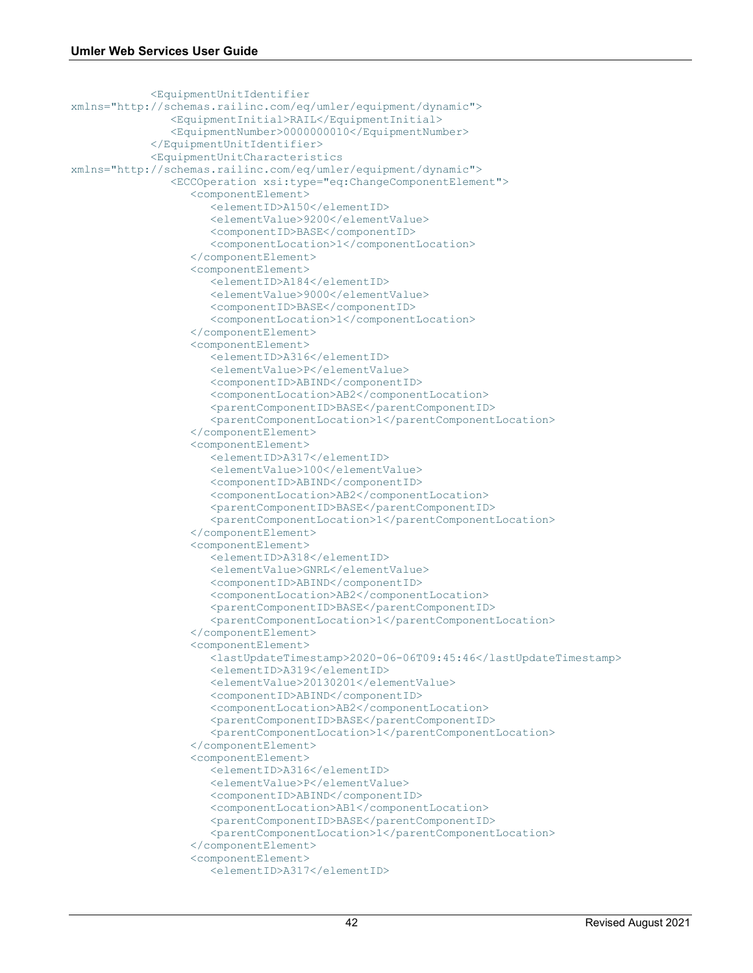```
 <EquipmentUnitIdentifier 
xmlns="http://schemas.railinc.com/eq/umler/equipment/dynamic">
                <EquipmentInitial>RAIL</EquipmentInitial>
                <EquipmentNumber>0000000010</EquipmentNumber>
             </EquipmentUnitIdentifier>
             <EquipmentUnitCharacteristics 
xmlns="http://schemas.railinc.com/eq/umler/equipment/dynamic">
                <ECCOperation xsi:type="eq:ChangeComponentElement">
                   <componentElement>
                      <elementID>A150</elementID>
                     <elementValue>9200</elementValue>
                     <componentID>BASE</componentID>
                     <componentLocation>1</componentLocation>
                   </componentElement>
                  <componentElement>
                      <elementID>A184</elementID>
                     <elementValue>9000</elementValue>
                     <componentID>BASE</componentID>
                     <componentLocation>1</componentLocation>
                   </componentElement>
                  <componentElement>
                      <elementID>A316</elementID>
                     <elementValue>P</elementValue>
                      <componentID>ABIND</componentID>
                      <componentLocation>AB2</componentLocation>
                     <parentComponentID>BASE</parentComponentID>
                     <parentComponentLocation>1</parentComponentLocation>
                   </componentElement>
                   <componentElement>
                      <elementID>A317</elementID>
                     <elementValue>100</elementValue>
                     <componentID>ABIND</componentID>
                     <componentLocation>AB2</componentLocation>
                     <parentComponentID>BASE</parentComponentID>
                     <parentComponentLocation>1</parentComponentLocation>
                   </componentElement>
                   <componentElement>
                      <elementID>A318</elementID>
                     <elementValue>GNRL</elementValue>
                     <componentID>ABIND</componentID>
                     <componentLocation>AB2</componentLocation>
                      <parentComponentID>BASE</parentComponentID>
                      <parentComponentLocation>1</parentComponentLocation>
                   </componentElement>
                  <componentElement>
                      <lastUpdateTimestamp>2020-06-06T09:45:46</lastUpdateTimestamp>
                      <elementID>A319</elementID>
                     <elementValue>20130201</elementValue>
                     <componentID>ABIND</componentID>
                     <componentLocation>AB2</componentLocation>
                     <parentComponentID>BASE</parentComponentID>
                     <parentComponentLocation>1</parentComponentLocation>
                   </componentElement>
                  <componentElement>
                      <elementID>A316</elementID>
                     <elementValue>P</elementValue>
                     <componentID>ABIND</componentID>
                     <componentLocation>AB1</componentLocation>
                     <parentComponentID>BASE</parentComponentID>
                      <parentComponentLocation>1</parentComponentLocation>
                   </componentElement>
                  <componentElement>
                      <elementID>A317</elementID>
```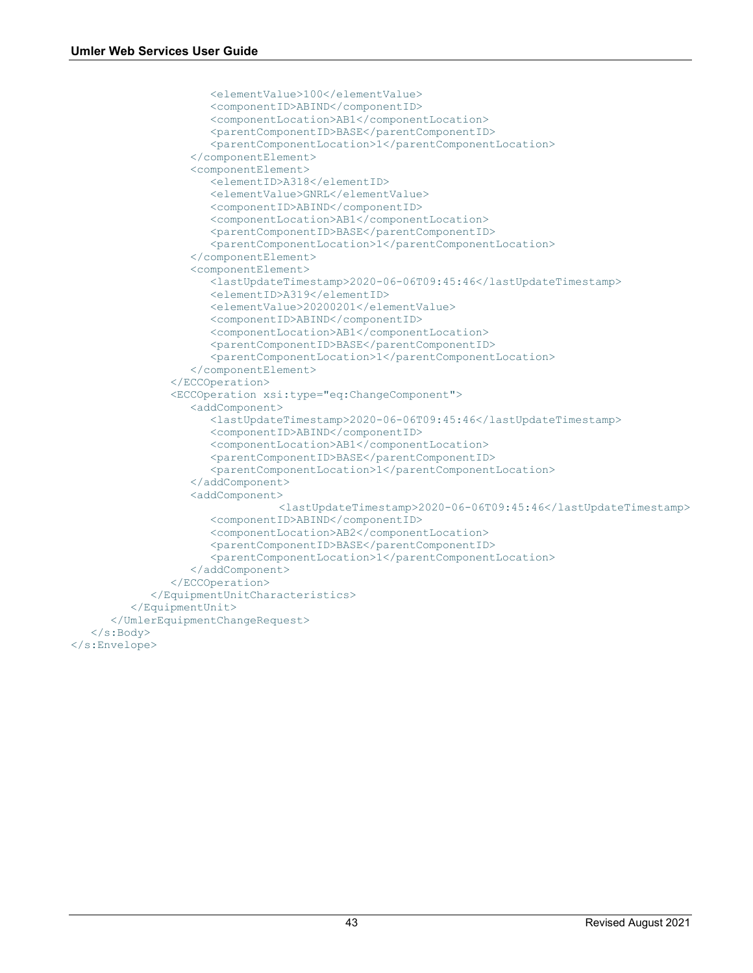```
 <elementValue>100</elementValue>
                     <componentID>ABIND</componentID>
                     <componentLocation>AB1</componentLocation>
                     <parentComponentID>BASE</parentComponentID>
                     <parentComponentLocation>1</parentComponentLocation>
                   </componentElement>
                  <componentElement>
                      <elementID>A318</elementID>
                     <elementValue>GNRL</elementValue>
                     <componentID>ABIND</componentID>
                     <componentLocation>AB1</componentLocation>
                     <parentComponentID>BASE</parentComponentID>
                     <parentComponentLocation>1</parentComponentLocation>
                   </componentElement>
                  <componentElement>
                      <lastUpdateTimestamp>2020-06-06T09:45:46</lastUpdateTimestamp>
                      <elementID>A319</elementID>
                     <elementValue>20200201</elementValue>
                     <componentID>ABIND</componentID>
                      <componentLocation>AB1</componentLocation>
                      <parentComponentID>BASE</parentComponentID>
                     <parentComponentLocation>1</parentComponentLocation>
                   </componentElement>
                </ECCOperation>
                <ECCOperation xsi:type="eq:ChangeComponent">
                   <addComponent>
                      <lastUpdateTimestamp>2020-06-06T09:45:46</lastUpdateTimestamp>
                      <componentID>ABIND</componentID>
                     <componentLocation>AB1</componentLocation>
                     <parentComponentID>BASE</parentComponentID>
                     <parentComponentLocation>1</parentComponentLocation>
                   </addComponent>
                  <addComponent>
                                 <lastUpdateTimestamp>2020-06-06T09:45:46</lastUpdateTimestamp>
                      <componentID>ABIND</componentID>
                     <componentLocation>AB2</componentLocation>
                     <parentComponentID>BASE</parentComponentID>
                     <parentComponentLocation>1</parentComponentLocation>
                   </addComponent>
                </ECCOperation>
             </EquipmentUnitCharacteristics>
          </EquipmentUnit>
       </UmlerEquipmentChangeRequest>
    </s:Body>
</s:Envelope>
```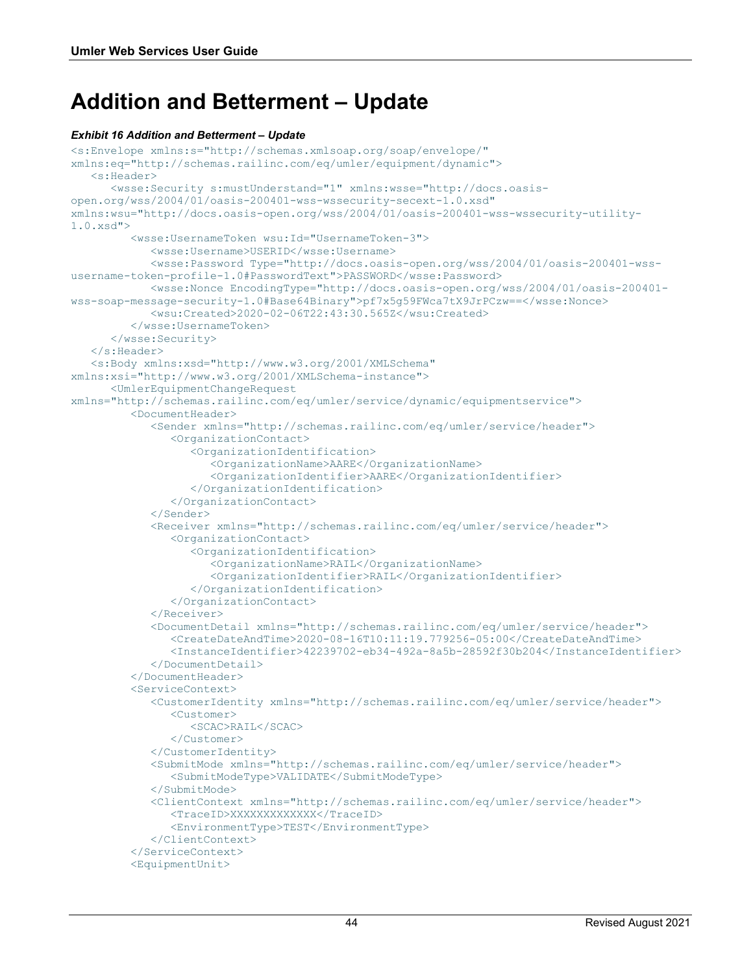### <span id="page-45-0"></span>**Addition and Betterment – Update**

#### <span id="page-45-1"></span>*Exhibit 16 Addition and Betterment – Update*

```
<s:Envelope xmlns:s="http://schemas.xmlsoap.org/soap/envelope/" 
xmlns:eq="http://schemas.railinc.com/eq/umler/equipment/dynamic">
    <s:Header>
       <wsse:Security s:mustUnderstand="1" xmlns:wsse="http://docs.oasis-
open.org/wss/2004/01/oasis-200401-wss-wssecurity-secext-1.0.xsd" 
xmlns:wsu="http://docs.oasis-open.org/wss/2004/01/oasis-200401-wss-wssecurity-utility-
1.0.xsd">
          <wsse:UsernameToken wsu:Id="UsernameToken-3">
             <wsse:Username>USERID</wsse:Username>
             <wsse:Password Type="http://docs.oasis-open.org/wss/2004/01/oasis-200401-wss-
username-token-profile-1.0#PasswordText">PASSWORD</wsse:Password>
             <wsse:Nonce EncodingType="http://docs.oasis-open.org/wss/2004/01/oasis-200401-
wss-soap-message-security-1.0#Base64Binary">pf7x5g59FWca7tX9JrPCzw==</wsse:Nonce>
             <wsu:Created>2020-02-06T22:43:30.565Z</wsu:Created>
          </wsse:UsernameToken>
       </wsse:Security>
    </s:Header>
    <s:Body xmlns:xsd="http://www.w3.org/2001/XMLSchema" 
xmlns:xsi="http://www.w3.org/2001/XMLSchema-instance">
       <UmlerEquipmentChangeRequest 
xmlns="http://schemas.railinc.com/eq/umler/service/dynamic/equipmentservice">
          <DocumentHeader>
             <Sender xmlns="http://schemas.railinc.com/eq/umler/service/header">
                <OrganizationContact>
                   <OrganizationIdentification>
                      <OrganizationName>AARE</OrganizationName>
                     <OrganizationIdentifier>AARE</OrganizationIdentifier>
                   </OrganizationIdentification>
                </OrganizationContact>
             </Sender>
             <Receiver xmlns="http://schemas.railinc.com/eq/umler/service/header">
                <OrganizationContact>
                   <OrganizationIdentification>
                      <OrganizationName>RAIL</OrganizationName>
                      <OrganizationIdentifier>RAIL</OrganizationIdentifier>
                   </OrganizationIdentification>
                </OrganizationContact>
             </Receiver>
             <DocumentDetail xmlns="http://schemas.railinc.com/eq/umler/service/header">
                <CreateDateAndTime>2020-08-16T10:11:19.779256-05:00</CreateDateAndTime>
                <InstanceIdentifier>42239702-eb34-492a-8a5b-28592f30b204</InstanceIdentifier>
             </DocumentDetail>
          </DocumentHeader>
          <ServiceContext>
             <CustomerIdentity xmlns="http://schemas.railinc.com/eq/umler/service/header">
                <Customer>
                   <SCAC>RAIL</SCAC>
                </Customer>
             </CustomerIdentity>
             <SubmitMode xmlns="http://schemas.railinc.com/eq/umler/service/header">
                <SubmitModeType>VALIDATE</SubmitModeType>
             </SubmitMode>
             <ClientContext xmlns="http://schemas.railinc.com/eq/umler/service/header">
                <TraceID>XXXXXXXXXXXXX</TraceID>
                <EnvironmentType>TEST</EnvironmentType>
             </ClientContext>
          </ServiceContext>
          <EquipmentUnit>
```